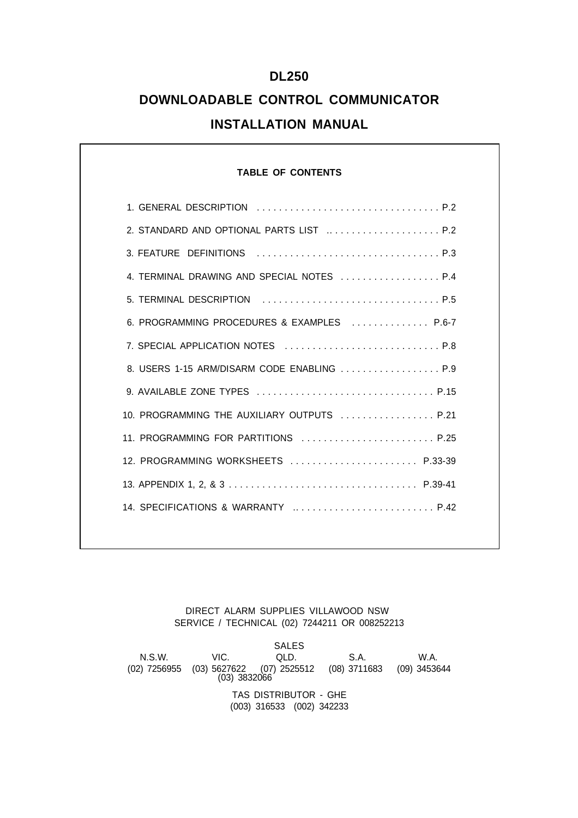## **DL250**

# **DOWNLOADABLE CONTROL COMMUNICATOR INSTALLATION MANUAL**

## **TABLE OF CONTENTS**

| 2. STANDARD AND OPTIONAL PARTS LIST  P.2    |
|---------------------------------------------|
|                                             |
|                                             |
|                                             |
| 6. PROGRAMMING PROCEDURES & EXAMPLES  P.6-7 |
| 7. SPECIAL APPLICATION NOTES  P.8           |
| 8. USERS 1-15 ARM/DISARM CODE ENABLING  P.9 |
| 9. AVAILABLE ZONE TYPES  P.15               |
| 10. PROGRAMMING THE AUXILIARY OUTPUTS  P.21 |
| 11. PROGRAMMING FOR PARTITIONS  P.25        |
| 12. PROGRAMMING WORKSHEETS  P.33-39         |
|                                             |
| 14. SPECIFICATIONS & WARRANTY  P.42         |
|                                             |

DIRECT ALARM SUPPLIES VILLAWOOD NSW SERVICE / TECHNICAL (02) 7244211 OR 008252213

SALES<br>QLD. N.S.W. VIC. QLD. S.A. W.A. (02) 7256955 (03) 5627622 (07) 2525512 (08) 3711683 (09) 3453644 (03) 3832066 TAS DISTRIBUTOR - GHE (003) 316533 (002) 342233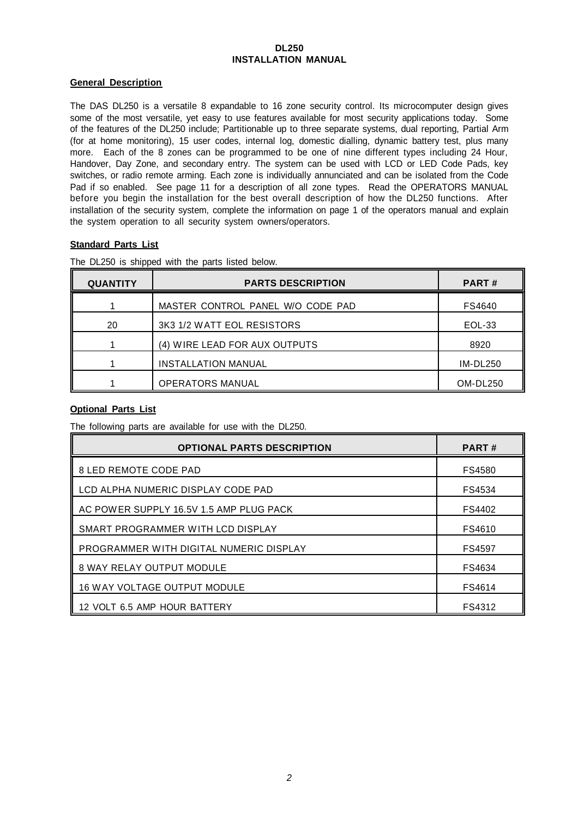## **DL250 INSTALLATION MANUAL**

## **General Description**

The DAS DL250 is a versatile 8 expandable to 16 zone security control. Its microcomputer design gives some of the most versatile, yet easy to use features available for most security applications today. Some of the features of the DL250 include; Partitionable up to three separate systems, dual reporting, Partial Arm (for at home monitoring), 15 user codes, internal log, domestic dialling, dynamic battery test, plus many more. Each of the 8 zones can be programmed to be one of nine different types including 24 Hour, Handover, Day Zone, and secondary entry. The system can be used with LCD or LED Code Pads, key switches, or radio remote arming. Each zone is individually annunciated and can be isolated from the Code Pad if so enabled. See page 11 for a description of all zone types. Read the OPERATORS MANUAL before you begin the installation for the best overall description of how the DL250 functions. After installation of the security system, complete the information on page 1 of the operators manual and explain the system operation to all security system owners/operators.

## **Standard Parts List**

| <b>QUANTITY</b> | <b>PARTS DESCRIPTION</b>          | <b>PART#</b>    |
|-----------------|-----------------------------------|-----------------|
|                 | MASTER CONTROL PANEL W/O CODE PAD | FS4640          |
| 20              | 3K3 1/2 WATT EOL RESISTORS        | EOL-33          |
|                 | (4) WIRE LEAD FOR AUX OUTPUTS     | 8920            |
|                 | <b>INSTALLATION MANUAL</b>        | $IM-DL250$      |
|                 | <b>OPERATORS MANUAL</b>           | <b>OM-DL250</b> |

The DL250 is shipped with the parts listed below.

## **Optional Parts List**

The following parts are available for use with the DL250.

| <b>OPTIONAL PARTS DESCRIPTION</b>       | <b>PART#</b>  |
|-----------------------------------------|---------------|
| 8 LED REMOTE CODE PAD                   | FS4580        |
| LCD ALPHA NUMERIC DISPLAY CODE PAD      | FS4534        |
| AC POWER SUPPLY 16.5V 1.5 AMP PLUG PACK | FS4402        |
| SMART PROGRAMMER WITH LCD DISPLAY       | FS4610        |
| PROGRAMMER WITH DIGITAL NUMERIC DISPLAY | <b>FS4597</b> |
| <b>8 WAY RELAY OUTPUT MODULE</b>        | FS4634        |
| <b>16 WAY VOLTAGE OUTPUT MODULE</b>     | FS4614        |
| 12 VOLT 6.5 AMP HOUR BATTERY            | FS4312        |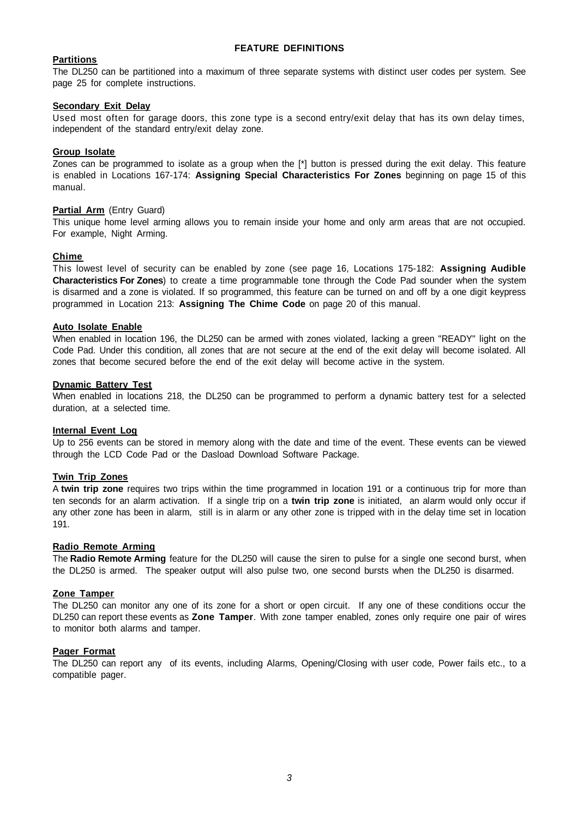## **FEATURE DEFINITIONS**

## **Partitions**

The DL250 can be partitioned into a maximum of three separate systems with distinct user codes per system. See page 25 for complete instructions.

## **Secondary Exit Delay**

Used most often for garage doors, this zone type is a second entry/exit delay that has its own delay times, independent of the standard entry/exit delay zone.

## **Group Isolate**

Zones can be programmed to isolate as a group when the [\*] button is pressed during the exit delay. This feature is enabled in Locations 167-174: **Assigning Special Characteristics For Zones** beginning on page 15 of this manual.

#### **Partial Arm** (Entry Guard)

This unique home level arming allows you to remain inside your home and only arm areas that are not occupied. For example, Night Arming.

#### **Chime**

This lowest level of security can be enabled by zone (see page 16, Locations 175-182: **Assigning Audible Characteristics For Zones**) to create a time programmable tone through the Code Pad sounder when the system is disarmed and a zone is violated. If so programmed, this feature can be turned on and off by a one digit keypress programmed in Location 213: **Assigning The Chime Code** on page 20 of this manual.

#### **Auto Isolate Enable**

When enabled in location 196, the DL250 can be armed with zones violated, lacking a green "READY" light on the Code Pad. Under this condition, all zones that are not secure at the end of the exit delay will become isolated. All zones that become secured before the end of the exit delay will become active in the system.

#### **Dynamic Battery Test**

When enabled in locations 218, the DL250 can be programmed to perform a dynamic battery test for a selected duration, at a selected time.

#### **Internal Event Log**

Up to 256 events can be stored in memory along with the date and time of the event. These events can be viewed through the LCD Code Pad or the Dasload Download Software Package.

## **Twin Trip Zones**

A **twin trip zone** requires two trips within the time programmed in location 191 or a continuous trip for more than ten seconds for an alarm activation. If a single trip on a **twin trip zone** is initiated, an alarm would only occur if any other zone has been in alarm, still is in alarm or any other zone is tripped with in the delay time set in location 191.

## **Radio Remote Arming**

The **Radio Remote Arming** feature for the DL250 will cause the siren to pulse for a single one second burst, when the DL250 is armed. The speaker output will also pulse two, one second bursts when the DL250 is disarmed.

## **Zone Tamper**

The DL250 can monitor any one of its zone for a short or open circuit. If any one of these conditions occur the DL250 can report these events as **Zone Tamper**. With zone tamper enabled, zones only require one pair of wires to monitor both alarms and tamper.

#### **Pager Format**

The DL250 can report any of its events, including Alarms, Opening/Closing with user code, Power fails etc., to a compatible pager.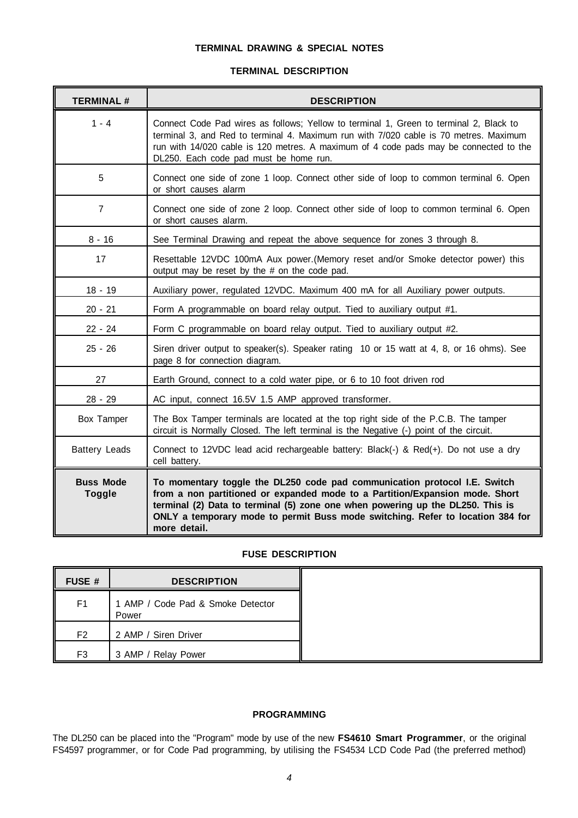## **TERMINAL DRAWING & SPECIAL NOTES**

## **TERMINAL DESCRIPTION**

| <b>TERMINAL#</b>                  | <b>DESCRIPTION</b>                                                                                                                                                                                                                                                                                                                            |  |
|-----------------------------------|-----------------------------------------------------------------------------------------------------------------------------------------------------------------------------------------------------------------------------------------------------------------------------------------------------------------------------------------------|--|
| $1 - 4$                           | Connect Code Pad wires as follows; Yellow to terminal 1, Green to terminal 2, Black to<br>terminal 3, and Red to terminal 4. Maximum run with 7/020 cable is 70 metres. Maximum<br>run with 14/020 cable is 120 metres. A maximum of 4 code pads may be connected to the<br>DL250. Each code pad must be home run.                            |  |
| 5                                 | Connect one side of zone 1 loop. Connect other side of loop to common terminal 6. Open<br>or short causes alarm                                                                                                                                                                                                                               |  |
| $\overline{7}$                    | Connect one side of zone 2 loop. Connect other side of loop to common terminal 6. Open<br>or short causes alarm.                                                                                                                                                                                                                              |  |
| $8 - 16$                          | See Terminal Drawing and repeat the above sequence for zones 3 through 8.                                                                                                                                                                                                                                                                     |  |
| 17                                | Resettable 12VDC 100mA Aux power. (Memory reset and/or Smoke detector power) this<br>output may be reset by the # on the code pad.                                                                                                                                                                                                            |  |
| $18 - 19$                         | Auxiliary power, regulated 12VDC. Maximum 400 mA for all Auxiliary power outputs.                                                                                                                                                                                                                                                             |  |
| $20 - 21$                         | Form A programmable on board relay output. Tied to auxiliary output #1.                                                                                                                                                                                                                                                                       |  |
| $22 - 24$                         | Form C programmable on board relay output. Tied to auxiliary output #2.                                                                                                                                                                                                                                                                       |  |
| $25 - 26$                         | Siren driver output to speaker(s). Speaker rating 10 or 15 watt at 4, 8, or 16 ohms). See<br>page 8 for connection diagram.                                                                                                                                                                                                                   |  |
| 27                                | Earth Ground, connect to a cold water pipe, or 6 to 10 foot driven rod                                                                                                                                                                                                                                                                        |  |
| $28 - 29$                         | AC input, connect 16.5V 1.5 AMP approved transformer.                                                                                                                                                                                                                                                                                         |  |
| Box Tamper                        | The Box Tamper terminals are located at the top right side of the P.C.B. The tamper<br>circuit is Normally Closed. The left terminal is the Negative (-) point of the circuit.                                                                                                                                                                |  |
| <b>Battery Leads</b>              | Connect to 12VDC lead acid rechargeable battery: Black(-) & Red(+). Do not use a dry<br>cell battery.                                                                                                                                                                                                                                         |  |
| <b>Buss Mode</b><br><b>Toggle</b> | To momentary toggle the DL250 code pad communication protocol I.E. Switch<br>from a non partitioned or expanded mode to a Partition/Expansion mode. Short<br>terminal (2) Data to terminal (5) zone one when powering up the DL250. This is<br>ONLY a temporary mode to permit Buss mode switching. Refer to location 384 for<br>more detail. |  |

## **FUSE DESCRIPTION**

| FUSE #         | <b>DESCRIPTION</b>                         |
|----------------|--------------------------------------------|
| F1             | 1 AMP / Code Pad & Smoke Detector<br>Power |
| F <sub>2</sub> | 2 AMP / Siren Driver                       |
| F <sub>3</sub> | 3 AMP / Relay Power                        |

## **PROGRAMMING**

The DL250 can be placed into the "Program" mode by use of the new **FS4610 Smart Programmer**, or the original FS4597 programmer, or for Code Pad programming, by utilising the FS4534 LCD Code Pad (the preferred method)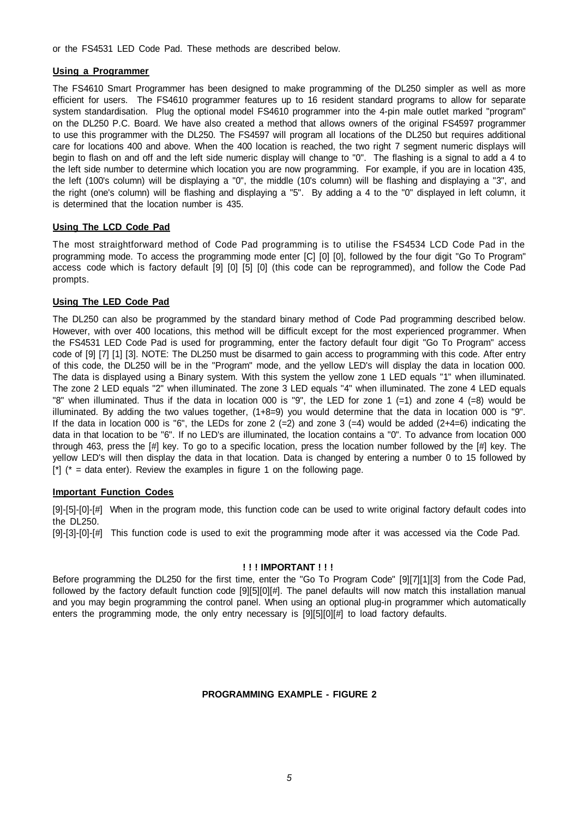or the FS4531 LED Code Pad. These methods are described below.

## **Using a Programmer**

The FS4610 Smart Programmer has been designed to make programming of the DL250 simpler as well as more efficient for users. The FS4610 programmer features up to 16 resident standard programs to allow for separate system standardisation. Plug the optional model FS4610 programmer into the 4-pin male outlet marked "program" on the DL250 P.C. Board. We have also created a method that allows owners of the original FS4597 programmer to use this programmer with the DL250. The FS4597 will program all locations of the DL250 but requires additional care for locations 400 and above. When the 400 location is reached, the two right 7 segment numeric displays will begin to flash on and off and the left side numeric display will change to "0". The flashing is a signal to add a 4 to the left side number to determine which location you are now programming. For example, if you are in location 435, the left (100's column) will be displaying a "0", the middle (10's column) will be flashing and displaying a "3", and the right (one's column) will be flashing and displaying a "5". By adding a 4 to the "0" displayed in left column, it is determined that the location number is 435.

## **Using The LCD Code Pad**

The most straightforward method of Code Pad programming is to utilise the FS4534 LCD Code Pad in the programming mode. To access the programming mode enter [C] [0] [0], followed by the four digit "Go To Program" access code which is factory default [9] [0] [5] [0] (this code can be reprogrammed), and follow the Code Pad prompts.

## **Using The LED Code Pad**

The DL250 can also be programmed by the standard binary method of Code Pad programming described below. However, with over 400 locations, this method will be difficult except for the most experienced programmer. When the FS4531 LED Code Pad is used for programming, enter the factory default four digit "Go To Program" access code of [9] [7] [1] [3]. NOTE: The DL250 must be disarmed to gain access to programming with this code. After entry of this code, the DL250 will be in the "Program" mode, and the yellow LED's will display the data in location 000. The data is displayed using a Binary system. With this system the yellow zone 1 LED equals "1" when illuminated. The zone 2 LED equals "2" when illuminated. The zone 3 LED equals "4" when illuminated. The zone 4 LED equals "8" when illuminated. Thus if the data in location 000 is "9", the LED for zone 1 (=1) and zone 4 (=8) would be illuminated. By adding the two values together, (1+8=9) you would determine that the data in location 000 is "9". If the data in location 000 is "6", the LEDs for zone 2 (=2) and zone 3 (=4) would be added (2+4=6) indicating the data in that location to be "6". If no LED's are illuminated, the location contains a "0". To advance from location 000 through 463, press the [#] key. To go to a specific location, press the location number followed by the [#] key. The yellow LED's will then display the data in that location. Data is changed by entering a number 0 to 15 followed by  $[$ \*] (\* = data enter). Review the examples in figure 1 on the following page.

## **Important Function Codes**

[9]-[5]-[0]-[#] When in the program mode, this function code can be used to write original factory default codes into the DL250.

[9]-[3]-[0]-[#] This function code is used to exit the programming mode after it was accessed via the Code Pad.

## **! ! ! IMPORTANT ! ! !**

Before programming the DL250 for the first time, enter the "Go To Program Code" [9][7][1][3] from the Code Pad, followed by the factory default function code [9][5][0][#]. The panel defaults will now match this installation manual and you may begin programming the control panel. When using an optional plug-in programmer which automatically enters the programming mode, the only entry necessary is [9][5][0][#] to load factory defaults.

## **PROGRAMMING EXAMPLE - FIGURE 2**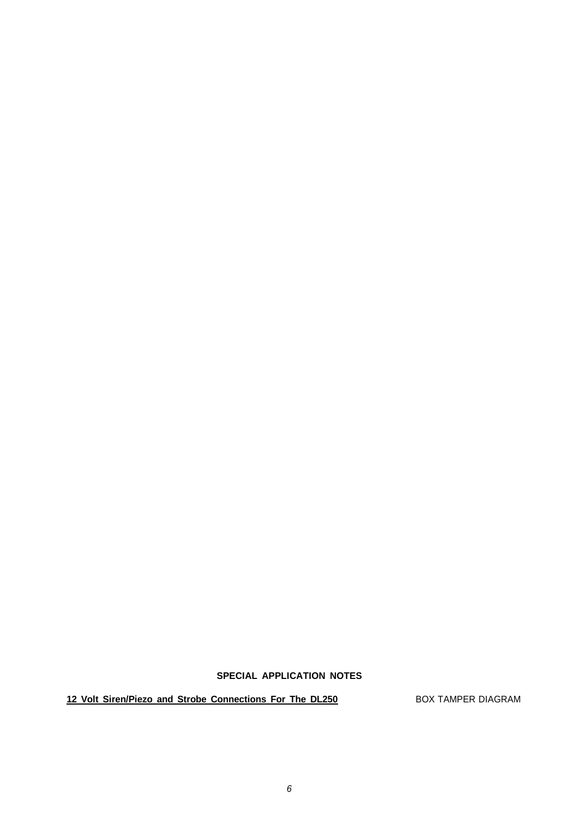## **SPECIAL APPLICATION NOTES**

12 Volt Siren/Piezo and Strobe Connections For The DL250 BOX TAMPER DIAGRAM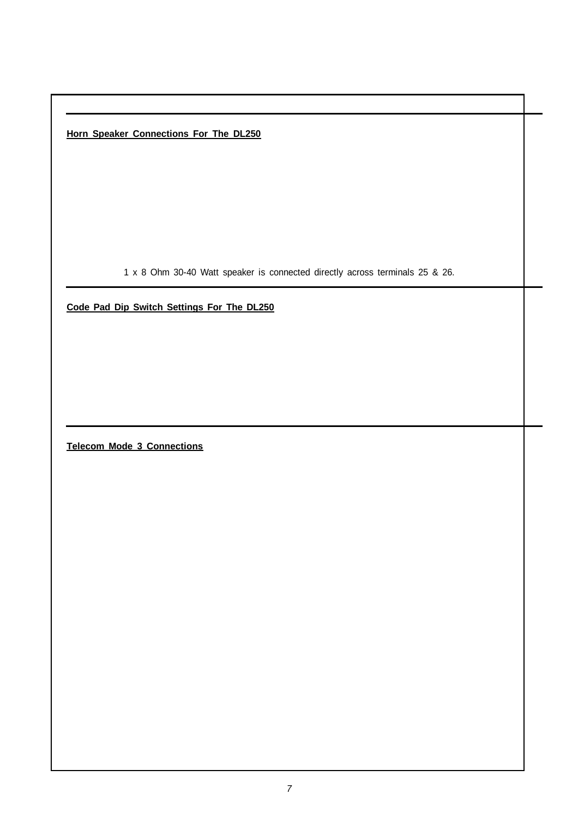**Horn Speaker Connections For The DL250**

1 x 8 Ohm 30-40 Watt speaker is connected directly across terminals 25 & 26.

**Code Pad Dip Switch Settings For The DL250**

**Telecom Mode 3 Connections**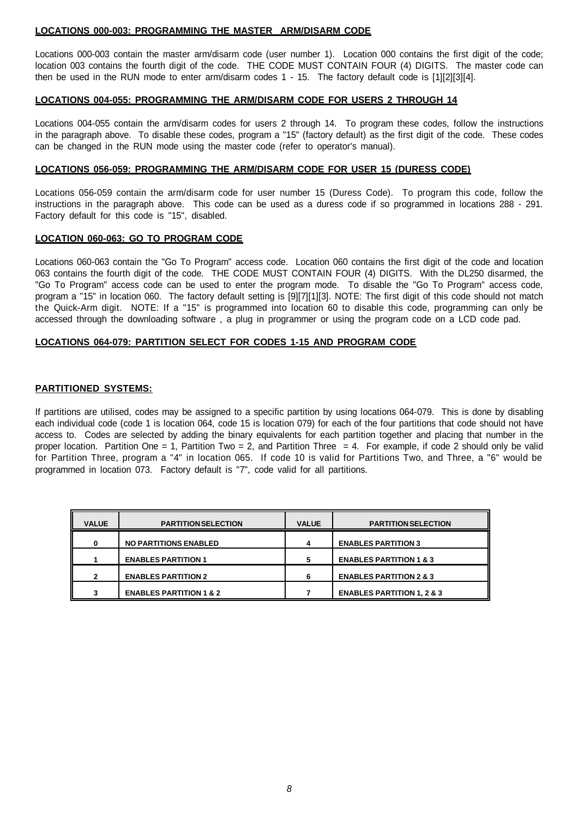## **LOCATIONS 000-003: PROGRAMMING THE MASTER ARM/DISARM CODE**

Locations 000-003 contain the master arm/disarm code (user number 1). Location 000 contains the first digit of the code; location 003 contains the fourth digit of the code. THE CODE MUST CONTAIN FOUR (4) DIGITS. The master code can then be used in the RUN mode to enter arm/disarm codes 1 - 15. The factory default code is [1][2][3][4].

### **LOCATIONS 004-055: PROGRAMMING THE ARM/DISARM CODE FOR USERS 2 THROUGH 14**

Locations 004-055 contain the arm/disarm codes for users 2 through 14. To program these codes, follow the instructions in the paragraph above. To disable these codes, program a "15" (factory default) as the first digit of the code. These codes can be changed in the RUN mode using the master code (refer to operator's manual).

### **LOCATIONS 056-059: PROGRAMMING THE ARM/DISARM CODE FOR USER 15 (DURESS CODE)**

Locations 056-059 contain the arm/disarm code for user number 15 (Duress Code). To program this code, follow the instructions in the paragraph above. This code can be used as a duress code if so programmed in locations 288 - 291. Factory default for this code is "15", disabled.

#### **LOCATION 060-063: GO TO PROGRAM CODE**

Locations 060-063 contain the "Go To Program" access code. Location 060 contains the first digit of the code and location 063 contains the fourth digit of the code. THE CODE MUST CONTAIN FOUR (4) DIGITS. With the DL250 disarmed, the "Go To Program" access code can be used to enter the program mode. To disable the "Go To Program" access code, program a "15" in location 060. The factory default setting is [9][7][1][3]. NOTE: The first digit of this code should not match the Quick-Arm digit. NOTE: If a "15" is programmed into location 60 to disable this code, programming can only be accessed through the downloading software , a plug in programmer or using the program code on a LCD code pad.

#### **LOCATIONS 064-079: PARTITION SELECT FOR CODES 1-15 AND PROGRAM CODE**

## **PARTITIONED SYSTEMS:**

If partitions are utilised, codes may be assigned to a specific partition by using locations 064-079. This is done by disabling each individual code (code 1 is location 064, code 15 is location 079) for each of the four partitions that code should not have access to. Codes are selected by adding the binary equivalents for each partition together and placing that number in the proper location. Partition One = 1, Partition Two = 2, and Partition Three = 4. For example, if code 2 should only be valid for Partition Three, program a "4" in location 065. If code 10 is valid for Partitions Two, and Three, a "6" would be programmed in location 073. Factory default is "7", code valid for all partitions.

| <b>VALUE</b> | <b>PARTITION SELECTION</b>         | <b>VALUE</b> | <b>PARTITION SELECTION</b>            |
|--------------|------------------------------------|--------------|---------------------------------------|
| 0            | <b>NO PARTITIONS ENABLED</b>       | 4            | <b>ENABLES PARTITION 3</b>            |
|              | <b>ENABLES PARTITION 1</b>         | 5            | <b>ENABLES PARTITION 1 &amp; 3</b>    |
| $\mathbf{2}$ | <b>ENABLES PARTITION 2</b>         | 6            | <b>ENABLES PARTITION 2 &amp; 3</b>    |
| 3            | <b>ENABLES PARTITION 1 &amp; 2</b> |              | <b>ENABLES PARTITION 1, 2 &amp; 3</b> |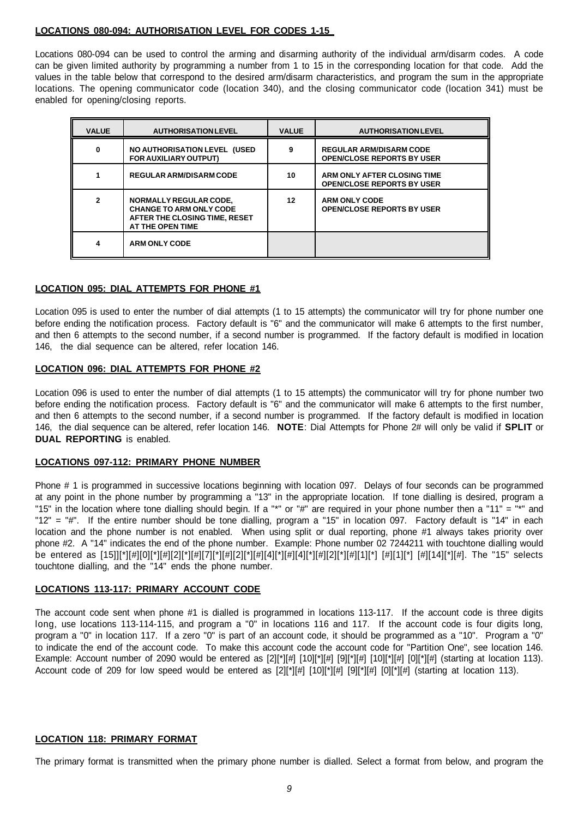## **LOCATIONS 080-094: AUTHORISATION LEVEL FOR CODES 1-15**

Locations 080-094 can be used to control the arming and disarming authority of the individual arm/disarm codes. A code can be given limited authority by programming a number from 1 to 15 in the corresponding location for that code. Add the values in the table below that correspond to the desired arm/disarm characteristics, and program the sum in the appropriate locations. The opening communicator code (location 340), and the closing communicator code (location 341) must be enabled for opening/closing reports.

| <b>VALUE</b> | <b>AUTHORISATION LEVEL</b>                                                                                           | <b>VALUE</b> | <b>AUTHORISATION LEVEL</b>                                          |
|--------------|----------------------------------------------------------------------------------------------------------------------|--------------|---------------------------------------------------------------------|
| 0            | <b>NO AUTHORISATION LEVEL (USED)</b><br><b>FOR AUXILIARY OUTPUT)</b>                                                 |              | <b>REGULAR ARM/DISARM CODE</b><br><b>OPEN/CLOSE REPORTS BY USER</b> |
|              | <b>REGULAR ARM/DISARM CODE</b>                                                                                       | 10           | ARM ONLY AFTER CLOSING TIME<br><b>OPEN/CLOSE REPORTS BY USER</b>    |
| $\mathbf{2}$ | <b>NORMALLY REGULAR CODE,</b><br><b>CHANGE TO ARM ONLY CODE</b><br>AFTER THE CLOSING TIME, RESET<br>AT THE OPEN TIME | 12           | <b>ARM ONLY CODE</b><br><b>OPEN/CLOSE REPORTS BY USER</b>           |
| 4            | <b>ARM ONLY CODE</b>                                                                                                 |              |                                                                     |

## **LOCATION 095: DIAL ATTEMPTS FOR PHONE #1**

Location 095 is used to enter the number of dial attempts (1 to 15 attempts) the communicator will try for phone number one before ending the notification process. Factory default is "6" and the communicator will make 6 attempts to the first number, and then 6 attempts to the second number, if a second number is programmed. If the factory default is modified in location 146, the dial sequence can be altered, refer location 146.

## **LOCATION 096: DIAL ATTEMPTS FOR PHONE #2**

Location 096 is used to enter the number of dial attempts (1 to 15 attempts) the communicator will try for phone number two before ending the notification process. Factory default is "6" and the communicator will make 6 attempts to the first number, and then 6 attempts to the second number, if a second number is programmed. If the factory default is modified in location 146, the dial sequence can be altered, refer location 146. **NOTE**: Dial Attempts for Phone 2# will only be valid if **SPLIT** or **DUAL REPORTING** is enabled.

## **LOCATIONS 097-112: PRIMARY PHONE NUMBER**

Phone # 1 is programmed in successive locations beginning with location 097. Delays of four seconds can be programmed at any point in the phone number by programming a "13" in the appropriate location. If tone dialling is desired, program a "15" in the location where tone dialling should begin. If a "\*" or "#" are required in your phone number then a "11" = "\*" and "12" = "#". If the entire number should be tone dialling, program a "15" in location 097. Factory default is "14" in each location and the phone number is not enabled. When using split or dual reporting, phone #1 always takes priority over phone #2. A "14" indicates the end of the phone number. Example: Phone number 02 7244211 with touchtone dialling would be entered as [15]][\*][#][0][\*][#][2][\*][#][7][\*][#][2][\*][#][4][\*][#][4][\*][#][2][\*][#][1][\*] [#][1][\*] [#][14][\*][#]. The "15" selects touchtone dialling, and the "14" ends the phone number.

## **LOCATIONS 113-117: PRIMARY ACCOUNT CODE**

The account code sent when phone #1 is dialled is programmed in locations 113-117. If the account code is three digits long, use locations 113-114-115, and program a "0" in locations 116 and 117. If the account code is four digits long, program a "0" in location 117. If a zero "0" is part of an account code, it should be programmed as a "10". Program a "0" to indicate the end of the account code. To make this account code the account code for "Partition One", see location 146. Example: Account number of 2090 would be entered as  $[2][\uparrow][\#][10][\uparrow][\#][10][\uparrow][\#][0][\uparrow][\#]$  (starting at location 113). Account code of 209 for low speed would be entered as  $[2]$ [\*][#]  $[10]$ [\*][#]  $[9]$ [\*][#]  $[0]$ [\*][#] (starting at location 113).

## **LOCATION 118: PRIMARY FORMAT**

The primary format is transmitted when the primary phone number is dialled. Select a format from below, and program the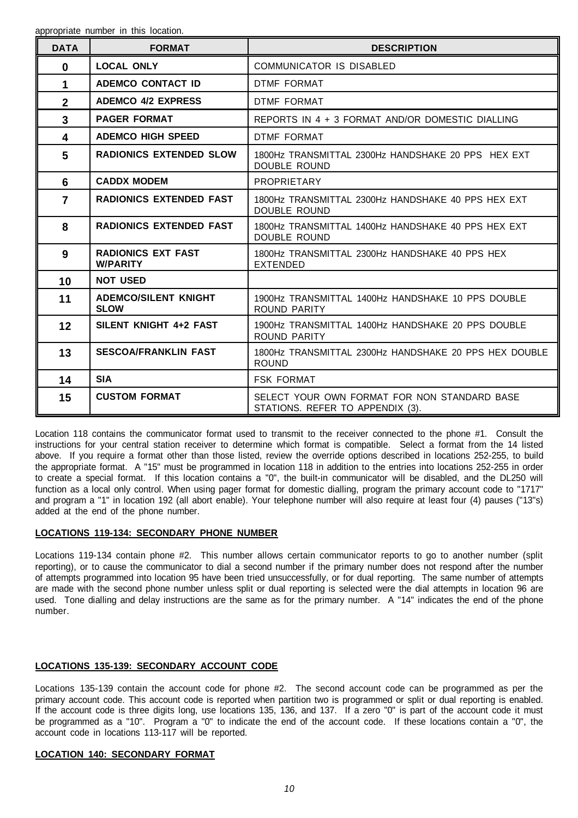| <b>DATA</b>    | <b>FORMAT</b>                                | <b>DESCRIPTION</b>                                                               |
|----------------|----------------------------------------------|----------------------------------------------------------------------------------|
| $\mathbf{0}$   | <b>LOCAL ONLY</b>                            | COMMUNICATOR IS DISABLED                                                         |
| 1              | <b>ADEMCO CONTACT ID</b>                     | DTMF FORMAT                                                                      |
| $\overline{2}$ | <b>ADEMCO 4/2 EXPRESS</b>                    | <b>DTMF FORMAT</b>                                                               |
| 3              | <b>PAGER FORMAT</b>                          | REPORTS IN 4 + 3 FORMAT AND/OR DOMESTIC DIALLING                                 |
| 4              | <b>ADEMCO HIGH SPEED</b>                     | DTMF FORMAT                                                                      |
| 5              | <b>RADIONICS EXTENDED SLOW</b>               | 1800Hz TRANSMITTAL 2300Hz HANDSHAKE 20 PPS HEX EXT<br><b>DOUBLE ROUND</b>        |
| 6              | <b>CADDX MODEM</b>                           | PROPRIETARY                                                                      |
| $\overline{7}$ | <b>RADIONICS EXTENDED FAST</b>               | 1800Hz TRANSMITTAL 2300Hz HANDSHAKE 40 PPS HEX EXT<br>DOUBLE ROUND               |
| 8              | <b>RADIONICS EXTENDED FAST</b>               | 1800Hz TRANSMITTAL 1400Hz HANDSHAKE 40 PPS HEX EXT<br>DOUBLE ROUND               |
| 9              | <b>RADIONICS EXT FAST</b><br><b>W/PARITY</b> | 1800Hz TRANSMITTAL 2300Hz HANDSHAKE 40 PPS HEX<br><b>EXTENDED</b>                |
| 10             | <b>NOT USED</b>                              |                                                                                  |
| 11             | <b>ADEMCO/SILENT KNIGHT</b><br><b>SLOW</b>   | 1900Hz TRANSMITTAL 1400Hz HANDSHAKE 10 PPS DOUBLE<br>ROUND PARITY                |
| 12             | SILENT KNIGHT 4+2 FAST                       | 1900Hz TRANSMITTAL 1400Hz HANDSHAKE 20 PPS DOUBLE<br><b>ROUND PARITY</b>         |
| 13             | <b>SESCOA/FRANKLIN FAST</b>                  | 1800Hz TRANSMITTAL 2300Hz HANDSHAKE 20 PPS HEX DOUBLE<br><b>ROUND</b>            |
| 14             | <b>SIA</b>                                   | <b>FSK FORMAT</b>                                                                |
| 15             | <b>CUSTOM FORMAT</b>                         | SELECT YOUR OWN FORMAT FOR NON STANDARD BASE<br>STATIONS. REFER TO APPENDIX (3). |

Location 118 contains the communicator format used to transmit to the receiver connected to the phone #1. Consult the instructions for your central station receiver to determine which format is compatible. Select a format from the 14 listed above. If you require a format other than those listed, review the override options described in locations 252-255, to build the appropriate format. A "15" must be programmed in location 118 in addition to the entries into locations 252-255 in order to create a special format. If this location contains a "0", the built-in communicator will be disabled, and the DL250 will function as a local only control. When using pager format for domestic dialling, program the primary account code to "1717" and program a "1" in location 192 (all abort enable). Your telephone number will also require at least four (4) pauses ("13"s) added at the end of the phone number.

## **LOCATIONS 119-134: SECONDARY PHONE NUMBER**

Locations 119-134 contain phone #2. This number allows certain communicator reports to go to another number (split reporting), or to cause the communicator to dial a second number if the primary number does not respond after the number of attempts programmed into location 95 have been tried unsuccessfully, or for dual reporting. The same number of attempts are made with the second phone number unless split or dual reporting is selected were the dial attempts in location 96 are used. Tone dialling and delay instructions are the same as for the primary number. A "14" indicates the end of the phone number.

## **LOCATIONS 135-139: SECONDARY ACCOUNT CODE**

Locations 135-139 contain the account code for phone #2. The second account code can be programmed as per the primary account code. This account code is reported when partition two is programmed or split or dual reporting is enabled. If the account code is three digits long, use locations 135, 136, and 137. If a zero "0" is part of the account code it must be programmed as a "10". Program a "0" to indicate the end of the account code. If these locations contain a "0", the account code in locations 113-117 will be reported.

## **LOCATION 140: SECONDARY FORMAT**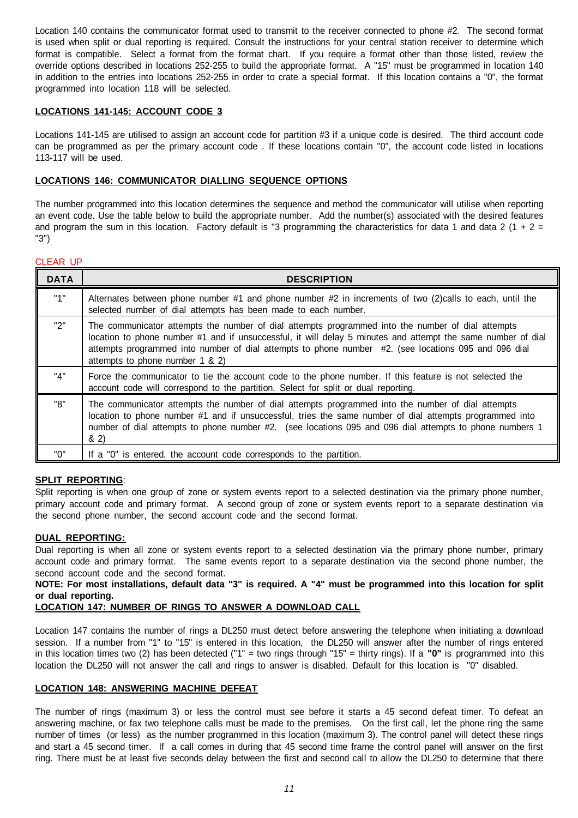Location 140 contains the communicator format used to transmit to the receiver connected to phone #2. The second format is used when split or dual reporting is required. Consult the instructions for your central station receiver to determine which format is compatible. Select a format from the format chart. If you require a format other than those listed, review the override options described in locations 252-255 to build the appropriate format. A "15" must be programmed in location 140 in addition to the entries into locations 252-255 in order to crate a special format. If this location contains a "0", the format programmed into location 118 will be selected.

## **LOCATIONS 141-145: ACCOUNT CODE 3**

Locations 141-145 are utilised to assign an account code for partition #3 if a unique code is desired. The third account code can be programmed as per the primary account code . If these locations contain "0", the account code listed in locations 113-117 will be used.

## **LOCATIONS 146: COMMUNICATOR DIALLING SEQUENCE OPTIONS**

The number programmed into this location determines the sequence and method the communicator will utilise when reporting an event code. Use the table below to build the appropriate number. Add the number(s) associated with the desired features and program the sum in this location. Factory default is "3 programming the characteristics for data 1 and data 2 (1 + 2 = "3")

## CLEAR UP

| <b>DATA</b> | <b>DESCRIPTION</b>                                                                                                                                                                                                                                                                                                                                           |
|-------------|--------------------------------------------------------------------------------------------------------------------------------------------------------------------------------------------------------------------------------------------------------------------------------------------------------------------------------------------------------------|
| "1"         | Alternates between phone number #1 and phone number #2 in increments of two (2) calls to each, until the<br>selected number of dial attempts has been made to each number.                                                                                                                                                                                   |
| "2"         | The communicator attempts the number of dial attempts programmed into the number of dial attempts<br>location to phone number #1 and if unsuccessful, it will delay 5 minutes and attempt the same number of dial<br>attempts programmed into number of dial attempts to phone number #2. (see locations 095 and 096 dial<br>attempts to phone number 1 & 2) |
| "4"         | Force the communicator to tie the account code to the phone number. If this feature is not selected the<br>account code will correspond to the partition. Select for split or dual reporting.                                                                                                                                                                |
| "8"         | The communicator attempts the number of dial attempts programmed into the number of dial attempts<br>location to phone number #1 and if unsuccessful, tries the same number of dial attempts programmed into<br>number of dial attempts to phone number #2. (see locations 095 and 096 dial attempts to phone numbers 1<br>82)                               |
| "በ"         | If a "0" is entered, the account code corresponds to the partition.                                                                                                                                                                                                                                                                                          |

## **SPLIT REPORTING**:

Split reporting is when one group of zone or system events report to a selected destination via the primary phone number, primary account code and primary format. A second group of zone or system events report to a separate destination via the second phone number, the second account code and the second format.

## **DUAL REPORTING:**

Dual reporting is when all zone or system events report to a selected destination via the primary phone number, primary account code and primary format. The same events report to a separate destination via the second phone number, the second account code and the second format.

## **NOTE: For most installations, default data "3" is required. A "4" must be programmed into this location for split or dual reporting.**

## **LOCATION 147: NUMBER OF RINGS TO ANSWER A DOWNLOAD CALL**

Location 147 contains the number of rings a DL250 must detect before answering the telephone when initiating a download session. If a number from "1" to "15" is entered in this location, the DL250 will answer after the number of rings entered in this location times two (2) has been detected ("1" = two rings through "15" = thirty rings). If a **"0"** is programmed into this location the DL250 will not answer the call and rings to answer is disabled. Default for this location is "0" disabled.

## **LOCATION 148: ANSWERING MACHINE DEFEAT**

The number of rings (maximum 3) or less the control must see before it starts a 45 second defeat timer. To defeat an answering machine, or fax two telephone calls must be made to the premises. On the first call, let the phone ring the same number of times (or less) as the number programmed in this location (maximum 3). The control panel will detect these rings and start a 45 second timer. If a call comes in during that 45 second time frame the control panel will answer on the first ring. There must be at least five seconds delay between the first and second call to allow the DL250 to determine that there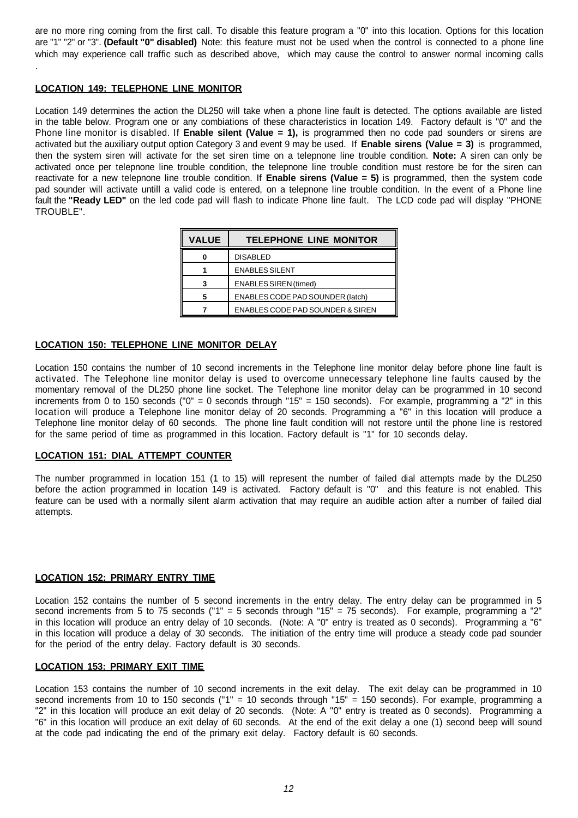are no more ring coming from the first call. To disable this feature program a "0" into this location. Options for this location are "1" "2" or "3". **(Default "0" disabled)** Note: this feature must not be used when the control is connected to a phone line which may experience call traffic such as described above, which may cause the control to answer normal incoming calls .

## **LOCATION 149: TELEPHONE LINE MONITOR**

Location 149 determines the action the DL250 will take when a phone line fault is detected. The options available are listed in the table below. Program one or any combiations of these characteristics in location 149. Factory default is "0" and the Phone line monitor is disabled. If **Enable silent (Value = 1),** is programmed then no code pad sounders or sirens are activated but the auxiliary output option Category 3 and event 9 may be used. If **Enable sirens (Value = 3)** is programmed, then the system siren will activate for the set siren time on a telepnone line trouble condition. **Note:** A siren can only be activated once per telepnone line trouble condition, the telepnone line trouble condition must restore be for the siren can reactivate for a new telepnone line trouble condition. If **Enable sirens (Value = 5)** is programmed, then the system code pad sounder will activate untill a valid code is entered, on a telepnone line trouble condition. In the event of a Phone line fault the **"Ready LED"** on the led code pad will flash to indicate Phone line fault. The LCD code pad will display "PHONE TROUBLE".

| <b>VALUE</b> | <b>TELEPHONE LINE MONITOR</b>    |  |
|--------------|----------------------------------|--|
| Λ            | <b>DISABLED</b>                  |  |
|              | <b>ENABLES SILENT</b>            |  |
| 3            | <b>ENABLES SIREN (timed)</b>     |  |
| 5            | ENABLES CODE PAD SOUNDER (latch) |  |
|              | ENABLES CODE PAD SOUNDER & SIREN |  |

## **LOCATION 150: TELEPHONE LINE MONITOR DELAY**

Location 150 contains the number of 10 second increments in the Telephone line monitor delay before phone line fault is activated. The Telephone line monitor delay is used to overcome unnecessary telephone line faults caused by the momentary removal of the DL250 phone line socket. The Telephone line monitor delay can be programmed in 10 second increments from 0 to 150 seconds ("0" = 0 seconds through "15" = 150 seconds). For example, programming a "2" in this location will produce a Telephone line monitor delay of 20 seconds. Programming a "6" in this location will produce a Telephone line monitor delay of 60 seconds. The phone line fault condition will not restore until the phone line is restored for the same period of time as programmed in this location. Factory default is "1" for 10 seconds delay.

## **LOCATION 151: DIAL ATTEMPT COUNTER**

The number programmed in location 151 (1 to 15) will represent the number of failed dial attempts made by the DL250 before the action programmed in location 149 is activated. Factory default is "0" and this feature is not enabled. This feature can be used with a normally silent alarm activation that may require an audible action after a number of failed dial attempts.

## **LOCATION 152: PRIMARY ENTRY TIME**

Location 152 contains the number of 5 second increments in the entry delay. The entry delay can be programmed in 5 second increments from 5 to 75 seconds ("1" = 5 seconds through "15" = 75 seconds). For example, programming a "2" in this location will produce an entry delay of 10 seconds. (Note: A "0" entry is treated as 0 seconds). Programming a "6" in this location will produce a delay of 30 seconds. The initiation of the entry time will produce a steady code pad sounder for the period of the entry delay. Factory default is 30 seconds.

## **LOCATION 153: PRIMARY EXIT TIME**

Location 153 contains the number of 10 second increments in the exit delay. The exit delay can be programmed in 10 second increments from 10 to 150 seconds ("1" = 10 seconds through "15" = 150 seconds). For example, programming a "2" in this location will produce an exit delay of 20 seconds. (Note: A "0" entry is treated as 0 seconds). Programming a "6" in this location will produce an exit delay of 60 seconds. At the end of the exit delay a one (1) second beep will sound at the code pad indicating the end of the primary exit delay. Factory default is 60 seconds.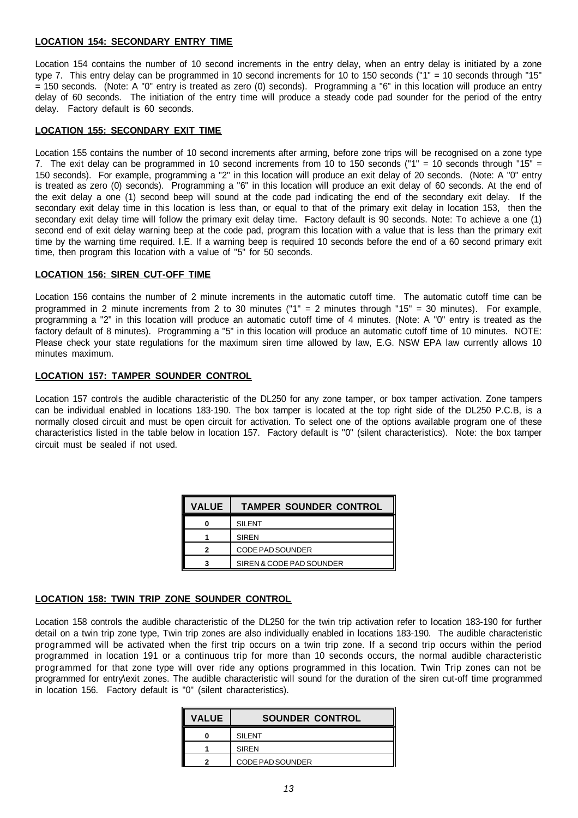## **LOCATION 154: SECONDARY ENTRY TIME**

Location 154 contains the number of 10 second increments in the entry delay, when an entry delay is initiated by a zone type 7. This entry delay can be programmed in 10 second increments for 10 to 150 seconds ("1" = 10 seconds through "15" = 150 seconds. (Note: A "0" entry is treated as zero (0) seconds). Programming a "6" in this location will produce an entry delay of 60 seconds. The initiation of the entry time will produce a steady code pad sounder for the period of the entry delay. Factory default is 60 seconds.

## **LOCATION 155: SECONDARY EXIT TIME**

Location 155 contains the number of 10 second increments after arming, before zone trips will be recognised on a zone type 7. The exit delay can be programmed in 10 second increments from 10 to 150 seconds ("1" = 10 seconds through "15" = 150 seconds). For example, programming a "2" in this location will produce an exit delay of 20 seconds. (Note: A "0" entry is treated as zero (0) seconds). Programming a "6" in this location will produce an exit delay of 60 seconds. At the end of the exit delay a one (1) second beep will sound at the code pad indicating the end of the secondary exit delay. If the secondary exit delay time in this location is less than, or equal to that of the primary exit delay in location 153, then the secondary exit delay time will follow the primary exit delay time. Factory default is 90 seconds. Note: To achieve a one (1) second end of exit delay warning beep at the code pad, program this location with a value that is less than the primary exit time by the warning time required. I.E. If a warning beep is required 10 seconds before the end of a 60 second primary exit time, then program this location with a value of "5" for 50 seconds.

#### **LOCATION 156: SIREN CUT-OFF TIME**

Location 156 contains the number of 2 minute increments in the automatic cutoff time. The automatic cutoff time can be programmed in 2 minute increments from 2 to 30 minutes ( $1" = 2$  minutes through  $15" = 30$  minutes). For example, programming a "2" in this location will produce an automatic cutoff time of 4 minutes. (Note: A "0" entry is treated as the factory default of 8 minutes). Programming a "5" in this location will produce an automatic cutoff time of 10 minutes. NOTE: Please check your state regulations for the maximum siren time allowed by law, E.G. NSW EPA law currently allows 10 minutes maximum.

#### **LOCATION 157: TAMPER SOUNDER CONTROL**

Location 157 controls the audible characteristic of the DL250 for any zone tamper, or box tamper activation. Zone tampers can be individual enabled in locations 183-190. The box tamper is located at the top right side of the DL250 P.C.B, is a normally closed circuit and must be open circuit for activation. To select one of the options available program one of these characteristics listed in the table below in location 157. Factory default is "0" (silent characteristics). Note: the box tamper circuit must be sealed if not used.

| <b>VALUE</b> | <b>TAMPER SOUNDER CONTROL</b> |
|--------------|-------------------------------|
|              | <b>SILENT</b>                 |
|              | <b>SIRFN</b>                  |
|              | CODE PAD SOUNDER              |
|              | SIREN & CODE PAD SOUNDER      |

## **LOCATION 158: TWIN TRIP ZONE SOUNDER CONTROL**

Location 158 controls the audible characteristic of the DL250 for the twin trip activation refer to location 183-190 for further detail on a twin trip zone type, Twin trip zones are also individually enabled in locations 183-190. The audible characteristic programmed will be activated when the first trip occurs on a twin trip zone. If a second trip occurs within the period programmed in location 191 or a continuous trip for more than 10 seconds occurs, the normal audible characteristic programmed for that zone type will over ride any options programmed in this location. Twin Trip zones can not be programmed for entry\exit zones. The audible characteristic will sound for the duration of the siren cut-off time programmed in location 156. Factory default is "0" (silent characteristics).

| <b>VALUE</b> | <b>SOUNDER CONTROL</b> |
|--------------|------------------------|
|              | <b>SILENT</b>          |
|              | SIRFN                  |
| ◠            | CODE PAD SOUNDER       |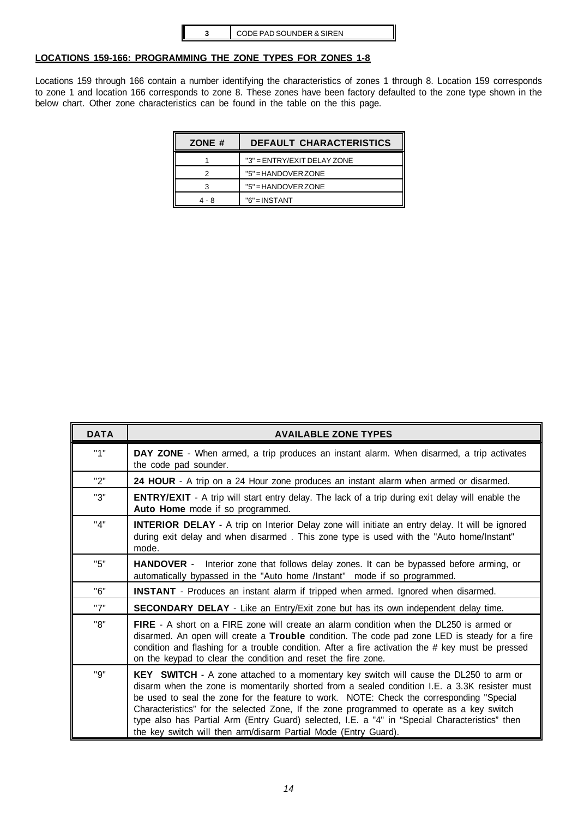## **LOCATIONS 159-166: PROGRAMMING THE ZONE TYPES FOR ZONES 1-8**

Locations 159 through 166 contain a number identifying the characteristics of zones 1 through 8. Location 159 corresponds to zone 1 and location 166 corresponds to zone 8. These zones have been factory defaulted to the zone type shown in the below chart. Other zone characteristics can be found in the table on the this page.

| ZONE # | <b>DEFAULT CHARACTERISTICS</b> |  |
|--------|--------------------------------|--|
|        | "3" = ENTRY/EXIT DELAY ZONE    |  |
|        | $"5" = HANDOVER ZONE$          |  |
|        | $"5" = HANDOVER ZONE$          |  |
| 4 - 8  | $"6" = INSTANT$                |  |

| <b>DATA</b> | <b>AVAILABLE ZONE TYPES</b>                                                                                                                                                                                                                                                                                                                                                                                                                                                                                                                                 |
|-------------|-------------------------------------------------------------------------------------------------------------------------------------------------------------------------------------------------------------------------------------------------------------------------------------------------------------------------------------------------------------------------------------------------------------------------------------------------------------------------------------------------------------------------------------------------------------|
| "1"         | DAY ZONE - When armed, a trip produces an instant alarm. When disarmed, a trip activates<br>the code pad sounder.                                                                                                                                                                                                                                                                                                                                                                                                                                           |
| "2"         | 24 HOUR - A trip on a 24 Hour zone produces an instant alarm when armed or disarmed.                                                                                                                                                                                                                                                                                                                                                                                                                                                                        |
| "3"         | <b>ENTRY/EXIT</b> - A trip will start entry delay. The lack of a trip during exit delay will enable the<br>Auto Home mode if so programmed.                                                                                                                                                                                                                                                                                                                                                                                                                 |
| "4"         | <b>INTERIOR DELAY</b> - A trip on Interior Delay zone will initiate an entry delay. It will be ignored<br>during exit delay and when disarmed. This zone type is used with the "Auto home/Instant"<br>mode.                                                                                                                                                                                                                                                                                                                                                 |
| "5"         | <b>HANDOVER</b> - Interior zone that follows delay zones. It can be bypassed before arming, or<br>automatically bypassed in the "Auto home /Instant" mode if so programmed.                                                                                                                                                                                                                                                                                                                                                                                 |
| "6"         | <b>INSTANT</b> - Produces an instant alarm if tripped when armed. Ignored when disarmed.                                                                                                                                                                                                                                                                                                                                                                                                                                                                    |
| "7"         | <b>SECONDARY DELAY</b> - Like an Entry/Exit zone but has its own independent delay time.                                                                                                                                                                                                                                                                                                                                                                                                                                                                    |
| "8"         | <b>FIRE</b> - A short on a FIRE zone will create an alarm condition when the DL250 is armed or<br>disarmed. An open will create a Trouble condition. The code pad zone LED is steady for a fire<br>condition and flashing for a trouble condition. After a fire activation the # key must be pressed<br>on the keypad to clear the condition and reset the fire zone.                                                                                                                                                                                       |
| "Q"         | <b>KEY SWITCH</b> - A zone attached to a momentary key switch will cause the DL250 to arm or<br>disarm when the zone is momentarily shorted from a sealed condition I.E. a 3.3K resister must<br>be used to seal the zone for the feature to work. NOTE: Check the corresponding "Special<br>Characteristics" for the selected Zone, If the zone programmed to operate as a key switch<br>type also has Partial Arm (Entry Guard) selected, I.E. a "4" in "Special Characteristics" then<br>the key switch will then arm/disarm Partial Mode (Entry Guard). |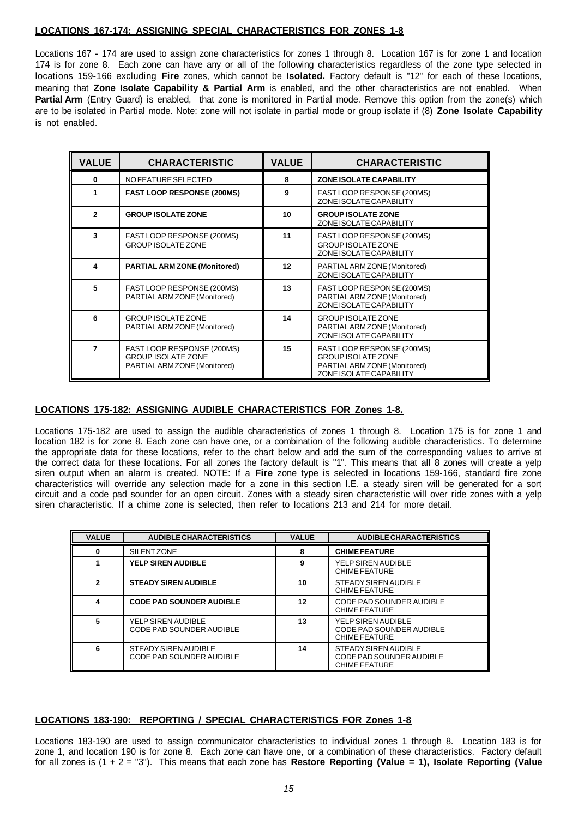## **LOCATIONS 167-174: ASSIGNING SPECIAL CHARACTERISTICS FOR ZONES 1-8**

Locations 167 - 174 are used to assign zone characteristics for zones 1 through 8. Location 167 is for zone 1 and location 174 is for zone 8. Each zone can have any or all of the following characteristics regardless of the zone type selected in locations 159-166 excluding **Fire** zones, which cannot be **Isolated.** Factory default is "12" for each of these locations, meaning that **Zone Isolate Capability & Partial Arm** is enabled, and the other characteristics are not enabled. When Partial Arm (Entry Guard) is enabled, that zone is monitored in Partial mode. Remove this option from the zone(s) which are to be isolated in Partial mode. Note: zone will not isolate in partial mode or group isolate if (8) **Zone Isolate Capability** is not enabled.

| <b>VALUE</b> | <b>CHARACTERISTIC</b>                                                                   | <b>VALUE</b> | <b>CHARACTERISTIC</b>                                                                                              |
|--------------|-----------------------------------------------------------------------------------------|--------------|--------------------------------------------------------------------------------------------------------------------|
| $\bf{0}$     | NO FEATURE SELECTED                                                                     | 8            | <b>ZONE ISOLATE CAPABILITY</b>                                                                                     |
| 1            | <b>FAST LOOP RESPONSE (200MS)</b>                                                       | 9            | FAST LOOP RESPONSE (200MS)<br>ZONE ISOLATE CAPABILITY                                                              |
| $\mathbf{2}$ | <b>GROUP ISOLATE ZONE</b>                                                               | 10           | <b>GROUP ISOLATE ZONE</b><br>ZONE ISOLATE CAPABILITY                                                               |
| 3            | FAST LOOP RESPONSE (200MS)<br><b>GROUP ISOLATE ZONE</b>                                 | 11           | FAST LOOP RESPONSE (200MS)<br><b>GROUP ISOLATE ZONE</b><br>ZONE ISOLATE CAPABILITY                                 |
| 4            | <b>PARTIAL ARM ZONE (Monitored)</b>                                                     | 12           | PARTIAL ARM ZONE (Monitored)<br>ZONE ISOLATE CAPABILITY                                                            |
| 5            | FAST LOOP RESPONSE (200MS)<br>PARTIAL ARM ZONE (Monitored)                              | 13           | FAST LOOP RESPONSE (200MS)<br>PARTIAL ARM ZONE (Monitored)<br>ZONE ISOLATE CAPABILITY                              |
| 6            | <b>GROUP ISOLATE ZONE</b><br>PARTIAL ARM ZONE (Monitored)                               | 14           | <b>GROUP ISOLATE ZONE</b><br>PARTIAL ARM ZONE (Monitored)<br>ZONE ISOLATE CAPABILITY                               |
| 7            | FAST LOOP RESPONSE (200MS)<br><b>GROUP ISOLATE ZONE</b><br>PARTIAL ARM ZONE (Monitored) | 15           | FAST LOOP RESPONSE (200MS)<br><b>GROUP ISOLATE ZONE</b><br>PARTIAL ARM ZONE (Monitored)<br>ZONE ISOLATE CAPABILITY |

## **LOCATIONS 175-182: ASSIGNING AUDIBLE CHARACTERISTICS FOR Zones 1-8.**

Locations 175-182 are used to assign the audible characteristics of zones 1 through 8. Location 175 is for zone 1 and location 182 is for zone 8. Each zone can have one, or a combination of the following audible characteristics. To determine the appropriate data for these locations, refer to the chart below and add the sum of the corresponding values to arrive at the correct data for these locations. For all zones the factory default is "1". This means that all 8 zones will create a yelp siren output when an alarm is created. NOTE: If a **Fire** zone type is selected in locations 159-166, standard fire zone characteristics will override any selection made for a zone in this section I.E. a steady siren will be generated for a sort circuit and a code pad sounder for an open circuit. Zones with a steady siren characteristic will over ride zones with a yelp siren characteristic. If a chime zone is selected, then refer to locations 213 and 214 for more detail.

| <b>VALUE</b> | <b>AUDIBLE CHARACTERISTICS</b>                          | <b>VALUE</b> | <b>AUDIBLE CHARACTERISTICS</b>                                           |
|--------------|---------------------------------------------------------|--------------|--------------------------------------------------------------------------|
| $\bf{0}$     | SILENT ZONE                                             | 8            | <b>CHIME FEATURE</b>                                                     |
|              | <b>YELP SIREN AUDIBLE</b>                               | 9            | YELP SIREN AUDIBLE<br>CHIME FEATURE                                      |
| $\mathbf{2}$ | <b>STEADY SIREN AUDIBLE</b>                             | 10           | STEADY SIREN AUDIBLE<br>CHIME FEATURE                                    |
| 4            | <b>CODE PAD SOUNDER AUDIBLE</b>                         | 12           | CODE PAD SOUNDER AUDIBLE<br>CHIME FEATURE                                |
| 5            | YELP SIREN AUDIBLE<br>CODE PAD SOUNDER AUDIBLE          | 13           | YELP SIREN AUDIBLE<br>CODE PAD SOUNDER AUDIBLE<br>CHIME FEATURE          |
| 6            | STEADY SIREN AUDIBLE<br><b>CODE PAD SOUNDER AUDIBLE</b> | 14           | STEADY SIREN AUDIBLE<br>CODE PAD SOUNDER AUDIBLE<br><b>CHIME FEATURE</b> |

## **LOCATIONS 183-190: REPORTING / SPECIAL CHARACTERISTICS FOR Zones 1-8**

Locations 183-190 are used to assign communicator characteristics to individual zones 1 through 8. Location 183 is for zone 1, and location 190 is for zone 8. Each zone can have one, or a combination of these characteristics. Factory default for all zones is (1 + 2 = "3"). This means that each zone has **Restore Reporting (Value = 1), Isolate Reporting (Value**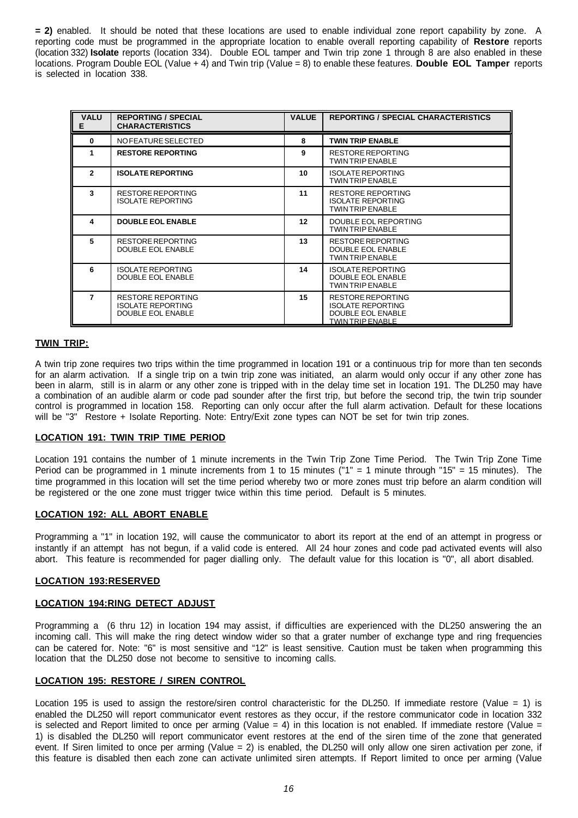**= 2)** enabled. It should be noted that these locations are used to enable individual zone report capability by zone. A reporting code must be programmed in the appropriate location to enable overall reporting capability of **Restore** reports (location 332) **Isolate** reports (location 334). Double EOL tamper and Twin trip zone 1 through 8 are also enabled in these locations. Program Double EOL (Value + 4) and Twin trip (Value = 8) to enable these features. **Double EOL Tamper** reports is selected in location 338.

| <b>VALU</b><br>E. | <b>REPORTING / SPECIAL</b><br><b>CHARACTERISTICS</b>                             | <b>VALUE</b> | <b>REPORTING / SPECIAL CHARACTERISTICS</b>                                                                  |
|-------------------|----------------------------------------------------------------------------------|--------------|-------------------------------------------------------------------------------------------------------------|
| $\bf{0}$          | NO FEATURE SELECTED                                                              | 8            | <b>TWIN TRIP ENABLE</b>                                                                                     |
| 1                 | <b>RESTORE REPORTING</b>                                                         | 9            | <b>RESTORE REPORTING</b><br><b>TWIN TRIP ENABLE</b>                                                         |
| $\mathbf{2}$      | <b>ISOLATE REPORTING</b>                                                         | 10           | <b>ISOLATE REPORTING</b><br><b>TWIN TRIP ENABLE</b>                                                         |
| 3                 | RESTORE REPORTING<br><b>ISOLATE REPORTING</b>                                    | 11           | RESTORE REPORTING<br><b>ISOLATE REPORTING</b><br><b>TWIN TRIP ENABLE</b>                                    |
| 4                 | <b>DOUBLE EOL ENABLE</b>                                                         | 12           | DOUBLE EOL REPORTING<br><b>TWIN TRIP ENABLE</b>                                                             |
| 5                 | <b>RESTORE REPORTING</b><br><b>DOUBLE EOL ENABLE</b>                             | 13           | RESTORE REPORTING<br><b>DOUBLE EOL ENABLE</b><br>TWIN TRIP ENABLE                                           |
| 6                 | <b>ISOLATE REPORTING</b><br><b>DOUBLE EOL ENABLE</b>                             | 14           | <b>ISOLATE REPORTING</b><br><b>DOUBLE EOL ENABLE</b><br><b>TWIN TRIP ENABLE</b>                             |
| 7                 | <b>RESTORE REPORTING</b><br><b>ISOLATE REPORTING</b><br><b>DOUBLE EOL ENABLE</b> | 15           | <b>RESTORE REPORTING</b><br><b>ISOLATE REPORTING</b><br><b>DOUBLE EOL ENABLE</b><br><b>TWIN TRIP ENABLE</b> |

## **TWIN TRIP:**

A twin trip zone requires two trips within the time programmed in location 191 or a continuous trip for more than ten seconds for an alarm activation. If a single trip on a twin trip zone was initiated, an alarm would only occur if any other zone has been in alarm, still is in alarm or any other zone is tripped with in the delay time set in location 191. The DL250 may have a combination of an audible alarm or code pad sounder after the first trip, but before the second trip, the twin trip sounder control is programmed in location 158. Reporting can only occur after the full alarm activation. Default for these locations will be "3" Restore + Isolate Reporting. Note: Entry/Exit zone types can NOT be set for twin trip zones.

## **LOCATION 191: TWIN TRIP TIME PERIOD**

Location 191 contains the number of 1 minute increments in the Twin Trip Zone Time Period. The Twin Trip Zone Time Period can be programmed in 1 minute increments from 1 to 15 minutes ("1" = 1 minute through "15" = 15 minutes). The time programmed in this location will set the time period whereby two or more zones must trip before an alarm condition will be registered or the one zone must trigger twice within this time period. Default is 5 minutes.

#### **LOCATION 192: ALL ABORT ENABLE**

Programming a "1" in location 192, will cause the communicator to abort its report at the end of an attempt in progress or instantly if an attempt has not begun, if a valid code is entered. All 24 hour zones and code pad activated events will also abort. This feature is recommended for pager dialling only. The default value for this location is "0", all abort disabled.

#### **LOCATION 193:RESERVED**

## **LOCATION 194:RING DETECT ADJUST**

Programming a (6 thru 12) in location 194 may assist, if difficulties are experienced with the DL250 answering the an incoming call. This will make the ring detect window wider so that a grater number of exchange type and ring frequencies can be catered for. Note: "6" is most sensitive and "12" is least sensitive. Caution must be taken when programming this location that the DL250 dose not become to sensitive to incoming calls.

## **LOCATION 195: RESTORE / SIREN CONTROL**

Location 195 is used to assign the restore/siren control characteristic for the DL250. If immediate restore (Value = 1) is enabled the DL250 will report communicator event restores as they occur, if the restore communicator code in location 332 is selected and Report limited to once per arming (Value  $= 4$ ) in this location is not enabled. If immediate restore (Value  $=$ 1) is disabled the DL250 will report communicator event restores at the end of the siren time of the zone that generated event. If Siren limited to once per arming (Value = 2) is enabled, the DL250 will only allow one siren activation per zone, if this feature is disabled then each zone can activate unlimited siren attempts. If Report limited to once per arming (Value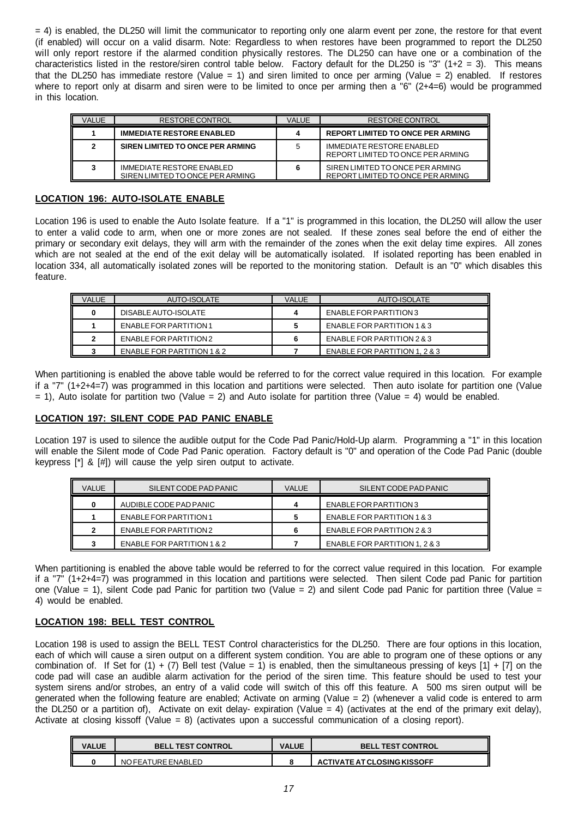= 4) is enabled, the DL250 will limit the communicator to reporting only one alarm event per zone, the restore for that event (if enabled) will occur on a valid disarm. Note: Regardless to when restores have been programmed to report the DL250 will only report restore if the alarmed condition physically restores. The DL250 can have one or a combination of the characteristics listed in the restore/siren control table below. Factory default for the DL250 is "3" (1+2 = 3). This means that the DL250 has immediate restore (Value = 1) and siren limited to once per arming (Value = 2) enabled. If restores where to report only at disarm and siren were to be limited to once per arming then a "6" (2+4=6) would be programmed in this location.

| VALUE | RESTORE CONTROL                                               | <b>VALUE</b> | <b>RESTORE CONTROL</b>                                                |
|-------|---------------------------------------------------------------|--------------|-----------------------------------------------------------------------|
|       | <b>IMMEDIATE RESTORE ENABLED</b>                              | 4            | <b>REPORT LIMITED TO ONCE PER ARMING</b>                              |
|       | SIREN LIMITED TO ONCE PER ARMING                              | 5            | <b>IMMEDIATE RESTORE ENABLED</b><br>REPORT LIMITED TO ONCE PER ARMING |
|       | IMMEDIATE RESTORE ENABLED<br>SIREN LIMITED TO ONCE PER ARMING | 6            | SIREN LIMITED TO ONCE PER ARMING<br>REPORT LIMITED TO ONCE PER ARMING |

## **LOCATION 196: AUTO-ISOLATE ENABLE**

Location 196 is used to enable the Auto Isolate feature. If a "1" is programmed in this location, the DL250 will allow the user to enter a valid code to arm, when one or more zones are not sealed. If these zones seal before the end of either the primary or secondary exit delays, they will arm with the remainder of the zones when the exit delay time expires. All zones which are not sealed at the end of the exit delay will be automatically isolated. If isolated reporting has been enabled in location 334, all automatically isolated zones will be reported to the monitoring station. Default is an "0" which disables this feature.

| VALUE | AUTO-ISOLATE               | <b>VALUE</b> | AUTO-ISOLATE                  |
|-------|----------------------------|--------------|-------------------------------|
|       | DISABLE AUTO-ISOLATE       |              | ENABLE FOR PARTITION 3        |
|       | ENABLE FOR PARTITION 1     |              | ENABLE FOR PARTITION 1 & 3    |
|       | ENABLE FOR PARTITION 2     |              | ENABLE FOR PARTITION 2 & 3    |
|       | ENABLE FOR PARTITION 1 & 2 |              | ENABLE FOR PARTITION 1, 2 & 3 |

When partitioning is enabled the above table would be referred to for the correct value required in this location. For example if a "7" (1+2+4=7) was programmed in this location and partitions were selected. Then auto isolate for partition one (Value  $= 1$ ), Auto isolate for partition two (Value = 2) and Auto isolate for partition three (Value = 4) would be enabled.

## **LOCATION 197: SILENT CODE PAD PANIC ENABLE**

Location 197 is used to silence the audible output for the Code Pad Panic/Hold-Up alarm. Programming a "1" in this location will enable the Silent mode of Code Pad Panic operation. Factory default is "0" and operation of the Code Pad Panic (double keypress [\*] & [#]) will cause the yelp siren output to activate.

| <b>VALUE</b> | SILENT CODE PAD PANIC         | <b>VALUE</b> | SILENT CODE PAD PANIC         |
|--------------|-------------------------------|--------------|-------------------------------|
|              | AUDIBLE CODE PAD PANIC        |              | ENABLE FOR PARTITION 3        |
|              | <b>ENABLE FOR PARTITION 1</b> |              | ENABLE FOR PARTITION 1 & 3    |
|              | ENABLE FOR PARTITION 2        |              | ENABLE FOR PARTITION 2 & 3    |
|              | ENABLE FOR PARTITION 1 & 2    |              | ENABLE FOR PARTITION 1, 2 & 3 |

When partitioning is enabled the above table would be referred to for the correct value required in this location. For example if a "7" (1+2+4=7) was programmed in this location and partitions were selected. Then silent Code pad Panic for partition one (Value = 1), silent Code pad Panic for partition two (Value = 2) and silent Code pad Panic for partition three (Value = 4) would be enabled.

## **LOCATION 198: BELL TEST CONTROL**

Location 198 is used to assign the BELL TEST Control characteristics for the DL250. There are four options in this location, each of which will cause a siren output on a different system condition. You are able to program one of these options or any combination of. If Set for (1) + (7) Bell test (Value = 1) is enabled, then the simultaneous pressing of keys [1] + [7] on the code pad will case an audible alarm activation for the period of the siren time. This feature should be used to test your system sirens and/or strobes, an entry of a valid code will switch of this off this feature. A 500 ms siren output will be generated when the following feature are enabled; Activate on arming (Value = 2) (whenever a valid code is entered to arm the DL250 or a partition of). Activate on exit delay- expiration (Value  $=$  4) (activates at the end of the primary exit delay), Activate at closing kissoff (Value = 8) (activates upon a successful communication of a closing report).

| <b>VALUE</b> | <b>BELL TEST CONTROL</b> | <b>VALUE</b> | <b>BELL TEST CONTROL</b>    |
|--------------|--------------------------|--------------|-----------------------------|
|              | NO FEATURE ENABLED       |              | ACTIVATE AT CLOSING KISSOFF |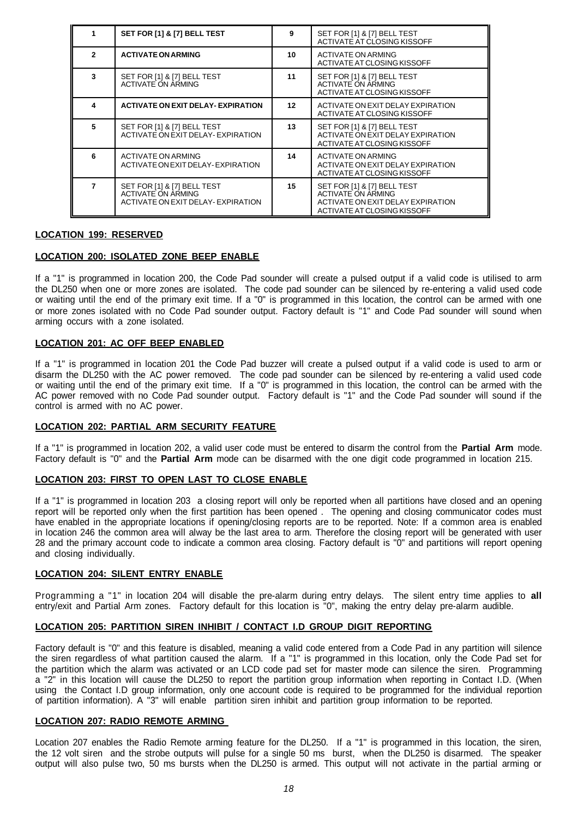|              | SET FOR [1] & [7] BELL TEST                                                                    | 9  | SET FOR [1] & [7] BELL TEST<br>ACTIVATE AT CLOSING KISSOFF                                                                   |
|--------------|------------------------------------------------------------------------------------------------|----|------------------------------------------------------------------------------------------------------------------------------|
| $\mathbf{z}$ | <b>ACTIVATE ON ARMING</b>                                                                      | 10 | ACTIVATE ON ARMING<br>ACTIVATE AT CLOSING KISSOFF                                                                            |
| 3            | SET FOR [1] & [7] BELL TEST<br><b>ACTIVATE ON ARMING</b>                                       | 11 | SET FOR [1] & [7] BELL TEST<br><b>ACTIVATE ON ARMING</b><br>ACTIVATE AT CLOSING KISSOFF                                      |
| Δ            | <b>ACTIVATE ON EXIT DELAY- EXPIRATION</b>                                                      | 12 | ACTIVATE ON EXIT DELAY EXPIRATION<br>ACTIVATE AT CLOSING KISSOFF                                                             |
|              | SET FOR [1] & [7] BELL TEST<br>ACTIVATE ON EXIT DELAY- EXPIRATION                              | 13 | SET FOR [1] & [7] BELL TEST<br>ACTIVATE ON EXIT DELAY EXPIRATION<br>ACTIVATE AT CLOSING KISSOFF                              |
| 6            | ACTIVATE ON ARMING<br>ACTIVATE ON EXIT DELAY-EXPIRATION                                        | 14 | ACTIVATE ON ARMING<br>ACTIVATE ON EXIT DELAY EXPIRATION<br>ACTIVATE AT CLOSING KISSOFF                                       |
|              | SET FOR [1] & [7] BELL TEST<br><b>ACTIVATE ON ARMING</b><br>ACTIVATE ON EXIT DELAY- EXPIRATION | 15 | SET FOR [1] & [7] BELL TEST<br><b>ACTIVATE ON ARMING</b><br>ACTIVATE ON EXIT DELAY EXPIRATION<br>ACTIVATE AT CLOSING KISSOFF |

## **LOCATION 199: RESERVED**

## **LOCATION 200: ISOLATED ZONE BEEP ENABLE**

If a "1" is programmed in location 200, the Code Pad sounder will create a pulsed output if a valid code is utilised to arm the DL250 when one or more zones are isolated. The code pad sounder can be silenced by re-entering a valid used code or waiting until the end of the primary exit time. If a "0" is programmed in this location, the control can be armed with one or more zones isolated with no Code Pad sounder output. Factory default is "1" and Code Pad sounder will sound when arming occurs with a zone isolated.

## **LOCATION 201: AC OFF BEEP ENABLED**

If a "1" is programmed in location 201 the Code Pad buzzer will create a pulsed output if a valid code is used to arm or disarm the DL250 with the AC power removed. The code pad sounder can be silenced by re-entering a valid used code or waiting until the end of the primary exit time. If a "0" is programmed in this location, the control can be armed with the AC power removed with no Code Pad sounder output. Factory default is "1" and the Code Pad sounder will sound if the control is armed with no AC power.

## **LOCATION 202: PARTIAL ARM SECURITY FEATURE**

If a "1" is programmed in location 202, a valid user code must be entered to disarm the control from the **Partial Arm** mode. Factory default is "0" and the **Partial Arm** mode can be disarmed with the one digit code programmed in location 215.

## **LOCATION 203: FIRST TO OPEN LAST TO CLOSE ENABLE**

If a "1" is programmed in location 203 a closing report will only be reported when all partitions have closed and an opening report will be reported only when the first partition has been opened . The opening and closing communicator codes must have enabled in the appropriate locations if opening/closing reports are to be reported. Note: If a common area is enabled in location 246 the common area will alway be the last area to arm. Therefore the closing report will be generated with user 28 and the primary account code to indicate a common area closing. Factory default is "0" and partitions will report opening and closing individually.

## **LOCATION 204: SILENT ENTRY ENABLE**

Programming a "1" in location 204 will disable the pre-alarm during entry delays. The silent entry time applies to **all** entry/exit and Partial Arm zones. Factory default for this location is "0", making the entry delay pre-alarm audible.

## **LOCATION 205: PARTITION SIREN INHIBIT / CONTACT I.D GROUP DIGIT REPORTING**

Factory default is "0" and this feature is disabled, meaning a valid code entered from a Code Pad in any partition will silence the siren regardless of what partition caused the alarm. If a "1" is programmed in this location, only the Code Pad set for the partition which the alarm was activated or an LCD code pad set for master mode can silence the siren. Programming a "2" in this location will cause the DL250 to report the partition group information when reporting in Contact I.D. (When using the Contact I.D group information, only one account code is required to be programmed for the individual reportion of partition information). A "3" will enable partition siren inhibit and partition group information to be reported.

## **LOCATION 207: RADIO REMOTE ARMING**

Location 207 enables the Radio Remote arming feature for the DL250. If a "1" is programmed in this location, the siren, the 12 volt siren and the strobe outputs will pulse for a single 50 ms burst, when the DL250 is disarmed. The speaker output will also pulse two, 50 ms bursts when the DL250 is armed. This output will not activate in the partial arming or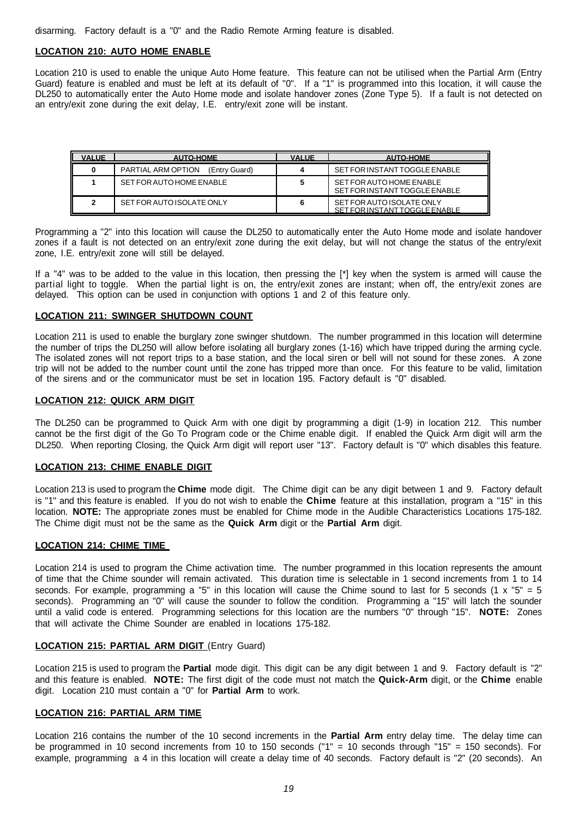disarming. Factory default is a "0" and the Radio Remote Arming feature is disabled.

## **LOCATION 210: AUTO HOME ENABLE**

Location 210 is used to enable the unique Auto Home feature. This feature can not be utilised when the Partial Arm (Entry Guard) feature is enabled and must be left at its default of "0". If a "1" is programmed into this location, it will cause the DL250 to automatically enter the Auto Home mode and isolate handover zones (Zone Type 5). If a fault is not detected on an entry/exit zone during the exit delay, I.E. entry/exit zone will be instant.

| <b>VALUE</b> | <b>AUTO-HOME</b>                    | <b>VALUE</b> | <b>AUTO-HOME</b>                                           |
|--------------|-------------------------------------|--------------|------------------------------------------------------------|
|              | PARTIAL ARM OPTION<br>(Entry Guard) |              | SET FOR INSTANT TOGGLE ENABLE                              |
|              | SET FOR AUTO HOME ENABLE            |              | SET FOR AUTO HOME ENABLE<br>SET FOR INSTANT TOGGLE ENABLE  |
|              | SET FOR AUTO ISOLATE ONLY           |              | SET FOR AUTO ISOLATE ONLY<br>SET FOR INSTANT TOGGLE FNABLE |

Programming a "2" into this location will cause the DL250 to automatically enter the Auto Home mode and isolate handover zones if a fault is not detected on an entry/exit zone during the exit delay, but will not change the status of the entry/exit zone, I.E. entry/exit zone will still be delayed.

If a "4" was to be added to the value in this location, then pressing the [\*] key when the system is armed will cause the partial light to toggle. When the partial light is on, the entry/exit zones are instant; when off, the entry/exit zones are delayed. This option can be used in conjunction with options 1 and 2 of this feature only.

## **LOCATION 211: SWINGER SHUTDOWN COUNT**

Location 211 is used to enable the burglary zone swinger shutdown. The number programmed in this location will determine the number of trips the DL250 will allow before isolating all burglary zones (1-16) which have tripped during the arming cycle. The isolated zones will not report trips to a base station, and the local siren or bell will not sound for these zones. A zone trip will not be added to the number count until the zone has tripped more than once. For this feature to be valid, limitation of the sirens and or the communicator must be set in location 195. Factory default is "0" disabled.

## **LOCATION 212: QUICK ARM DIGIT**

The DL250 can be programmed to Quick Arm with one digit by programming a digit (1-9) in location 212. This number cannot be the first digit of the Go To Program code or the Chime enable digit. If enabled the Quick Arm digit will arm the DL250. When reporting Closing, the Quick Arm digit will report user "13". Factory default is "0" which disables this feature.

## **LOCATION 213: CHIME ENABLE DIGIT**

Location 213 is used to program the **Chime** mode digit. The Chime digit can be any digit between 1 and 9. Factory default is "1" and this feature is enabled. If you do not wish to enable the **Chime** feature at this installation, program a "15" in this location. **NOTE:** The appropriate zones must be enabled for Chime mode in the Audible Characteristics Locations 175-182. The Chime digit must not be the same as the **Quick Arm** digit or the **Partial Arm** digit.

## **LOCATION 214: CHIME TIME**

Location 214 is used to program the Chime activation time. The number programmed in this location represents the amount of time that the Chime sounder will remain activated. This duration time is selectable in 1 second increments from 1 to 14 seconds. For example, programming a "5" in this location will cause the Chime sound to last for 5 seconds (1  $x$  "5" = 5 seconds). Programming an "0" will cause the sounder to follow the condition. Programming a "15" will latch the sounder until a valid code is entered. Programming selections for this location are the numbers "0" through "15". **NOTE:** Zones that will activate the Chime Sounder are enabled in locations 175-182.

## **LOCATION 215: PARTIAL ARM DIGIT** (Entry Guard)

Location 215 is used to program the **Partial** mode digit. This digit can be any digit between 1 and 9. Factory default is "2" and this feature is enabled. **NOTE:** The first digit of the code must not match the **Quick-Arm** digit, or the **Chime** enable digit. Location 210 must contain a "0" for **Partial Arm** to work.

## **LOCATION 216: PARTIAL ARM TIME**

Location 216 contains the number of the 10 second increments in the **Partial Arm** entry delay time. The delay time can be programmed in 10 second increments from 10 to 150 seconds ("1" = 10 seconds through "15" = 150 seconds). For example, programming a 4 in this location will create a delay time of 40 seconds. Factory default is "2" (20 seconds). An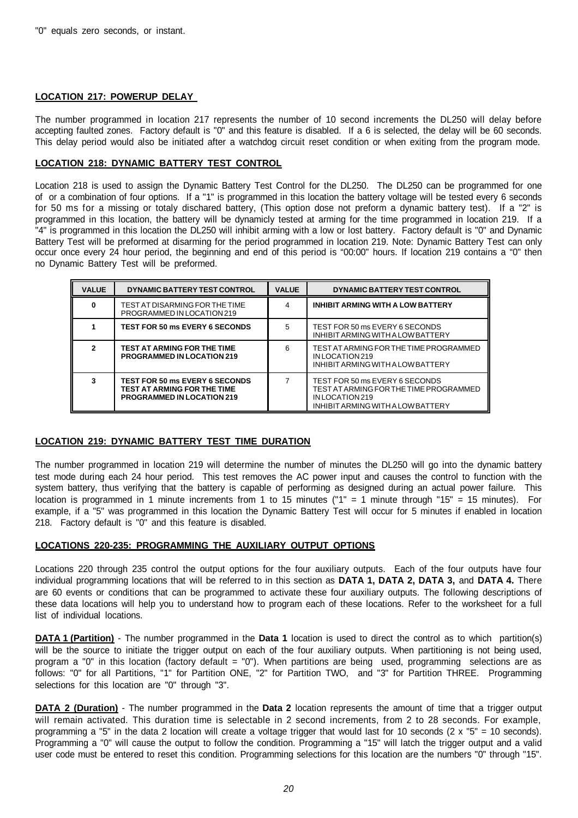## **LOCATION 217: POWERUP DELAY**

The number programmed in location 217 represents the number of 10 second increments the DL250 will delay before accepting faulted zones. Factory default is "0" and this feature is disabled. If a 6 is selected, the delay will be 60 seconds. This delay period would also be initiated after a watchdog circuit reset condition or when exiting from the program mode.

## **LOCATION 218: DYNAMIC BATTERY TEST CONTROL**

Location 218 is used to assign the Dynamic Battery Test Control for the DL250. The DL250 can be programmed for one of or a combination of four options. If a "1" is programmed in this location the battery voltage will be tested every 6 seconds for 50 ms for a missing or totaly dischared battery, (This option dose not preform a dynamic battery test). If a "2" is programmed in this location, the battery will be dynamicly tested at arming for the time programmed in location 219. If a "4" is programmed in this location the DL250 will inhibit arming with a low or lost battery. Factory default is "0" and Dynamic Battery Test will be preformed at disarming for the period programmed in location 219. Note: Dynamic Battery Test can only occur once every 24 hour period, the beginning and end of this period is "00:00" hours. If location 219 contains a "0" then no Dynamic Battery Test will be preformed.

| <b>VALUE</b> | DYNAMIC BATTERY TEST CONTROL                                                                                     | <b>VALUE</b> | DYNAMIC BATTERY TEST CONTROL                                                                                                    |
|--------------|------------------------------------------------------------------------------------------------------------------|--------------|---------------------------------------------------------------------------------------------------------------------------------|
|              | TEST AT DISARMING FOR THE TIME<br>PROGRAMMED IN LOCATION 219                                                     | 4            | INHIBIT ARMING WITH A LOW BATTERY                                                                                               |
|              | <b>TEST FOR 50 ms EVERY 6 SECONDS</b>                                                                            | 5            | TEST FOR 50 ms EVERY 6 SECONDS<br>INHIBIT ARMING WITH A LOW BATTERY                                                             |
|              | <b>TEST AT ARMING FOR THE TIME</b><br><b>PROGRAMMED IN LOCATION 219</b>                                          | 6            | TEST AT ARMING FOR THE TIME PROGRAMMED<br>INLOCATION 219<br>INHIBIT ARMING WITH A LOW BATTERY                                   |
|              | <b>TEST FOR 50 ms EVERY 6 SECONDS</b><br><b>TEST AT ARMING FOR THE TIME</b><br><b>PROGRAMMED IN LOCATION 219</b> |              | TEST FOR 50 ms EVERY 6 SECONDS<br>TEST AT ARMING FOR THE TIME PROGRAMMED<br>INLOCATION 219<br>INHIBIT ARMING WITH A LOW BATTERY |

## **LOCATION 219: DYNAMIC BATTERY TEST TIME DURATION**

The number programmed in location 219 will determine the number of minutes the DL250 will go into the dynamic battery test mode during each 24 hour period. This test removes the AC power input and causes the control to function with the system battery, thus verifying that the battery is capable of performing as designed during an actual power failure. This location is programmed in 1 minute increments from 1 to 15 minutes ("1" = 1 minute through "15" = 15 minutes). For example, if a "5" was programmed in this location the Dynamic Battery Test will occur for 5 minutes if enabled in location 218. Factory default is "0" and this feature is disabled.

## **LOCATIONS 220-235: PROGRAMMING THE AUXILIARY OUTPUT OPTIONS**

Locations 220 through 235 control the output options for the four auxiliary outputs. Each of the four outputs have four individual programming locations that will be referred to in this section as **DATA 1, DATA 2, DATA 3,** and **DATA 4.** There are 60 events or conditions that can be programmed to activate these four auxiliary outputs. The following descriptions of these data locations will help you to understand how to program each of these locations. Refer to the worksheet for a full list of individual locations.

**DATA 1 (Partition)** - The number programmed in the **Data 1** location is used to direct the control as to which partition(s) will be the source to initiate the trigger output on each of the four auxiliary outputs. When partitioning is not being used, program a "0" in this location (factory default = "0"). When partitions are being used, programming selections are as follows: "0" for all Partitions, "1" for Partition ONE, "2" for Partition TWO, and "3" for Partition THREE. Programming selections for this location are "0" through "3".

**DATA 2 (Duration)** - The number programmed in the **Data 2** location represents the amount of time that a trigger output will remain activated. This duration time is selectable in 2 second increments, from 2 to 28 seconds. For example, programming a "5" in the data 2 location will create a voltage trigger that would last for 10 seconds ( $2 \times$  "5" = 10 seconds). Programming a "0" will cause the output to follow the condition. Programming a "15" will latch the trigger output and a valid user code must be entered to reset this condition. Programming selections for this location are the numbers "0" through "15".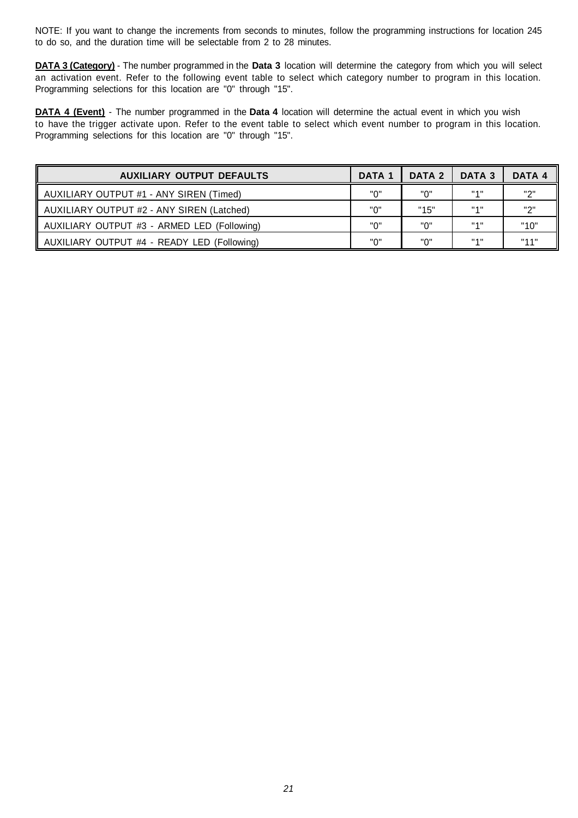NOTE: If you want to change the increments from seconds to minutes, follow the programming instructions for location 245 to do so, and the duration time will be selectable from 2 to 28 minutes.

**DATA 3 (Category)** - The number programmed in the **Data 3** location will determine the category from which you will select an activation event. Refer to the following event table to select which category number to program in this location. Programming selections for this location are "0" through "15".

**DATA 4 (Event)** - The number programmed in the **Data 4** location will determine the actual event in which you wish to have the trigger activate upon. Refer to the event table to select which event number to program in this location. Programming selections for this location are "0" through "15".

| <b>AUXILIARY OUTPUT DEFAULTS</b>            | DATA <sub>1</sub> | DATA 2 | DATA 3            | DATA 4 |
|---------------------------------------------|-------------------|--------|-------------------|--------|
| AUXILIARY OUTPUT #1 - ANY SIREN (Timed)     | "በ"               | "ח     | 1141              | יי יי  |
| AUXILIARY OUTPUT #2 - ANY SIREN (Latched)   | "ח                | "15"   | "4"               | יי יי  |
| AUXILIARY OUTPUT #3 - ARMED LED (Following) | "በ"               | "በ"    | <b>HAH</b>        | "10"   |
| AUXILIARY OUTPUT #4 - READY LED (Following) | "ח                | "በ"    | $H \rightarrow H$ | 11441  |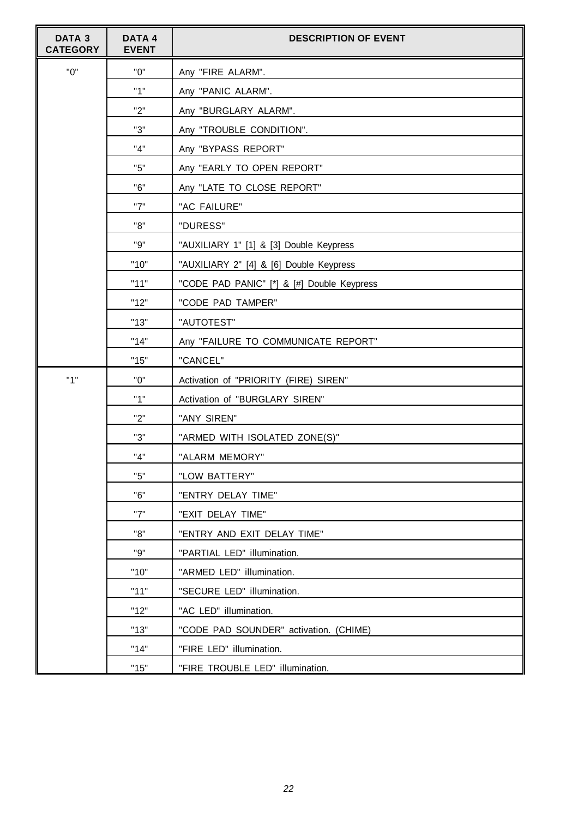| DATA <sub>3</sub><br><b>CATEGORY</b> | <b>DATA4</b><br><b>EVENT</b> | <b>DESCRIPTION OF EVENT</b>                |  |  |
|--------------------------------------|------------------------------|--------------------------------------------|--|--|
| "0"                                  | "0"                          | Any "FIRE ALARM".                          |  |  |
|                                      | "1"                          | Any "PANIC ALARM".                         |  |  |
|                                      | "2"                          | Any "BURGLARY ALARM".                      |  |  |
|                                      | "3"                          | Any "TROUBLE CONDITION".                   |  |  |
|                                      | "4"                          | Any "BYPASS REPORT"                        |  |  |
|                                      | "5"                          | Any "EARLY TO OPEN REPORT"                 |  |  |
|                                      | "6"                          | Any "LATE TO CLOSE REPORT"                 |  |  |
|                                      | "7"                          | "AC FAILURE"                               |  |  |
|                                      | "8"                          | "DURESS"                                   |  |  |
|                                      | "9"                          | "AUXILIARY 1" [1] & [3] Double Keypress    |  |  |
|                                      | "10"                         | "AUXILIARY 2" [4] & [6] Double Keypress    |  |  |
|                                      | "11"                         | "CODE PAD PANIC" [*] & [#] Double Keypress |  |  |
|                                      | "12"                         | "CODE PAD TAMPER"                          |  |  |
|                                      | "13"                         | "AUTOTEST"                                 |  |  |
|                                      | "14"                         | Any "FAILURE TO COMMUNICATE REPORT"        |  |  |
|                                      | "15"                         | "CANCEL"                                   |  |  |
| "1"                                  | "0"                          | Activation of "PRIORITY (FIRE) SIREN"      |  |  |
|                                      | "1"                          | Activation of "BURGLARY SIREN"             |  |  |
|                                      | "2"                          | "ANY SIREN"                                |  |  |
|                                      | "3"                          | "ARMED WITH ISOLATED ZONE(S)"              |  |  |
|                                      | "4"                          | "ALARM MEMORY"                             |  |  |
|                                      | "5"                          | "LOW BATTERY"                              |  |  |
|                                      | "6"                          | "ENTRY DELAY TIME"                         |  |  |
|                                      | "7"                          | "EXIT DELAY TIME"                          |  |  |
|                                      | "8"                          | "ENTRY AND EXIT DELAY TIME"                |  |  |
|                                      | "9"                          | "PARTIAL LED" illumination.                |  |  |
|                                      | "10"                         | "ARMED LED" illumination.                  |  |  |
|                                      | "11"                         | "SECURE LED" illumination.                 |  |  |
|                                      | "12"                         | "AC LED" illumination.                     |  |  |
|                                      | "13"                         | "CODE PAD SOUNDER" activation. (CHIME)     |  |  |
|                                      | "14"                         | "FIRE LED" illumination.                   |  |  |
|                                      | "15"                         | "FIRE TROUBLE LED" illumination.           |  |  |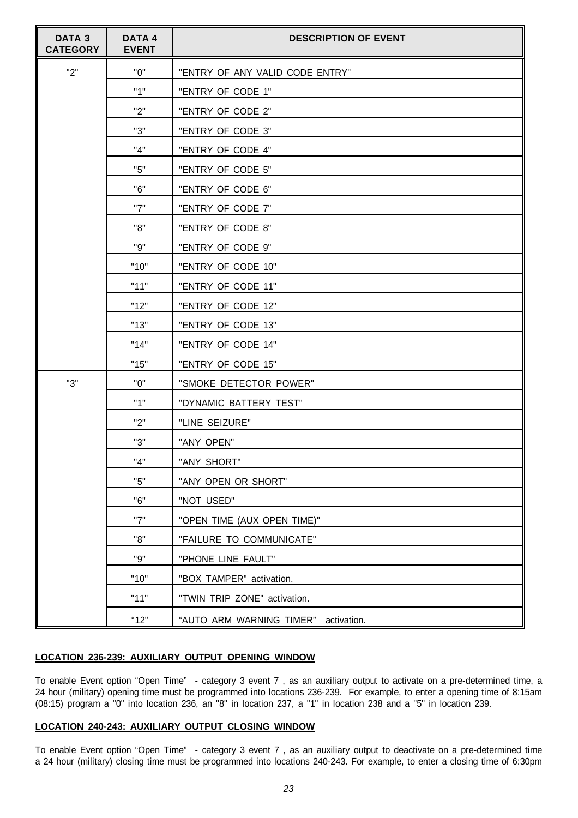| DATA <sub>3</sub><br><b>CATEGORY</b> | <b>DATA4</b><br><b>EVENT</b> | <b>DESCRIPTION OF EVENT</b>          |  |
|--------------------------------------|------------------------------|--------------------------------------|--|
| "2"                                  | "0"                          | "ENTRY OF ANY VALID CODE ENTRY"      |  |
|                                      | "1"                          | "ENTRY OF CODE 1"                    |  |
|                                      | "2"                          | "ENTRY OF CODE 2"                    |  |
|                                      | "3"                          | "ENTRY OF CODE 3"                    |  |
|                                      | "4"                          | "ENTRY OF CODE 4"                    |  |
|                                      | "5"                          | "ENTRY OF CODE 5"                    |  |
|                                      | "6"                          | "ENTRY OF CODE 6"                    |  |
|                                      | "7"                          | "ENTRY OF CODE 7"                    |  |
|                                      | "8"                          | "ENTRY OF CODE 8"                    |  |
|                                      | "9"                          | "ENTRY OF CODE 9"                    |  |
|                                      | "10"                         | "ENTRY OF CODE 10"                   |  |
|                                      | "11"                         | "ENTRY OF CODE 11"                   |  |
|                                      | "12"                         | "ENTRY OF CODE 12"                   |  |
|                                      | "13"                         | "ENTRY OF CODE 13"                   |  |
|                                      | "14"                         | "ENTRY OF CODE 14"                   |  |
|                                      | "15"                         | "ENTRY OF CODE 15"                   |  |
| "3"                                  | "0"                          | "SMOKE DETECTOR POWER"               |  |
|                                      | "1"                          | "DYNAMIC BATTERY TEST"               |  |
|                                      | "2"                          | "LINE SEIZURE"                       |  |
|                                      | "3"                          | "ANY OPEN"                           |  |
|                                      | "4"                          | "ANY SHORT"                          |  |
|                                      | "5"                          | "ANY OPEN OR SHORT"                  |  |
|                                      | "6"                          | "NOT USED"                           |  |
|                                      | "7"                          | "OPEN TIME (AUX OPEN TIME)"          |  |
|                                      | "8"                          | "FAILURE TO COMMUNICATE"             |  |
|                                      | "9"                          | "PHONE LINE FAULT"                   |  |
|                                      | "10"                         | "BOX TAMPER" activation.             |  |
|                                      | "11"                         | "TWIN TRIP ZONE" activation.         |  |
|                                      | "12"                         | "AUTO ARM WARNING TIMER" activation. |  |

## **LOCATION 236-239: AUXILIARY OUTPUT OPENING WINDOW**

To enable Event option "Open Time" - category 3 event 7 , as an auxiliary output to activate on a pre-determined time, a 24 hour (military) opening time must be programmed into locations 236-239. For example, to enter a opening time of 8:15am (08:15) program a "0" into location 236, an "8" in location 237, a "1" in location 238 and a "5" in location 239.

## **LOCATION 240-243: AUXILIARY OUTPUT CLOSING WINDOW**

To enable Event option "Open Time" - category 3 event 7 , as an auxiliary output to deactivate on a pre-determined time a 24 hour (military) closing time must be programmed into locations 240-243. For example, to enter a closing time of 6:30pm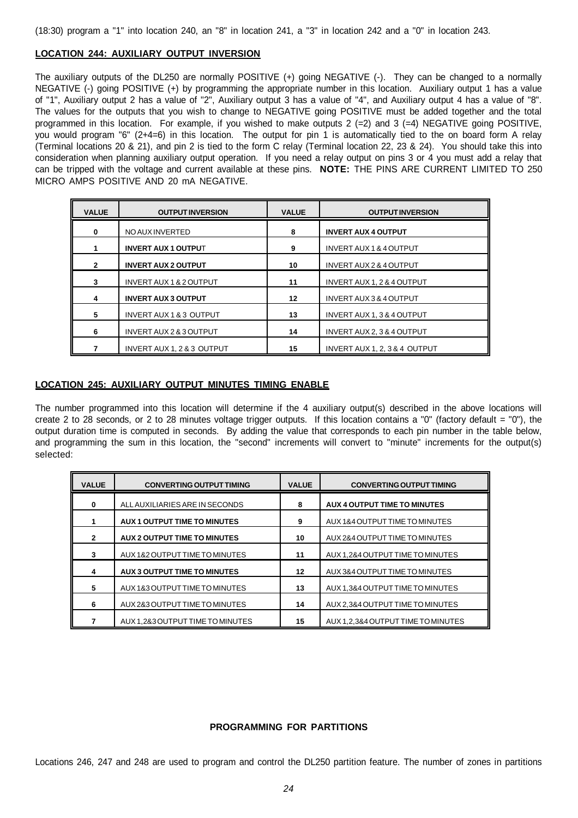## **LOCATION 244: AUXILIARY OUTPUT INVERSION**

The auxiliary outputs of the DL250 are normally POSITIVE (+) going NEGATIVE (-). They can be changed to a normally NEGATIVE (-) going POSITIVE (+) by programming the appropriate number in this location. Auxiliary output 1 has a value of "1", Auxiliary output 2 has a value of "2", Auxiliary output 3 has a value of "4", and Auxiliary output 4 has a value of "8". The values for the outputs that you wish to change to NEGATIVE going POSITIVE must be added together and the total programmed in this location. For example, if you wished to make outputs 2 (=2) and 3 (=4) NEGATIVE going POSITIVE, you would program "6" (2+4=6) in this location. The output for pin 1 is automatically tied to the on board form A relay (Terminal locations 20 & 21), and pin 2 is tied to the form C relay (Terminal location 22, 23 & 24). You should take this into consideration when planning auxiliary output operation. If you need a relay output on pins 3 or 4 you must add a relay that can be tripped with the voltage and current available at these pins. **NOTE:** THE PINS ARE CURRENT LIMITED TO 250 MICRO AMPS POSITIVE AND 20 mA NEGATIVE.

| <b>VALUE</b> | <b>OUTPUT INVERSION</b>               | <b>VALUE</b> | <b>OUTPUT INVERSION</b>               |
|--------------|---------------------------------------|--------------|---------------------------------------|
| $\Omega$     | NO AUX INVERTED                       | 8            | <b>INVERT AUX 4 OUTPUT</b>            |
|              | <b>INVERT AUX 1 OUTPUT</b>            | 9            | <b>INVERT AUX 1 &amp; 4 OUTPUT</b>    |
|              | <b>INVERT AUX 2 OUTPUT</b>            | 10           | <b>INVERT AUX 2 &amp; 4 OUTPUT</b>    |
|              | <b>INVERT AUX 1 &amp; 2 OUTPUT</b>    | 11           | <b>INVERT AUX 1, 2 &amp; 4 OUTPUT</b> |
|              | <b>INVERT AUX 3 OUTPUT</b>            | 12           | <b>INVERT AUX 3 &amp; 4 OUTPUT</b>    |
| 5            | <b>INVERT AUX 1 &amp; 3 OUTPUT</b>    | 13           | <b>INVERT AUX 1, 3 &amp; 4 OUTPUT</b> |
| 6            | INVERT AUX 2 & 3 OUTPUT               | 14           | INVERT AUX 2, 3 & 4 OUTPUT            |
|              | <b>INVERT AUX 1, 2 &amp; 3 OUTPUT</b> | 15           | INVERT AUX 1, 2, 3 & 4 OUTPUT         |

## **LOCATION 245: AUXILIARY OUTPUT MINUTES TIMING ENABLE**

The number programmed into this location will determine if the 4 auxiliary output(s) described in the above locations will create 2 to 28 seconds, or 2 to 28 minutes voltage trigger outputs. If this location contains a "0" (factory default = "0"), the output duration time is computed in seconds. By adding the value that corresponds to each pin number in the table below, and programming the sum in this location, the "second" increments will convert to "minute" increments for the output(s) selected:

| <b>VALUE</b> | <b>CONVERTING OUTPUT TIMING</b>  | <b>VALUE</b> | <b>CONVERTING OUTPUT TIMING</b>    |
|--------------|----------------------------------|--------------|------------------------------------|
| 0            | ALL AUXILIARIES ARE IN SECONDS   | 8            | AUX 4 OUTPUT TIME TO MINUTES       |
|              | AUX 1 OUTPUT TIME TO MINUTES     | 9            | AUX 1&4 OUTPUT TIME TO MINUTES     |
| $\mathbf{2}$ | AUX 2 OUTPUT TIME TO MINUTES     | 10           | AUX 2&4 OUTPUT TIME TO MINUTES     |
| 3            | AUX 1&2 OUTPUT TIME TO MINUTES   | 11           | AUX 1,2&4 OUTPUT TIME TO MINUTES   |
| 4            | AUX 3 OUTPUT TIME TO MINUTES     | 12           | AUX 3&4 OUTPUT TIME TO MINUTES     |
| 5            | AUX 1&3 OUTPUT TIME TO MINUTES   | 13           | AUX 1,3&4 OUTPUT TIME TO MINUTES   |
| 6            | AUX 2&3 OUTPUT TIME TO MINUTES   | 14           | AUX 2,3&4 OUTPUT TIME TO MINUTES   |
|              | AUX 1,2&3 OUTPUT TIME TO MINUTES | 15           | AUX 1,2,3&4 OUTPUT TIME TO MINUTES |

## **PROGRAMMING FOR PARTITIONS**

Locations 246, 247 and 248 are used to program and control the DL250 partition feature. The number of zones in partitions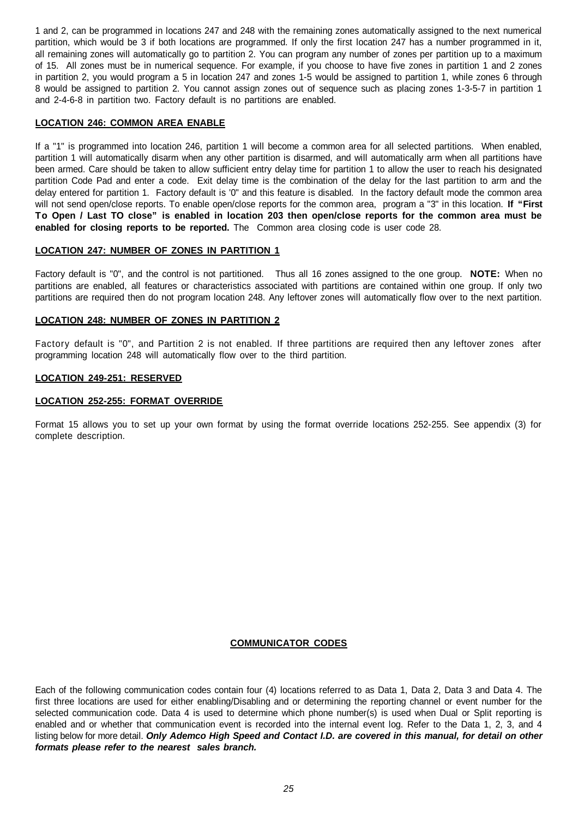1 and 2, can be programmed in locations 247 and 248 with the remaining zones automatically assigned to the next numerical partition, which would be 3 if both locations are programmed. If only the first location 247 has a number programmed in it, all remaining zones will automatically go to partition 2. You can program any number of zones per partition up to a maximum of 15. All zones must be in numerical sequence. For example, if you choose to have five zones in partition 1 and 2 zones in partition 2, you would program a 5 in location 247 and zones 1-5 would be assigned to partition 1, while zones 6 through 8 would be assigned to partition 2. You cannot assign zones out of sequence such as placing zones 1-3-5-7 in partition 1 and 2-4-6-8 in partition two. Factory default is no partitions are enabled.

## **LOCATION 246: COMMON AREA ENABLE**

If a "1" is programmed into location 246, partition 1 will become a common area for all selected partitions. When enabled, partition 1 will automatically disarm when any other partition is disarmed, and will automatically arm when all partitions have been armed. Care should be taken to allow sufficient entry delay time for partition 1 to allow the user to reach his designated partition Code Pad and enter a code. Exit delay time is the combination of the delay for the last partition to arm and the delay entered for partition 1. Factory default is '0" and this feature is disabled. In the factory default mode the common area will not send open/close reports. To enable open/close reports for the common area, program a "3" in this location. **If "First To Open / Last TO close" is enabled in location 203 then open/close reports for the common area must be enabled for closing reports to be reported.** The Common area closing code is user code 28.

## **LOCATION 247: NUMBER OF ZONES IN PARTITION 1**

Factory default is "0", and the control is not partitioned. Thus all 16 zones assigned to the one group. **NOTE:** When no partitions are enabled, all features or characteristics associated with partitions are contained within one group. If only two partitions are required then do not program location 248. Any leftover zones will automatically flow over to the next partition.

## **LOCATION 248: NUMBER OF ZONES IN PARTITION 2**

Factory default is "0", and Partition 2 is not enabled. If three partitions are required then any leftover zones after programming location 248 will automatically flow over to the third partition.

## **LOCATION 249-251: RESERVED**

## **LOCATION 252-255: FORMAT OVERRIDE**

Format 15 allows you to set up your own format by using the format override locations 252-255. See appendix (3) for complete description.

## **COMMUNICATOR CODES**

Each of the following communication codes contain four (4) locations referred to as Data 1, Data 2, Data 3 and Data 4. The first three locations are used for either enabling/Disabling and or determining the reporting channel or event number for the selected communication code. Data 4 is used to determine which phone number(s) is used when Dual or Split reporting is enabled and or whether that communication event is recorded into the internal event log. Refer to the Data 1, 2, 3, and 4 listing below for more detail. *Only Ademco High Speed and Contact I.D. are covered in this manual, for detail on other formats please refer to the nearest sales branch.*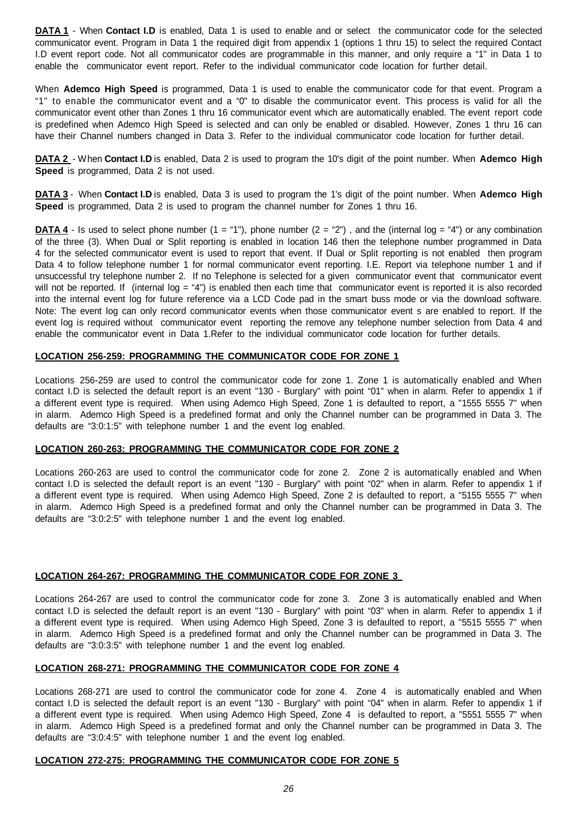**DATA 1** - When **Contact I.D** is enabled, Data 1 is used to enable and or select the communicator code for the selected communicator event. Program in Data 1 the required digit from appendix 1 (options 1 thru 15) to select the required Contact I.D event report code. Not all communicator codes are programmable in this manner, and only require a "1" in Data 1 to enable the communicator event report. Refer to the individual communicator code location for further detail.

When **Ademco High Speed** is programmed, Data 1 is used to enable the communicator code for that event. Program a "1" to enable the communicator event and a "0" to disable the communicator event. This process is valid for all the communicator event other than Zones 1 thru 16 communicator event which are automatically enabled. The event report code is predefined when Ademco High Speed is selected and can only be enabled or disabled. However, Zones 1 thru 16 can have their Channel numbers changed in Data 3. Refer to the individual communicator code location for further detail.

**DATA 2** - W hen **Contact I.D** is enabled, Data 2 is used to program the 10's digit of the point number. When **Ademco High Speed** is programmed, Data 2 is not used.

**DATA 3** - When **Contact I.D** is enabled, Data 3 is used to program the 1's digit of the point number. When **Ademco High Speed** is programmed, Data 2 is used to program the channel number for Zones 1 thru 16.

**DATA 4** - Is used to select phone number  $(1 = "1")$ , phone number  $(2 = "2")$ , and the (internal log = "4") or any combination of the three (3). When Dual or Split reporting is enabled in location 146 then the telephone number programmed in Data 4 for the selected communicator event is used to report that event. If Dual or Split reporting is not enabled then program Data 4 to follow telephone number 1 for normal communicator event reporting. I.E. Report via telephone number 1 and if unsuccessful try telephone number 2. If no Telephone is selected for a given communicator event that communicator event will not be reported. If (internal log = "4") is enabled then each time that communicator event is reported it is also recorded into the internal event log for future reference via a LCD Code pad in the smart buss mode or via the download software. Note: The event log can only record communicator events when those communicator event s are enabled to report. If the event log is required without communicator event reporting the remove any telephone number selection from Data 4 and enable the communicator event in Data 1.Refer to the individual communicator code location for further details.

## **LOCATION 256-259: PROGRAMMING THE COMMUNICATOR CODE FOR ZONE 1**

Locations 256-259 are used to control the communicator code for zone 1. Zone 1 is automatically enabled and When contact I.D is selected the default report is an event "130 - Burglary" with point "01" when in alarm. Refer to appendix 1 if a different event type is required. When using Ademco High Speed, Zone 1 is defaulted to report, a "1555 5555 7" when in alarm. Ademco High Speed is a predefined format and only the Channel number can be programmed in Data 3. The defaults are "3:0:1:5" with telephone number 1 and the event log enabled.

## **LOCATION 260-263: PROGRAMMING THE COMMUNICATOR CODE FOR ZONE 2**

Locations 260-263 are used to control the communicator code for zone 2. Zone 2 is automatically enabled and When contact I.D is selected the default report is an event "130 - Burglary" with point "02" when in alarm. Refer to appendix 1 if a different event type is required. When using Ademco High Speed, Zone 2 is defaulted to report, a "5155 5555 7" when in alarm. Ademco High Speed is a predefined format and only the Channel number can be programmed in Data 3. The defaults are "3:0:2:5" with telephone number 1 and the event log enabled.

## **LOCATION 264-267: PROGRAMMING THE COMMUNICATOR CODE FOR ZONE 3**

Locations 264-267 are used to control the communicator code for zone 3. Zone 3 is automatically enabled and When contact I.D is selected the default report is an event "130 - Burglary" with point "03" when in alarm. Refer to appendix 1 if a different event type is required. When using Ademco High Speed, Zone 3 is defaulted to report, a "5515 5555 7" when in alarm. Ademco High Speed is a predefined format and only the Channel number can be programmed in Data 3. The defaults are "3:0:3:5" with telephone number 1 and the event log enabled.

## **LOCATION 268-271: PROGRAMMING THE COMMUNICATOR CODE FOR ZONE 4**

Locations 268-271 are used to control the communicator code for zone 4. Zone 4 is automatically enabled and When contact I.D is selected the default report is an event "130 - Burglary" with point "04" when in alarm. Refer to appendix 1 if a different event type is required. When using Ademco High Speed, Zone 4 is defaulted to report, a "5551 5555 7" when in alarm. Ademco High Speed is a predefined format and only the Channel number can be programmed in Data 3. The defaults are "3:0:4:5" with telephone number 1 and the event log enabled.

## **LOCATION 272-275: PROGRAMMING THE COMMUNICATOR CODE FOR ZONE 5**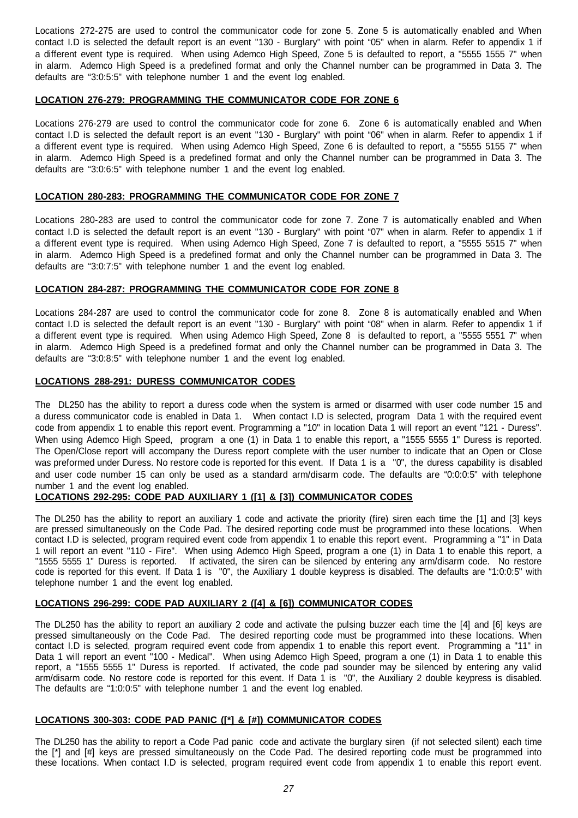Locations 272-275 are used to control the communicator code for zone 5. Zone 5 is automatically enabled and When contact I.D is selected the default report is an event "130 - Burglary" with point "05" when in alarm. Refer to appendix 1 if a different event type is required. When using Ademco High Speed, Zone 5 is defaulted to report, a "5555 1555 7" when in alarm. Ademco High Speed is a predefined format and only the Channel number can be programmed in Data 3. The defaults are "3:0:5:5" with telephone number 1 and the event log enabled.

## **LOCATION 276-279: PROGRAMMING THE COMMUNICATOR CODE FOR ZONE 6**

Locations 276-279 are used to control the communicator code for zone 6. Zone 6 is automatically enabled and When contact I.D is selected the default report is an event "130 - Burglary" with point "06" when in alarm. Refer to appendix 1 if a different event type is required. When using Ademco High Speed, Zone 6 is defaulted to report, a "5555 5155 7" when in alarm. Ademco High Speed is a predefined format and only the Channel number can be programmed in Data 3. The defaults are "3:0:6:5" with telephone number 1 and the event log enabled.

## **LOCATION 280-283: PROGRAMMING THE COMMUNICATOR CODE FOR ZONE 7**

Locations 280-283 are used to control the communicator code for zone 7. Zone 7 is automatically enabled and When contact I.D is selected the default report is an event "130 - Burglary" with point "07" when in alarm. Refer to appendix 1 if a different event type is required. When using Ademco High Speed, Zone 7 is defaulted to report, a "5555 5515 7" when in alarm. Ademco High Speed is a predefined format and only the Channel number can be programmed in Data 3. The defaults are "3:0:7:5" with telephone number 1 and the event log enabled.

## **LOCATION 284-287: PROGRAMMING THE COMMUNICATOR CODE FOR ZONE 8**

Locations 284-287 are used to control the communicator code for zone 8. Zone 8 is automatically enabled and When contact I.D is selected the default report is an event "130 - Burglary" with point "08" when in alarm. Refer to appendix 1 if a different event type is required. When using Ademco High Speed, Zone 8 is defaulted to report, a "5555 5551 7" when in alarm. Ademco High Speed is a predefined format and only the Channel number can be programmed in Data 3. The defaults are "3:0:8:5" with telephone number 1 and the event log enabled.

## **LOCATIONS 288-291: DURESS COMMUNICATOR CODES**

The DL250 has the ability to report a duress code when the system is armed or disarmed with user code number 15 and a duress communicator code is enabled in Data 1. When contact I.D is selected, program Data 1 with the required event code from appendix 1 to enable this report event. Programming a "10" in location Data 1 will report an event "121 - Duress". When using Ademco High Speed, program a one (1) in Data 1 to enable this report, a "1555 5555 1" Duress is reported. The Open/Close report will accompany the Duress report complete with the user number to indicate that an Open or Close was preformed under Duress. No restore code is reported for this event. If Data 1 is a "0", the duress capability is disabled and user code number 15 can only be used as a standard arm/disarm code. The defaults are "0:0:0:5" with telephone number 1 and the event log enabled.

## **LOCATIONS 292-295: CODE PAD AUXILIARY 1 ([1] & [3]) COMMUNICATOR CODES**

The DL250 has the ability to report an auxiliary 1 code and activate the priority (fire) siren each time the [1] and [3] keys are pressed simultaneously on the Code Pad. The desired reporting code must be programmed into these locations. When contact I.D is selected, program required event code from appendix 1 to enable this report event. Programming a "1" in Data 1 will report an event "110 - Fire". When using Ademco High Speed, program a one (1) in Data 1 to enable this report, a "1555 5555 1" Duress is reported. If activated, the siren can be silenced by entering any arm/disarm code. No restore code is reported for this event. If Data 1 is "0", the Auxiliary 1 double keypress is disabled. The defaults are "1:0:0:5" with telephone number 1 and the event log enabled.

## **LOCATIONS 296-299: CODE PAD AUXILIARY 2 ([4] & [6]) COMMUNICATOR CODES**

The DL250 has the ability to report an auxiliary 2 code and activate the pulsing buzzer each time the [4] and [6] keys are pressed simultaneously on the Code Pad. The desired reporting code must be programmed into these locations. When contact I.D is selected, program required event code from appendix 1 to enable this report event. Programming a "11" in Data 1 will report an event "100 - Medical". When using Ademco High Speed, program a one (1) in Data 1 to enable this report, a "1555 5555 1" Duress is reported. If activated, the code pad sounder may be silenced by entering any valid arm/disarm code. No restore code is reported for this event. If Data 1 is "0", the Auxiliary 2 double keypress is disabled. The defaults are "1:0:0:5" with telephone number 1 and the event log enabled.

## **LOCATIONS 300-303: CODE PAD PANIC ([\*] & [#]) COMMUNICATOR CODES**

The DL250 has the ability to report a Code Pad panic code and activate the burglary siren (if not selected silent) each time the [\*] and [#] keys are pressed simultaneously on the Code Pad. The desired reporting code must be programmed into these locations. When contact I.D is selected, program required event code from appendix 1 to enable this report event.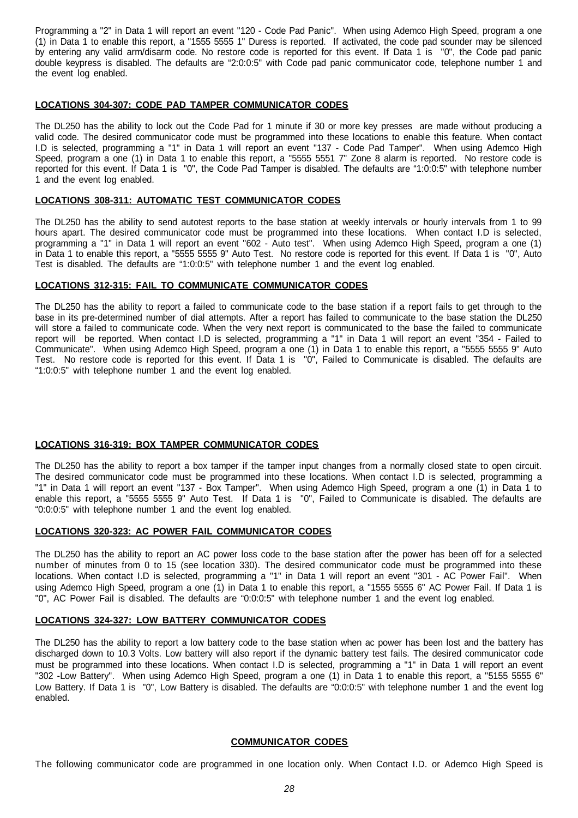Programming a "2" in Data 1 will report an event "120 - Code Pad Panic". When using Ademco High Speed, program a one (1) in Data 1 to enable this report, a "1555 5555 1" Duress is reported. If activated, the code pad sounder may be silenced by entering any valid arm/disarm code. No restore code is reported for this event. If Data 1 is "0", the Code pad panic double keypress is disabled. The defaults are "2:0:0:5" with Code pad panic communicator code, telephone number 1 and the event log enabled.

#### **LOCATIONS 304-307: CODE PAD TAMPER COMMUNICATOR CODES**

The DL250 has the ability to lock out the Code Pad for 1 minute if 30 or more key presses are made without producing a valid code. The desired communicator code must be programmed into these locations to enable this feature. When contact I.D is selected, programming a "1" in Data 1 will report an event "137 - Code Pad Tamper". When using Ademco High Speed, program a one (1) in Data 1 to enable this report, a "5555 5551 7" Zone 8 alarm is reported. No restore code is reported for this event. If Data 1 is "0", the Code Pad Tamper is disabled. The defaults are "1:0:0:5" with telephone number 1 and the event log enabled.

## **LOCATIONS 308-311: AUTOMATIC TEST COMMUNICATOR CODES**

The DL250 has the ability to send autotest reports to the base station at weekly intervals or hourly intervals from 1 to 99 hours apart. The desired communicator code must be programmed into these locations. When contact I.D is selected, programming a "1" in Data 1 will report an event "602 - Auto test". When using Ademco High Speed, program a one (1) in Data 1 to enable this report, a "5555 5555 9" Auto Test. No restore code is reported for this event. If Data 1 is "0", Auto Test is disabled. The defaults are "1:0:0:5" with telephone number 1 and the event log enabled.

## **LOCATIONS 312-315: FAIL TO COMMUNICATE COMMUNICATOR CODES**

The DL250 has the ability to report a failed to communicate code to the base station if a report fails to get through to the base in its pre-determined number of dial attempts. After a report has failed to communicate to the base station the DL250 will store a failed to communicate code. When the very next report is communicated to the base the failed to communicate report will be reported. When contact I.D is selected, programming a "1" in Data 1 will report an event "354 - Failed to Communicate". When using Ademco High Speed, program a one (1) in Data 1 to enable this report, a "5555 5555 9" Auto Test. No restore code is reported for this event. If Data 1 is "0", Failed to Communicate is disabled. The defaults are "1:0:0:5" with telephone number 1 and the event log enabled.

## **LOCATIONS 316-319: BOX TAMPER COMMUNICATOR CODES**

The DL250 has the ability to report a box tamper if the tamper input changes from a normally closed state to open circuit. The desired communicator code must be programmed into these locations. When contact I.D is selected, programming a "1" in Data 1 will report an event "137 - Box Tamper". When using Ademco High Speed, program a one (1) in Data 1 to enable this report, a "5555 5555 9" Auto Test. If Data 1 is "0", Failed to Communicate is disabled. The defaults are "0:0:0:5" with telephone number 1 and the event log enabled.

## **LOCATIONS 320-323: AC POWER FAIL COMMUNICATOR CODES**

The DL250 has the ability to report an AC power loss code to the base station after the power has been off for a selected number of minutes from 0 to 15 (see location 330). The desired communicator code must be programmed into these locations. When contact I.D is selected, programming a "1" in Data 1 will report an event "301 - AC Power Fail". When using Ademco High Speed, program a one (1) in Data 1 to enable this report, a "1555 5555 6" AC Power Fail. If Data 1 is "0", AC Power Fail is disabled. The defaults are "0:0:0:5" with telephone number 1 and the event log enabled.

#### **LOCATIONS 324-327: LOW BATTERY COMMUNICATOR CODES**

The DL250 has the ability to report a low battery code to the base station when ac power has been lost and the battery has discharged down to 10.3 Volts. Low battery will also report if the dynamic battery test fails. The desired communicator code must be programmed into these locations. When contact I.D is selected, programming a "1" in Data 1 will report an event "302 -Low Battery". When using Ademco High Speed, program a one (1) in Data 1 to enable this report, a "5155 5555 6" Low Battery. If Data 1 is "0", Low Battery is disabled. The defaults are "0:0:0:5" with telephone number 1 and the event log enabled.

## **COMMUNICATOR CODES**

The following communicator code are programmed in one location only. When Contact I.D. or Ademco High Speed is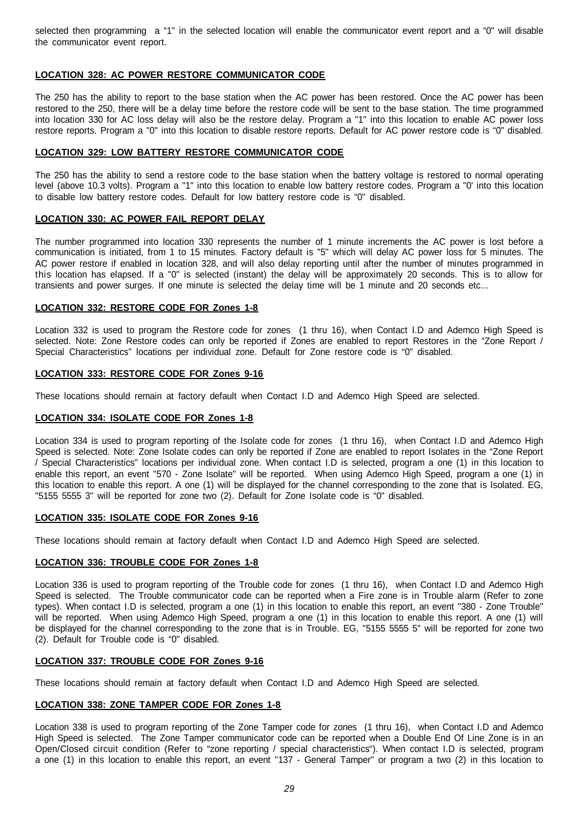selected then programming a "1" in the selected location will enable the communicator event report and a "0" will disable the communicator event report.

## **LOCATION 328: AC POWER RESTORE COMMUNICATOR CODE**

The 250 has the ability to report to the base station when the AC power has been restored. Once the AC power has been restored to the 250, there will be a delay time before the restore code will be sent to the base station. The time programmed into location 330 for AC loss delay will also be the restore delay. Program a "1" into this location to enable AC power loss restore reports. Program a "0" into this location to disable restore reports. Default for AC power restore code is "0" disabled.

## **LOCATION 329: LOW BATTERY RESTORE COMMUNICATOR CODE**

The 250 has the ability to send a restore code to the base station when the battery voltage is restored to normal operating level (above 10.3 volts). Program a "1" into this location to enable low battery restore codes. Program a "0' into this location to disable low battery restore codes. Default for low battery restore code is "0" disabled.

## **LOCATION 330: AC POWER FAIL REPORT DELAY**

The number programmed into location 330 represents the number of 1 minute increments the AC power is lost before a communication is initiated, from 1 to 15 minutes. Factory default is "5" which will delay AC power loss for 5 minutes. The AC power restore if enabled in location 328, and will also delay reporting until after the number of minutes programmed in this location has elapsed. If a "0" is selected (instant) the delay will be approximately 20 seconds. This is to allow for transients and power surges. If one minute is selected the delay time will be 1 minute and 20 seconds etc...

#### **LOCATION 332: RESTORE CODE FOR Zones 1-8**

Location 332 is used to program the Restore code for zones (1 thru 16), when Contact I.D and Ademco High Speed is selected. Note: Zone Restore codes can only be reported if Zones are enabled to report Restores in the "Zone Report / Special Characteristics" locations per individual zone. Default for Zone restore code is "0" disabled.

#### **LOCATION 333: RESTORE CODE FOR Zones 9-16**

These locations should remain at factory default when Contact I.D and Ademco High Speed are selected.

#### **LOCATION 334: ISOLATE CODE FOR Zones 1-8**

Location 334 is used to program reporting of the Isolate code for zones (1 thru 16), when Contact I.D and Ademco High Speed is selected. Note: Zone Isolate codes can only be reported if Zone are enabled to report Isolates in the "Zone Report / Special Characteristics" locations per individual zone. When contact I.D is selected, program a one (1) in this location to enable this report, an event "570 - Zone Isolate" will be reported. When using Ademco High Speed, program a one (1) in this location to enable this report. A one (1) will be displayed for the channel corresponding to the zone that is Isolated. EG, "5155 5555 3" will be reported for zone two (2). Default for Zone Isolate code is "0" disabled.

#### **LOCATION 335: ISOLATE CODE FOR Zones 9-16**

These locations should remain at factory default when Contact I.D and Ademco High Speed are selected.

## **LOCATION 336: TROUBLE CODE FOR Zones 1-8**

Location 336 is used to program reporting of the Trouble code for zones (1 thru 16), when Contact I.D and Ademco High Speed is selected. The Trouble communicator code can be reported when a Fire zone is in Trouble alarm (Refer to zone types). When contact I.D is selected, program a one (1) in this location to enable this report, an event "380 - Zone Trouble" will be reported. When using Ademco High Speed, program a one (1) in this location to enable this report. A one (1) will be displayed for the channel corresponding to the zone that is in Trouble. EG, "5155 5555 5" will be reported for zone two (2). Default for Trouble code is "0" disabled.

## **LOCATION 337: TROUBLE CODE FOR Zones 9-16**

These locations should remain at factory default when Contact I.D and Ademco High Speed are selected.

## **LOCATION 338: ZONE TAMPER CODE FOR Zones 1-8**

Location 338 is used to program reporting of the Zone Tamper code for zones (1 thru 16), when Contact I.D and Ademco High Speed is selected. The Zone Tamper communicator code can be reported when a Double End Of Line Zone is in an Open/Closed circuit condition (Refer to "zone reporting / special characteristics"). When contact I.D is selected, program a one (1) in this location to enable this report, an event "137 - General Tamper" or program a two (2) in this location to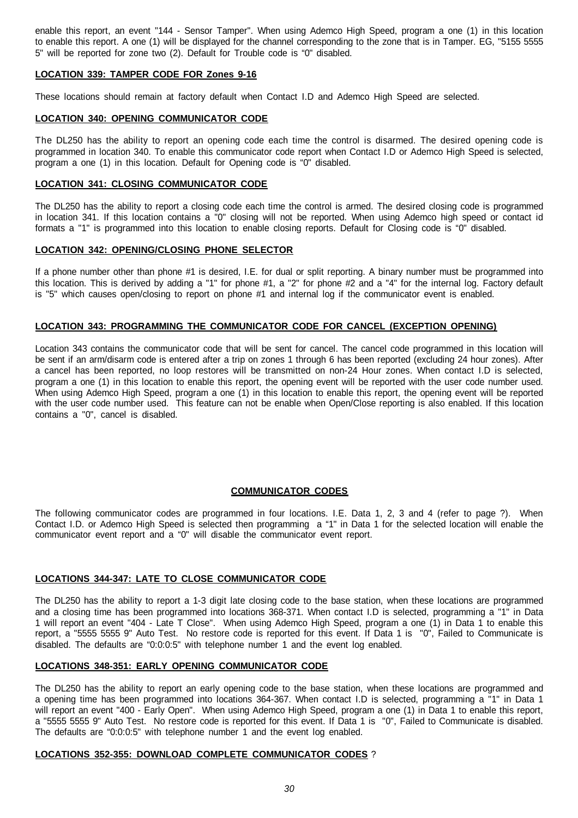enable this report, an event "144 - Sensor Tamper". When using Ademco High Speed, program a one (1) in this location to enable this report. A one (1) will be displayed for the channel corresponding to the zone that is in Tamper. EG, "5155 5555 5" will be reported for zone two (2). Default for Trouble code is "0" disabled.

## **LOCATION 339: TAMPER CODE FOR Zones 9-16**

These locations should remain at factory default when Contact I.D and Ademco High Speed are selected.

## **LOCATION 340: OPENING COMMUNICATOR CODE**

The DL250 has the ability to report an opening code each time the control is disarmed. The desired opening code is programmed in location 340. To enable this communicator code report when Contact I.D or Ademco High Speed is selected, program a one (1) in this location. Default for Opening code is "0" disabled.

## **LOCATION 341: CLOSING COMMUNICATOR CODE**

The DL250 has the ability to report a closing code each time the control is armed. The desired closing code is programmed in location 341. If this location contains a "0" closing will not be reported. When using Ademco high speed or contact id formats a "1" is programmed into this location to enable closing reports. Default for Closing code is "0" disabled.

## **LOCATION 342: OPENING/CLOSING PHONE SELECTOR**

If a phone number other than phone #1 is desired, I.E. for dual or split reporting. A binary number must be programmed into this location. This is derived by adding a "1" for phone #1, a "2" for phone #2 and a "4" for the internal log. Factory default is "5" which causes open/closing to report on phone #1 and internal log if the communicator event is enabled.

## **LOCATION 343: PROGRAMMING THE COMMUNICATOR CODE FOR CANCEL (EXCEPTION OPENING)**

Location 343 contains the communicator code that will be sent for cancel. The cancel code programmed in this location will be sent if an arm/disarm code is entered after a trip on zones 1 through 6 has been reported (excluding 24 hour zones). After a cancel has been reported, no loop restores will be transmitted on non-24 Hour zones. When contact I.D is selected, program a one (1) in this location to enable this report, the opening event will be reported with the user code number used. When using Ademco High Speed, program a one (1) in this location to enable this report, the opening event will be reported with the user code number used. This feature can not be enable when Open/Close reporting is also enabled. If this location contains a "0", cancel is disabled.

## **COMMUNICATOR CODES**

The following communicator codes are programmed in four locations. I.E. Data 1, 2, 3 and 4 (refer to page ?). When Contact I.D. or Ademco High Speed is selected then programming a "1" in Data 1 for the selected location will enable the communicator event report and a "0" will disable the communicator event report.

## **LOCATIONS 344-347: LATE TO CLOSE COMMUNICATOR CODE**

The DL250 has the ability to report a 1-3 digit late closing code to the base station, when these locations are programmed and a closing time has been programmed into locations 368-371. When contact I.D is selected, programming a "1" in Data 1 will report an event "404 - Late T Close". When using Ademco High Speed, program a one (1) in Data 1 to enable this report, a "5555 5555 9" Auto Test. No restore code is reported for this event. If Data 1 is "0", Failed to Communicate is disabled. The defaults are "0:0:0:5" with telephone number 1 and the event log enabled.

## **LOCATIONS 348-351: EARLY OPENING COMMUNICATOR CODE**

The DL250 has the ability to report an early opening code to the base station, when these locations are programmed and a opening time has been programmed into locations 364-367. When contact I.D is selected, programming a "1" in Data 1 will report an event "400 - Early Open". When using Ademco High Speed, program a one (1) in Data 1 to enable this report, a "5555 5555 9" Auto Test. No restore code is reported for this event. If Data 1 is "0", Failed to Communicate is disabled. The defaults are "0:0:0:5" with telephone number 1 and the event log enabled.

## **LOCATIONS 352-355: DOWNLOAD COMPLETE COMMUNICATOR CODES** ?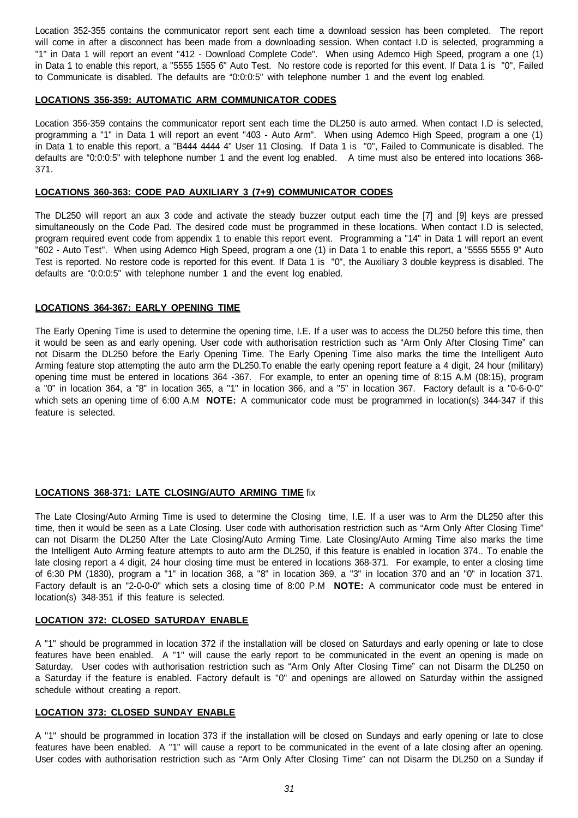Location 352-355 contains the communicator report sent each time a download session has been completed. The report will come in after a disconnect has been made from a downloading session. When contact I.D is selected, programming a "1" in Data 1 will report an event "412 - Download Complete Code". When using Ademco High Speed, program a one (1) in Data 1 to enable this report, a "5555 1555 6" Auto Test. No restore code is reported for this event. If Data 1 is "0", Failed to Communicate is disabled. The defaults are "0:0:0:5" with telephone number 1 and the event log enabled.

## **LOCATIONS 356-359: AUTOMATIC ARM COMMUNICATOR CODES**

Location 356-359 contains the communicator report sent each time the DL250 is auto armed. When contact I.D is selected, programming a "1" in Data 1 will report an event "403 - Auto Arm". When using Ademco High Speed, program a one (1) in Data 1 to enable this report, a "B444 4444 4" User 11 Closing. If Data 1 is "0", Failed to Communicate is disabled. The defaults are "0:0:0:5" with telephone number 1 and the event log enabled. A time must also be entered into locations 368- 371.

## **LOCATIONS 360-363: CODE PAD AUXILIARY 3 (7+9) COMMUNICATOR CODES**

The DL250 will report an aux 3 code and activate the steady buzzer output each time the [7] and [9] keys are pressed simultaneously on the Code Pad. The desired code must be programmed in these locations. When contact I.D is selected, program required event code from appendix 1 to enable this report event. Programming a "14" in Data 1 will report an event "602 - Auto Test". When using Ademco High Speed, program a one (1) in Data 1 to enable this report, a "5555 5555 9" Auto Test is reported. No restore code is reported for this event. If Data 1 is "0", the Auxiliary 3 double keypress is disabled. The defaults are "0:0:0:5" with telephone number 1 and the event log enabled.

## **LOCATIONS 364-367: EARLY OPENING TIME**

The Early Opening Time is used to determine the opening time, I.E. If a user was to access the DL250 before this time, then it would be seen as and early opening. User code with authorisation restriction such as "Arm Only After Closing Time" can not Disarm the DL250 before the Early Opening Time. The Early Opening Time also marks the time the Intelligent Auto Arming feature stop attempting the auto arm the DL250.To enable the early opening report feature a 4 digit, 24 hour (military) opening time must be entered in locations 364 -367. For example, to enter an opening time of 8:15 A.M (08:15), program a "0" in location 364, a "8" in location 365, a "1" in location 366, and a "5" in location 367. Factory default is a "0-6-0-0" which sets an opening time of 6:00 A.M **NOTE:** A communicator code must be programmed in location(s) 344-347 if this feature is selected.

## **LOCATIONS 368-371: LATE CLOSING/AUTO ARMING TIME** fix

The Late Closing/Auto Arming Time is used to determine the Closing time, I.E. If a user was to Arm the DL250 after this time, then it would be seen as a Late Closing. User code with authorisation restriction such as "Arm Only After Closing Time" can not Disarm the DL250 After the Late Closing/Auto Arming Time. Late Closing/Auto Arming Time also marks the time the Intelligent Auto Arming feature attempts to auto arm the DL250, if this feature is enabled in location 374.. To enable the late closing report a 4 digit, 24 hour closing time must be entered in locations 368-371. For example, to enter a closing time of 6:30 PM (1830), program a "1" in location 368, a "8" in location 369, a "3" in location 370 and an "0" in location 371. Factory default is an "2-0-0-0" which sets a closing time of 8:00 P.M **NOTE:** A communicator code must be entered in location(s) 348-351 if this feature is selected.

## **LOCATION 372: CLOSED SATURDAY ENABLE**

A "1" should be programmed in location 372 if the installation will be closed on Saturdays and early opening or late to close features have been enabled. A "1" will cause the early report to be communicated in the event an opening is made on Saturday. User codes with authorisation restriction such as "Arm Only After Closing Time" can not Disarm the DL250 on a Saturday if the feature is enabled. Factory default is "0" and openings are allowed on Saturday within the assigned schedule without creating a report.

## **LOCATION 373: CLOSED SUNDAY ENABLE**

A "1" should be programmed in location 373 if the installation will be closed on Sundays and early opening or late to close features have been enabled. A "1" will cause a report to be communicated in the event of a late closing after an opening. User codes with authorisation restriction such as "Arm Only After Closing Time" can not Disarm the DL250 on a Sunday if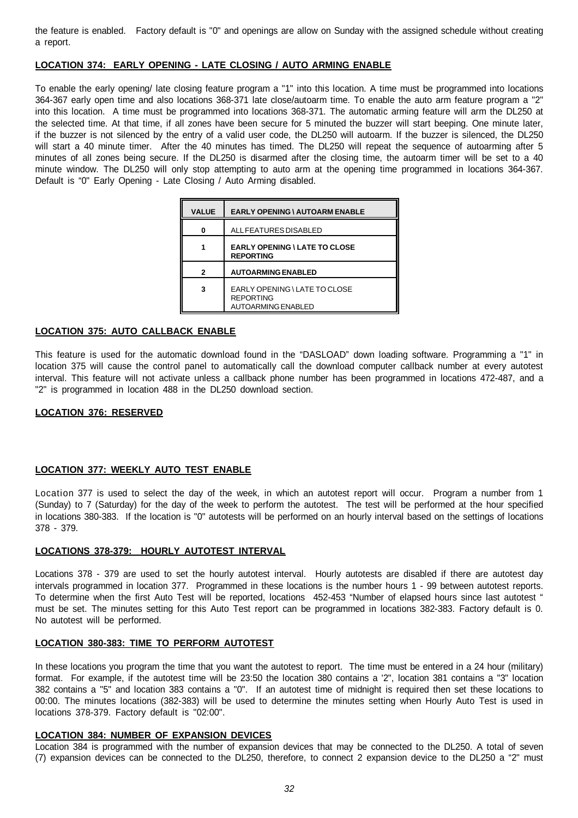the feature is enabled. Factory default is "0" and openings are allow on Sunday with the assigned schedule without creating a report.

## **LOCATION 374: EARLY OPENING - LATE CLOSING / AUTO ARMING ENABLE**

To enable the early opening/ late closing feature program a "1" into this location. A time must be programmed into locations 364-367 early open time and also locations 368-371 late close/autoarm time. To enable the auto arm feature program a "2" into this location. A time must be programmed into locations 368-371. The automatic arming feature will arm the DL250 at the selected time. At that time, if all zones have been secure for 5 minuted the buzzer will start beeping. One minute later, if the buzzer is not silenced by the entry of a valid user code, the DL250 will autoarm. If the buzzer is silenced, the DL250 will start a 40 minute timer. After the 40 minutes has timed. The DL250 will repeat the sequence of autoarming after 5 minutes of all zones being secure. If the DL250 is disarmed after the closing time, the autoarm timer will be set to a 40 minute window. The DL250 will only stop attempting to auto arm at the opening time programmed in locations 364-367. Default is "0" Early Opening - Late Closing / Auto Arming disabled.

| <b>VALUE</b> | <b>EARLY OPENING \ AUTOARM ENABLE</b>                                          |
|--------------|--------------------------------------------------------------------------------|
| 0            | ALL FEATURES DISABLED                                                          |
|              | <b>EARLY OPENING \ LATE TO CLOSE</b><br><b>REPORTING</b>                       |
| 2            | <b>AUTOARMING ENABLED</b>                                                      |
| 3            | EARLY OPENING \ LATE TO CLOSE<br><b>REPORTING</b><br><b>AUTOARMING ENABLED</b> |

## **LOCATION 375: AUTO CALLBACK ENABLE**

This feature is used for the automatic download found in the "DASLOAD" down loading software. Programming a "1" in location 375 will cause the control panel to automatically call the download computer callback number at every autotest interval. This feature will not activate unless a callback phone number has been programmed in locations 472-487, and a "2" is programmed in location 488 in the DL250 download section.

## **LOCATION 376: RESERVED**

## **LOCATION 377: WEEKLY AUTO TEST ENABLE**

Location 377 is used to select the day of the week, in which an autotest report will occur. Program a number from 1 (Sunday) to 7 (Saturday) for the day of the week to perform the autotest. The test will be performed at the hour specified in locations 380-383. If the location is "0" autotests will be performed on an hourly interval based on the settings of locations 378 - 379.

## **LOCATIONS 378-379: HOURLY AUTOTEST INTERVAL**

Locations 378 - 379 are used to set the hourly autotest interval. Hourly autotests are disabled if there are autotest day intervals programmed in location 377. Programmed in these locations is the number hours 1 - 99 between autotest reports. To determine when the first Auto Test will be reported, locations 452-453 "Number of elapsed hours since last autotest " must be set. The minutes setting for this Auto Test report can be programmed in locations 382-383. Factory default is 0. No autotest will be performed.

## **LOCATION 380-383: TIME TO PERFORM AUTOTEST**

In these locations you program the time that you want the autotest to report. The time must be entered in a 24 hour (military) format. For example, if the autotest time will be 23:50 the location 380 contains a '2", location 381 contains a "3" location 382 contains a "5" and location 383 contains a "0". If an autotest time of midnight is required then set these locations to 00:00. The minutes locations (382-383) will be used to determine the minutes setting when Hourly Auto Test is used in locations 378-379. Factory default is "02:00".

## **LOCATION 384: NUMBER OF EXPANSION DEVICES**

Location 384 is programmed with the number of expansion devices that may be connected to the DL250. A total of seven (7) expansion devices can be connected to the DL250, therefore, to connect 2 expansion device to the DL250 a "2" must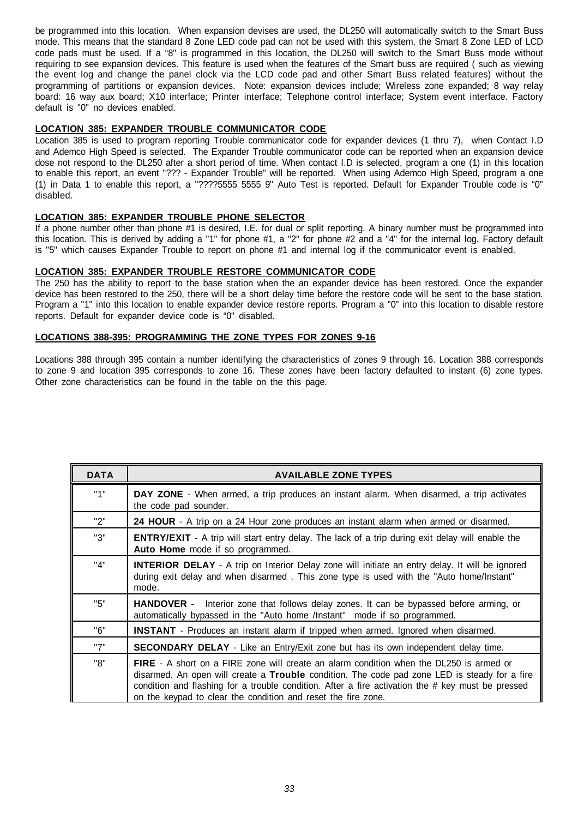be programmed into this location. When expansion devises are used, the DL250 will automatically switch to the Smart Buss mode. This means that the standard 8 Zone LED code pad can not be used with this system, the Smart 8 Zone LED of LCD code pads must be used. If a "8" is programmed in this location, the DL250 will switch to the Smart Buss mode without requiring to see expansion devices. This feature is used when the features of the Smart buss are required ( such as viewing the event log and change the panel clock via the LCD code pad and other Smart Buss related features) without the programming of partitions or expansion devices. Note: expansion devices include; Wireless zone expanded; 8 way relay board: 16 way aux board; X10 interface; Printer interface; Telephone control interface; System event interface. Factory default is "0" no devices enabled.

## **LOCATION 385: EXPANDER TROUBLE COMMUNICATOR CODE**

Location 385 is used to program reporting Trouble communicator code for expander devices (1 thru 7), when Contact I.D and Ademco High Speed is selected. The Expander Trouble communicator code can be reported when an expansion device dose not respond to the DL250 after a short period of time. When contact I.D is selected, program a one (1) in this location to enable this report, an event "??? - Expander Trouble" will be reported. When using Ademco High Speed, program a one (1) in Data 1 to enable this report, a "????5555 5555 9" Auto Test is reported. Default for Expander Trouble code is "0" disabled.

## **LOCATION 385: EXPANDER TROUBLE PHONE SELECTOR**

If a phone number other than phone #1 is desired, I.E. for dual or split reporting. A binary number must be programmed into this location. This is derived by adding a "1" for phone #1, a "2" for phone #2 and a "4" for the internal log. Factory default is "5" which causes Expander Trouble to report on phone #1 and internal log if the communicator event is enabled.

## **LOCATION 385: EXPANDER TROUBLE RESTORE COMMUNICATOR CODE**

The 250 has the ability to report to the base station when the an expander device has been restored. Once the expander device has been restored to the 250, there will be a short delay time before the restore code will be sent to the base station. Program a "1" into this location to enable expander device restore reports. Program a "0" into this location to disable restore reports. Default for expander device code is "0" disabled.

## **LOCATIONS 388-395: PROGRAMMING THE ZONE TYPES FOR ZONES 9-16**

Locations 388 through 395 contain a number identifying the characteristics of zones 9 through 16. Location 388 corresponds to zone 9 and location 395 corresponds to zone 16. These zones have been factory defaulted to instant (6) zone types. Other zone characteristics can be found in the table on the this page.

| <b>DATA</b> | <b>AVAILABLE ZONE TYPES</b>                                                                                                                                                                                                                                                                                                                                           |
|-------------|-----------------------------------------------------------------------------------------------------------------------------------------------------------------------------------------------------------------------------------------------------------------------------------------------------------------------------------------------------------------------|
| "1"         | <b>DAY ZONE</b> - When armed, a trip produces an instant alarm. When disarmed, a trip activates<br>the code pad sounder.                                                                                                                                                                                                                                              |
| "2"         | 24 HOUR - A trip on a 24 Hour zone produces an instant alarm when armed or disarmed.                                                                                                                                                                                                                                                                                  |
| "3"         | <b>ENTRY/EXIT</b> - A trip will start entry delay. The lack of a trip during exit delay will enable the<br>Auto Home mode if so programmed.                                                                                                                                                                                                                           |
| "4"         | <b>INTERIOR DELAY</b> - A trip on Interior Delay zone will initiate an entry delay. It will be ignored<br>during exit delay and when disarmed. This zone type is used with the "Auto home/Instant"<br>mode.                                                                                                                                                           |
| "5"         | <b>HANDOVER</b> - Interior zone that follows delay zones. It can be bypassed before arming, or<br>automatically bypassed in the "Auto home /Instant" mode if so programmed.                                                                                                                                                                                           |
| "6"         | <b>INSTANT</b> - Produces an instant alarm if tripped when armed. Ignored when disarmed.                                                                                                                                                                                                                                                                              |
| "7"         | <b>SECONDARY DELAY</b> - Like an Entry/Exit zone but has its own independent delay time.                                                                                                                                                                                                                                                                              |
| "8"         | <b>FIRE</b> - A short on a FIRE zone will create an alarm condition when the DL250 is armed or<br>disarmed. An open will create a Trouble condition. The code pad zone LED is steady for a fire<br>condition and flashing for a trouble condition. After a fire activation the # key must be pressed<br>on the keypad to clear the condition and reset the fire zone. |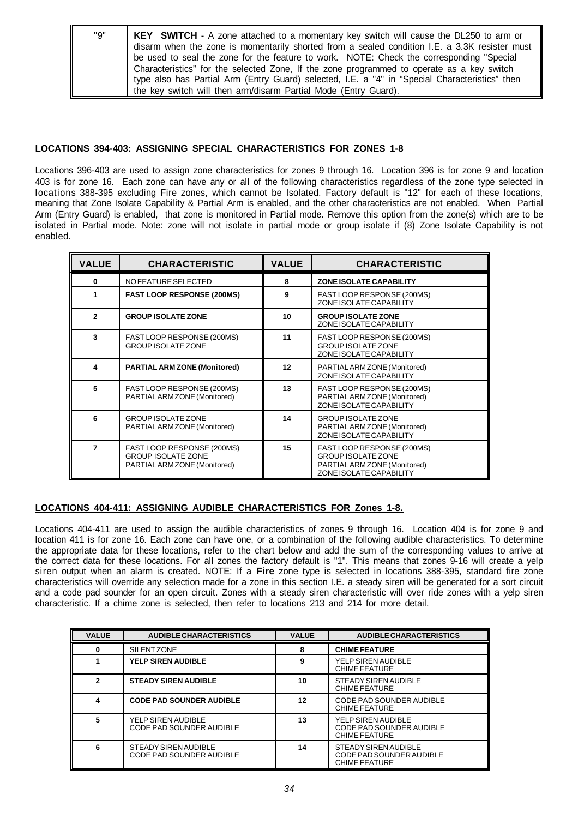| "9" | <b>KEY</b> SWITCH - A zone attached to a momentary key switch will cause the DL250 to arm or   |
|-----|------------------------------------------------------------------------------------------------|
|     | disarm when the zone is momentarily shorted from a sealed condition I.E. a 3.3K resister must  |
|     | be used to seal the zone for the feature to work. NOTE: Check the corresponding "Special       |
|     | Characteristics" for the selected Zone, If the zone programmed to operate as a key switch      |
|     | type also has Partial Arm (Entry Guard) selected, I.E. a "4" in "Special Characteristics" then |
|     | the key switch will then arm/disarm Partial Mode (Entry Guard).                                |

## **LOCATIONS 394-403: ASSIGNING SPECIAL CHARACTERISTICS FOR ZONES 1-8**

Locations 396-403 are used to assign zone characteristics for zones 9 through 16. Location 396 is for zone 9 and location 403 is for zone 16. Each zone can have any or all of the following characteristics regardless of the zone type selected in locations 388-395 excluding Fire zones, which cannot be Isolated. Factory default is "12" for each of these locations, meaning that Zone Isolate Capability & Partial Arm is enabled, and the other characteristics are not enabled. When Partial Arm (Entry Guard) is enabled, that zone is monitored in Partial mode. Remove this option from the zone(s) which are to be isolated in Partial mode. Note: zone will not isolate in partial mode or group isolate if (8) Zone Isolate Capability is not enabled.

| <b>VALUE</b>   | <b>CHARACTERISTIC</b>                                                                   | <b>VALUE</b> | <b>CHARACTERISTIC</b>                                                                                              |
|----------------|-----------------------------------------------------------------------------------------|--------------|--------------------------------------------------------------------------------------------------------------------|
| $\bf{0}$       | NO FEATURE SELECTED                                                                     | 8            | <b>ZONE ISOLATE CAPABILITY</b>                                                                                     |
| 1              | <b>FAST LOOP RESPONSE (200MS)</b>                                                       | 9            | FAST LOOP RESPONSE (200MS)<br>ZONE ISOLATE CAPABILITY                                                              |
| $\mathbf{2}$   | <b>GROUP ISOLATE ZONE</b>                                                               | 10           | <b>GROUP ISOLATE ZONE</b><br>ZONE ISOLATE CAPABILITY                                                               |
| 3              | FAST LOOP RESPONSE (200MS)<br><b>GROUP ISOLATE ZONE</b>                                 | 11           | FAST LOOP RESPONSE (200MS)<br><b>GROUP ISOLATE ZONE</b><br>ZONE ISOLATE CAPABILITY                                 |
| 4              | <b>PARTIAL ARM ZONE (Monitored)</b>                                                     | 12           | PARTIAL ARM ZONE (Monitored)<br>ZONE ISOLATE CAPABILITY                                                            |
| 5              | FAST LOOP RESPONSE (200MS)<br>PARTIAL ARM ZONE (Monitored)                              | 13           | FAST LOOP RESPONSE (200MS)<br>PARTIAL ARM ZONE (Monitored)<br>ZONE ISOLATE CAPABILITY                              |
| 6              | <b>GROUP ISOLATE ZONE</b><br>PARTIAL ARM ZONE (Monitored)                               | 14           | <b>GROUP ISOLATE ZONE</b><br>PARTIAL ARM ZONE (Monitored)<br>ZONE ISOLATE CAPABILITY                               |
| $\overline{7}$ | FAST LOOP RESPONSE (200MS)<br><b>GROUP ISOLATE ZONE</b><br>PARTIAL ARM ZONE (Monitored) | 15           | FAST LOOP RESPONSE (200MS)<br><b>GROUP ISOLATE ZONE</b><br>PARTIAL ARM ZONE (Monitored)<br>ZONE ISOLATE CAPABILITY |

## **LOCATIONS 404-411: ASSIGNING AUDIBLE CHARACTERISTICS FOR Zones 1-8.**

Locations 404-411 are used to assign the audible characteristics of zones 9 through 16. Location 404 is for zone 9 and location 411 is for zone 16. Each zone can have one, or a combination of the following audible characteristics. To determine the appropriate data for these locations, refer to the chart below and add the sum of the corresponding values to arrive at the correct data for these locations. For all zones the factory default is "1". This means that zones 9-16 will create a yelp siren output when an alarm is created. NOTE: If a **Fire** zone type is selected in locations 388-395, standard fire zone characteristics will override any selection made for a zone in this section I.E. a steady siren will be generated for a sort circuit and a code pad sounder for an open circuit. Zones with a steady siren characteristic will over ride zones with a yelp siren characteristic. If a chime zone is selected, then refer to locations 213 and 214 for more detail.

| <b>VALUE</b> | <b>AUDIBLE CHARACTERISTICS</b>                          | <b>VALUE</b> | <b>AUDIBLE CHARACTERISTICS</b>                                                |
|--------------|---------------------------------------------------------|--------------|-------------------------------------------------------------------------------|
| 0            | SILENT ZONE                                             | 8            | <b>CHIME FEATURE</b>                                                          |
|              | <b>YELP SIREN AUDIBLE</b>                               | 9            | YELP SIREN AUDIBLE<br><b>CHIME FEATURE</b>                                    |
| $\mathbf{2}$ | <b>STEADY SIREN AUDIBLE</b>                             | 10           | STEADY SIREN AUDIBLE<br><b>CHIME FEATURE</b>                                  |
| 4            | <b>CODE PAD SOUNDER AUDIBLE</b>                         | 12           | CODE PAD SOUNDER AUDIBLE<br><b>CHIME FEATURE</b>                              |
| 5            | YELP SIREN AUDIBLE<br>CODE PAD SOUNDER AUDIBLE          | 13           | YELP SIREN AUDIBLE<br><b>CODE PAD SOUNDER AUDIBLE</b><br><b>CHIME FEATURE</b> |
| 6            | STEADY SIREN AUDIBLE<br><b>CODE PAD SOUNDER AUDIBLE</b> | 14           | STEADY SIREN AUDIBLE<br>CODE PAD SOUNDER AUDIBLE<br><b>CHIME FEATURE</b>      |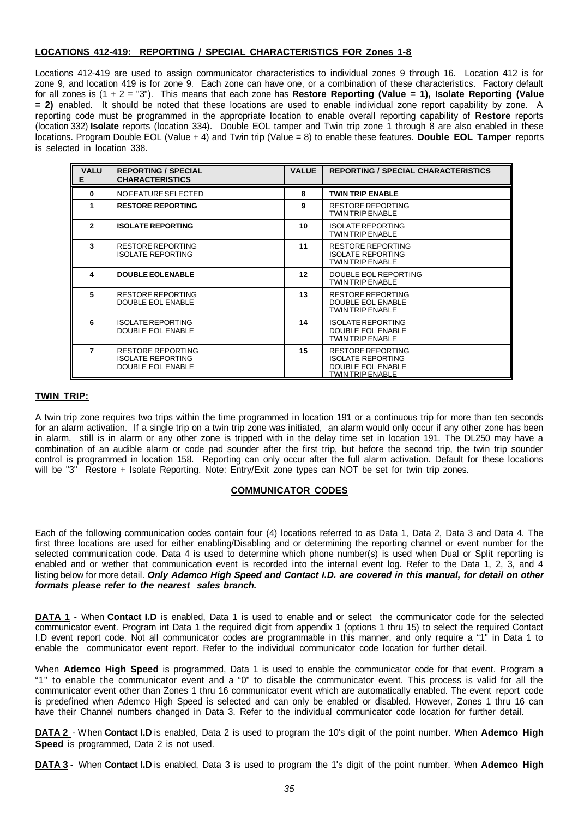## **LOCATIONS 412-419: REPORTING / SPECIAL CHARACTERISTICS FOR Zones 1-8**

Locations 412-419 are used to assign communicator characteristics to individual zones 9 through 16. Location 412 is for zone 9, and location 419 is for zone 9. Each zone can have one, or a combination of these characteristics. Factory default for all zones is (1 + 2 = "3"). This means that each zone has **Restore Reporting (Value = 1), Isolate Reporting (Value = 2)** enabled. It should be noted that these locations are used to enable individual zone report capability by zone. A reporting code must be programmed in the appropriate location to enable overall reporting capability of **Restore** reports (location 332) **Isolate** reports (location 334). Double EOL tamper and Twin trip zone 1 through 8 are also enabled in these locations. Program Double EOL (Value + 4) and Twin trip (Value = 8) to enable these features. **Double EOL Tamper** reports is selected in location 338.

| <b>VALU</b><br>E. | <b>REPORTING / SPECIAL</b><br><b>CHARACTERISTICS</b>                             | <b>VALUE</b>    | <b>REPORTING / SPECIAL CHARACTERISTICS</b>                                                                  |
|-------------------|----------------------------------------------------------------------------------|-----------------|-------------------------------------------------------------------------------------------------------------|
| $\bf{0}$          | NO FEATURE SELECTED                                                              | 8               | <b>TWIN TRIP ENABLE</b>                                                                                     |
| 1                 | <b>RESTORE REPORTING</b>                                                         | 9               | <b>RESTORE REPORTING</b><br><b>TWIN TRIP ENABLE</b>                                                         |
| $\mathbf{2}$      | <b>ISOLATE REPORTING</b>                                                         | 10              | <b>ISOLATE REPORTING</b><br><b>TWIN TRIP ENABLE</b>                                                         |
| 3                 | RESTORE REPORTING<br><b>ISOLATE REPORTING</b>                                    | 11              | <b>RESTORE REPORTING</b><br><b>ISOLATE REPORTING</b><br><b>TWIN TRIP ENABLE</b>                             |
| 4                 | <b>DOUBLE EOLENABLE</b>                                                          | 12 <sup>2</sup> | DOUBLE EOL REPORTING<br><b>TWIN TRIP ENABLE</b>                                                             |
| 5                 | RESTORE REPORTING<br>DOUBLE EOL ENABLE                                           | 13              | <b>RESTORE REPORTING</b><br><b>DOUBLE EOL ENABLE</b><br><b>TWIN TRIP ENABLE</b>                             |
| 6                 | <b>ISOLATE REPORTING</b><br>DOUBLE EOL ENABLE                                    | 14              | <b>ISOLATE REPORTING</b><br><b>DOUBLE EOL ENABLE</b><br><b>TWIN TRIP ENABLE</b>                             |
| 7                 | <b>RESTORE REPORTING</b><br><b>ISOLATE REPORTING</b><br><b>DOUBLE EOL ENABLE</b> | 15              | <b>RESTORE REPORTING</b><br><b>ISOLATE REPORTING</b><br><b>DOUBLE EOL ENABLE</b><br><b>TWIN TRIP ENABLE</b> |

## **TWIN TRIP:**

A twin trip zone requires two trips within the time programmed in location 191 or a continuous trip for more than ten seconds for an alarm activation. If a single trip on a twin trip zone was initiated, an alarm would only occur if any other zone has been in alarm, still is in alarm or any other zone is tripped with in the delay time set in location 191. The DL250 may have a combination of an audible alarm or code pad sounder after the first trip, but before the second trip, the twin trip sounder control is programmed in location 158. Reporting can only occur after the full alarm activation. Default for these locations will be "3" Restore + Isolate Reporting. Note: Entry/Exit zone types can NOT be set for twin trip zones.

## **COMMUNICATOR CODES**

Each of the following communication codes contain four (4) locations referred to as Data 1, Data 2, Data 3 and Data 4. The first three locations are used for either enabling/Disabling and or determining the reporting channel or event number for the selected communication code. Data 4 is used to determine which phone number(s) is used when Dual or Split reporting is enabled and or wether that communication event is recorded into the internal event log. Refer to the Data 1, 2, 3, and 4 listing below for more detail. *Only Ademco High Speed and Contact I.D. are covered in this manual, for detail on other formats please refer to the nearest sales branch.*

**DATA 1** - When **Contact I.D** is enabled, Data 1 is used to enable and or select the communicator code for the selected communicator event. Program int Data 1 the required digit from appendix 1 (options 1 thru 15) to select the required Contact I.D event report code. Not all communicator codes are programmable in this manner, and only require a "1" in Data 1 to enable the communicator event report. Refer to the individual communicator code location for further detail.

When **Ademco High Speed** is programmed, Data 1 is used to enable the communicator code for that event. Program a "1" to enable the communicator event and a "0" to disable the communicator event. This process is valid for all the communicator event other than Zones 1 thru 16 communicator event which are automatically enabled. The event report code is predefined when Ademco High Speed is selected and can only be enabled or disabled. However, Zones 1 thru 16 can have their Channel numbers changed in Data 3. Refer to the individual communicator code location for further detail.

**DATA 2** - W hen **Contact I.D** is enabled, Data 2 is used to program the 10's digit of the point number. When **Ademco High Speed** is programmed, Data 2 is not used.

**DATA 3** - When **Contact I.D** is enabled, Data 3 is used to program the 1's digit of the point number. When **Ademco High**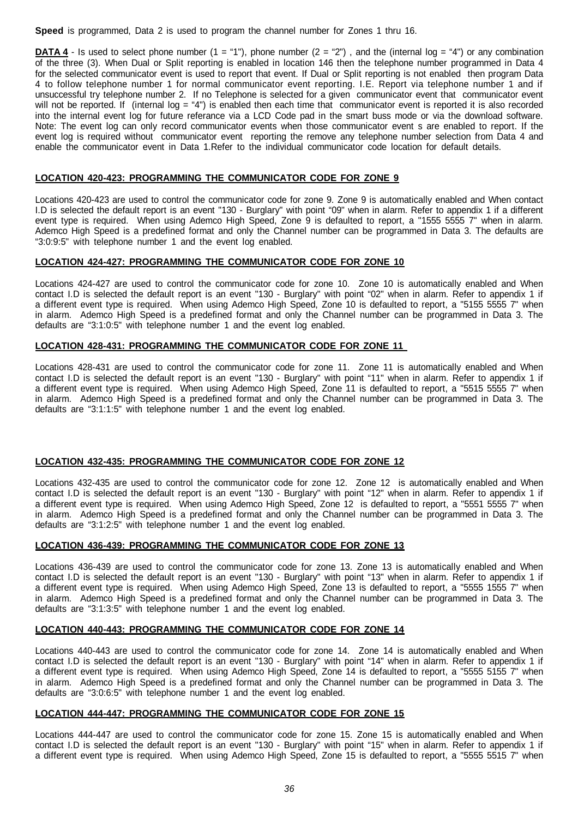**Speed** is programmed, Data 2 is used to program the channel number for Zones 1 thru 16.

**DATA 4** - Is used to select phone number  $(1 = "1")$ , phone number  $(2 = "2")$ , and the (internal log = "4") or any combination of the three (3). When Dual or Split reporting is enabled in location 146 then the telephone number programmed in Data 4 for the selected communicator event is used to report that event. If Dual or Split reporting is not enabled then program Data 4 to follow telephone number 1 for normal communicator event reporting. I.E. Report via telephone number 1 and if unsuccessful try telephone number 2. If no Telephone is selected for a given communicator event that communicator event will not be reported. If (internal log = "4") is enabled then each time that communicator event is reported it is also recorded into the internal event log for future referance via a LCD Code pad in the smart buss mode or via the download software. Note: The event log can only record communicator events when those communicator event s are enabled to report. If the event log is required without communicator event reporting the remove any telephone number selection from Data 4 and enable the communicator event in Data 1.Refer to the individual communicator code location for default details.

## **LOCATION 420-423: PROGRAMMING THE COMMUNICATOR CODE FOR ZONE 9**

Locations 420-423 are used to control the communicator code for zone 9. Zone 9 is automatically enabled and When contact I.D is selected the default report is an event "130 - Burglary" with point "09" when in alarm. Refer to appendix 1 if a different event type is required. When using Ademco High Speed, Zone 9 is defaulted to report, a "1555 5555 7" when in alarm. Ademco High Speed is a predefined format and only the Channel number can be programmed in Data 3. The defaults are "3:0:9:5" with telephone number 1 and the event log enabled.

## **LOCATION 424-427: PROGRAMMING THE COMMUNICATOR CODE FOR ZONE 10**

Locations 424-427 are used to control the communicator code for zone 10. Zone 10 is automatically enabled and When contact I.D is selected the default report is an event "130 - Burglary" with point "02" when in alarm. Refer to appendix 1 if a different event type is required. When using Ademco High Speed, Zone 10 is defaulted to report, a "5155 5555 7" when in alarm. Ademco High Speed is a predefined format and only the Channel number can be programmed in Data 3. The defaults are "3:1:0:5" with telephone number 1 and the event log enabled.

## **LOCATION 428-431: PROGRAMMING THE COMMUNICATOR CODE FOR ZONE 11**

Locations 428-431 are used to control the communicator code for zone 11. Zone 11 is automatically enabled and When contact I.D is selected the default report is an event "130 - Burglary" with point "11" when in alarm. Refer to appendix 1 if a different event type is required. When using Ademco High Speed, Zone 11 is defaulted to report, a "5515 5555 7" when in alarm. Ademco High Speed is a predefined format and only the Channel number can be programmed in Data 3. The defaults are "3:1:1:5" with telephone number 1 and the event log enabled.

## **LOCATION 432-435: PROGRAMMING THE COMMUNICATOR CODE FOR ZONE 12**

Locations 432-435 are used to control the communicator code for zone 12. Zone 12 is automatically enabled and When contact I.D is selected the default report is an event "130 - Burglary" with point "12" when in alarm. Refer to appendix 1 if a different event type is required. When using Ademco High Speed, Zone 12 is defaulted to report, a "5551 5555 7" when in alarm. Ademco High Speed is a predefined format and only the Channel number can be programmed in Data 3. The defaults are "3:1:2:5" with telephone number 1 and the event log enabled.

## **LOCATION 436-439: PROGRAMMING THE COMMUNICATOR CODE FOR ZONE 13**

Locations 436-439 are used to control the communicator code for zone 13. Zone 13 is automatically enabled and When contact I.D is selected the default report is an event "130 - Burglary" with point "13" when in alarm. Refer to appendix 1 if a different event type is required. When using Ademco High Speed, Zone 13 is defaulted to report, a "5555 1555 7" when in alarm. Ademco High Speed is a predefined format and only the Channel number can be programmed in Data 3. The defaults are "3:1:3:5" with telephone number 1 and the event log enabled.

## **LOCATION 440-443: PROGRAMMING THE COMMUNICATOR CODE FOR ZONE 14**

Locations 440-443 are used to control the communicator code for zone 14. Zone 14 is automatically enabled and When contact I.D is selected the default report is an event "130 - Burglary" with point "14" when in alarm. Refer to appendix 1 if a different event type is required. When using Ademco High Speed, Zone 14 is defaulted to report, a "5555 5155 7" when in alarm. Ademco High Speed is a predefined format and only the Channel number can be programmed in Data 3. The defaults are "3:0:6:5" with telephone number 1 and the event log enabled.

## **LOCATION 444-447: PROGRAMMING THE COMMUNICATOR CODE FOR ZONE 15**

Locations 444-447 are used to control the communicator code for zone 15. Zone 15 is automatically enabled and When contact I.D is selected the default report is an event "130 - Burglary" with point "15" when in alarm. Refer to appendix 1 if a different event type is required. When using Ademco High Speed, Zone 15 is defaulted to report, a "5555 5515 7" when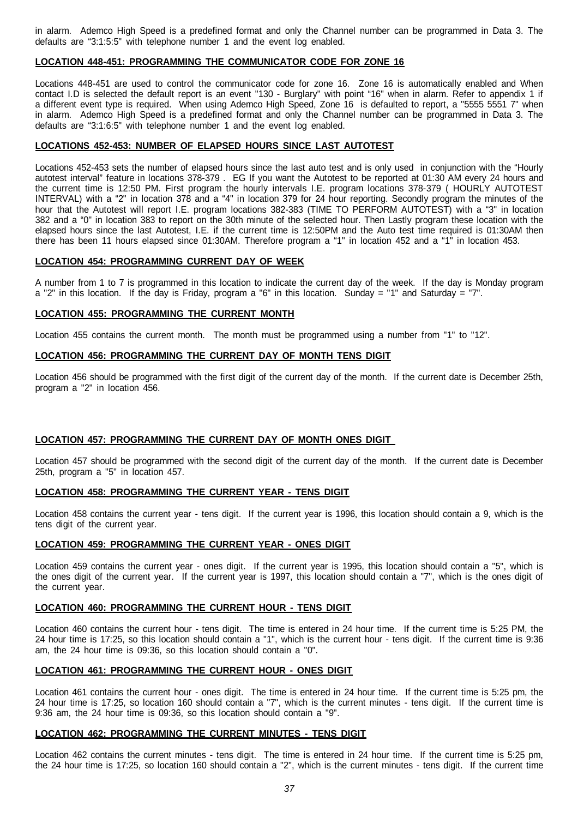in alarm. Ademco High Speed is a predefined format and only the Channel number can be programmed in Data 3. The defaults are "3:1:5:5" with telephone number 1 and the event log enabled.

#### **LOCATION 448-451: PROGRAMMING THE COMMUNICATOR CODE FOR ZONE 16**

Locations 448-451 are used to control the communicator code for zone 16. Zone 16 is automatically enabled and When contact I.D is selected the default report is an event "130 - Burglary" with point "16" when in alarm. Refer to appendix 1 if a different event type is required. When using Ademco High Speed, Zone 16 is defaulted to report, a "5555 5551 7" when in alarm. Ademco High Speed is a predefined format and only the Channel number can be programmed in Data 3. The defaults are "3:1:6:5" with telephone number 1 and the event log enabled.

### **LOCATIONS 452-453: NUMBER OF ELAPSED HOURS SINCE LAST AUTOTEST**

Locations 452-453 sets the number of elapsed hours since the last auto test and is only used in conjunction with the "Hourly autotest interval" feature in locations 378-379 . EG If you want the Autotest to be reported at 01:30 AM every 24 hours and the current time is 12:50 PM. First program the hourly intervals I.E. program locations 378-379 ( HOURLY AUTOTEST INTERVAL) with a "2" in location 378 and a "4" in location 379 for 24 hour reporting. Secondly program the minutes of the hour that the Autotest will report I.E. program locations 382-383 (TIME TO PERFORM AUTOTEST) with a "3" in location 382 and a "0" in location 383 to report on the 30th minute of the selected hour. Then Lastly program these location with the elapsed hours since the last Autotest, I.E. if the current time is 12:50PM and the Auto test time required is 01:30AM then there has been 11 hours elapsed since 01:30AM. Therefore program a "1" in location 452 and a "1" in location 453.

#### **LOCATION 454: PROGRAMMING CURRENT DAY OF WEEK**

A number from 1 to 7 is programmed in this location to indicate the current day of the week. If the day is Monday program a "2" in this location. If the day is Friday, program a "6" in this location. Sunday = "1" and Saturday = "7".

#### **LOCATION 455: PROGRAMMING THE CURRENT MONTH**

Location 455 contains the current month. The month must be programmed using a number from "1" to "12".

## **LOCATION 456: PROGRAMMING THE CURRENT DAY OF MONTH TENS DIGIT**

Location 456 should be programmed with the first digit of the current day of the month. If the current date is December 25th, program a "2" in location 456.

## **LOCATION 457: PROGRAMMING THE CURRENT DAY OF MONTH ONES DIGIT**

Location 457 should be programmed with the second digit of the current day of the month. If the current date is December 25th, program a "5" in location 457.

## **LOCATION 458: PROGRAMMING THE CURRENT YEAR - TENS DIGIT**

Location 458 contains the current year - tens digit. If the current year is 1996, this location should contain a 9, which is the tens digit of the current year.

## **LOCATION 459: PROGRAMMING THE CURRENT YEAR - ONES DIGIT**

Location 459 contains the current year - ones digit. If the current year is 1995, this location should contain a "5", which is the ones digit of the current year. If the current year is 1997, this location should contain a "7", which is the ones digit of the current year.

## **LOCATION 460: PROGRAMMING THE CURRENT HOUR - TENS DIGIT**

Location 460 contains the current hour - tens digit. The time is entered in 24 hour time. If the current time is 5:25 PM, the 24 hour time is 17:25, so this location should contain a "1", which is the current hour - tens digit. If the current time is 9:36 am, the 24 hour time is 09:36, so this location should contain a "0".

## **LOCATION 461: PROGRAMMING THE CURRENT HOUR - ONES DIGIT**

Location 461 contains the current hour - ones digit. The time is entered in 24 hour time. If the current time is 5:25 pm, the 24 hour time is 17:25, so location 160 should contain a "7", which is the current minutes - tens digit. If the current time is 9:36 am, the 24 hour time is 09:36, so this location should contain a "9".

## **LOCATION 462: PROGRAMMING THE CURRENT MINUTES - TENS DIGIT**

Location 462 contains the current minutes - tens digit. The time is entered in 24 hour time. If the current time is 5:25 pm, the 24 hour time is 17:25, so location 160 should contain a "2", which is the current minutes - tens digit. If the current time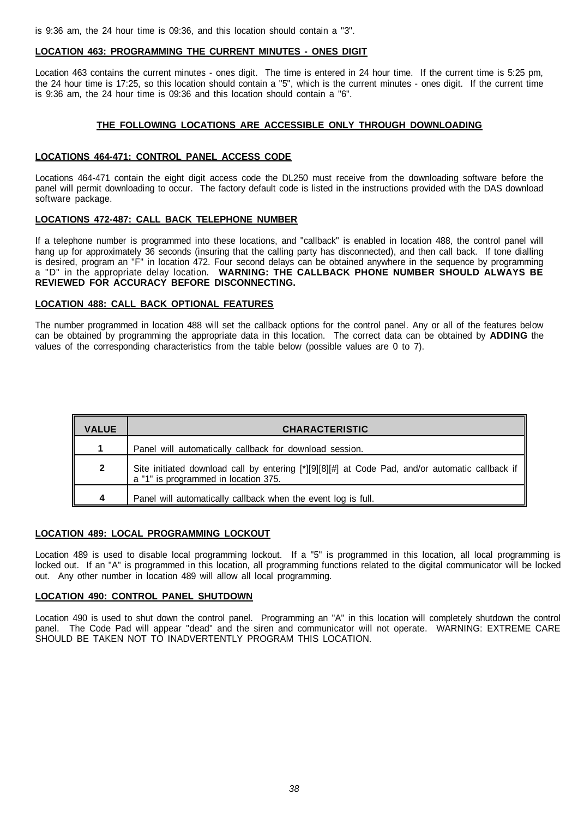is 9:36 am, the 24 hour time is 09:36, and this location should contain a "3".

#### **LOCATION 463: PROGRAMMING THE CURRENT MINUTES - ONES DIGIT**

Location 463 contains the current minutes - ones digit. The time is entered in 24 hour time. If the current time is 5:25 pm, the 24 hour time is 17:25, so this location should contain a "5", which is the current minutes - ones digit. If the current time is 9:36 am, the 24 hour time is 09:36 and this location should contain a "6".

## **THE FOLLOWING LOCATIONS ARE ACCESSIBLE ONLY THROUGH DOWNLOADING**

## **LOCATIONS 464-471: CONTROL PANEL ACCESS CODE**

Locations 464-471 contain the eight digit access code the DL250 must receive from the downloading software before the panel will permit downloading to occur. The factory default code is listed in the instructions provided with the DAS download software package.

## **LOCATIONS 472-487: CALL BACK TELEPHONE NUMBER**

If a telephone number is programmed into these locations, and "callback" is enabled in location 488, the control panel will hang up for approximately 36 seconds (insuring that the calling party has disconnected), and then call back. If tone dialling is desired, program an "F" in location 472. Four second delays can be obtained anywhere in the sequence by programming a "D" in the appropriate delay location. **WARNING: THE CALLBACK PHONE NUMBER SHOULD ALWAYS BE REVIEWED FOR ACCURACY BEFORE DISCONNECTING.**

## **LOCATION 488: CALL BACK OPTIONAL FEATURES**

The number programmed in location 488 will set the callback options for the control panel. Any or all of the features below can be obtained by programming the appropriate data in this location. The correct data can be obtained by **ADDING** the values of the corresponding characteristics from the table below (possible values are 0 to 7).

| <b>VALUE</b> | <b>CHARACTERISTIC</b>                                                                                                                   |
|--------------|-----------------------------------------------------------------------------------------------------------------------------------------|
|              | Panel will automatically callback for download session.                                                                                 |
| $\mathbf{2}$ | Site initiated download call by entering [*][9][8][#] at Code Pad, and/or automatic callback if<br>a "1" is programmed in location 375. |
| 4            | Panel will automatically callback when the event log is full.                                                                           |

## **LOCATION 489: LOCAL PROGRAMMING LOCKOUT**

Location 489 is used to disable local programming lockout. If a "5" is programmed in this location, all local programming is locked out. If an "A" is programmed in this location, all programming functions related to the digital communicator will be locked out. Any other number in location 489 will allow all local programming.

## **LOCATION 490: CONTROL PANEL SHUTDOWN**

Location 490 is used to shut down the control panel. Programming an "A" in this location will completely shutdown the control panel. The Code Pad will appear "dead" and the siren and communicator will not operate. WARNING: EXTREME CARE SHOULD BE TAKEN NOT TO INADVERTENTLY PROGRAM THIS LOCATION.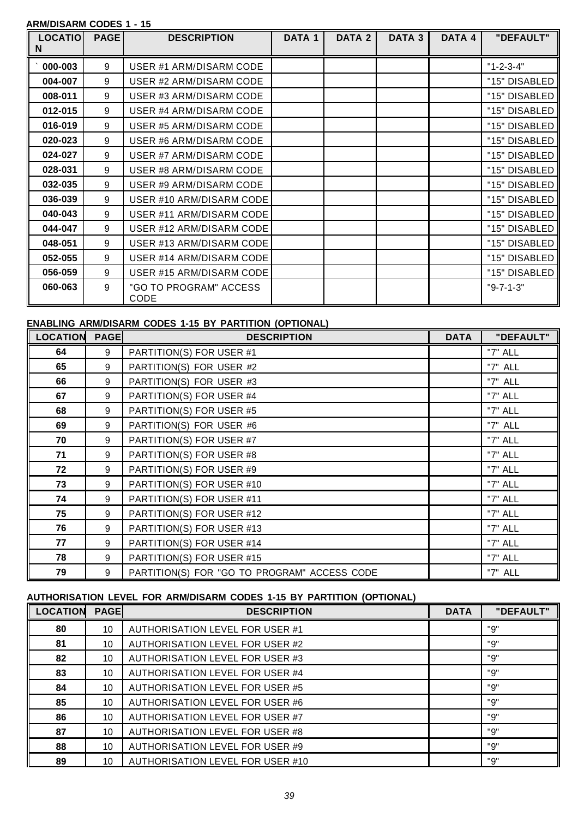## **ARM/DISARM CODES 1 - 15**

| <b>LOCATIO</b><br>N | <b>PAGE</b> | <b>DESCRIPTION</b>             | DATA 1 | DATA 2 | DATA <sub>3</sub> | DATA 4 | "DEFAULT"         |
|---------------------|-------------|--------------------------------|--------|--------|-------------------|--------|-------------------|
|                     |             |                                |        |        |                   |        |                   |
| 000-003             | 9           | USER #1 ARM/DISARM CODE        |        |        |                   |        | $"1 - 2 - 3 - 4"$ |
| 004-007             | 9           | USER #2 ARM/DISARM CODE        |        |        |                   |        | "15" DISABLED     |
| 008-011             | 9           | USER #3 ARM/DISARM CODE        |        |        |                   |        | "15" DISABLED     |
| 012-015             | 9           | USER #4 ARM/DISARM CODE        |        |        |                   |        | "15" DISABLED     |
| 016-019             | 9           | USER #5 ARM/DISARM CODE        |        |        |                   |        | "15" DISABLED     |
| 020-023             | 9           | USER #6 ARM/DISARM CODE        |        |        |                   |        | "15" DISABLED     |
| 024-027             | 9           | USER #7 ARM/DISARM CODE        |        |        |                   |        | "15" DISABLED     |
| 028-031             | 9           | USER #8 ARM/DISARM CODE        |        |        |                   |        | "15" DISABLED     |
| 032-035             | 9           | USER #9 ARM/DISARM CODE        |        |        |                   |        | "15" DISABLED     |
| 036-039             | 9           | USER #10 ARM/DISARM CODE       |        |        |                   |        | "15" DISABLED     |
| 040-043             | 9           | USER #11 ARM/DISARM CODE       |        |        |                   |        | "15" DISABLED     |
| 044-047             | 9           | USER #12 ARM/DISARM CODE       |        |        |                   |        | "15" DISABLED     |
| 048-051             | 9           | USER #13 ARM/DISARM CODE       |        |        |                   |        | "15" DISABLED     |
| 052-055             | 9           | USER #14 ARM/DISARM CODE       |        |        |                   |        | "15" DISABLED     |
| 056-059             | 9           | USER #15 ARM/DISARM CODE       |        |        |                   |        | "15" DISABLED     |
| 060-063             | 9           | "GO TO PROGRAM" ACCESS<br>CODE |        |        |                   |        | $"9-7-1-3"$       |

## **ENABLING ARM/DISARM CODES 1-15 BY PARTITION (OPTIONAL)**

| <b>LOCATION</b> | <b>PAGE</b> | <b>DESCRIPTION</b>                           | <b>DATA</b> | "DEFAULT" |
|-----------------|-------------|----------------------------------------------|-------------|-----------|
| 64              | 9           | PARTITION(S) FOR USER #1                     |             | "7" ALL   |
| 65              | 9           | PARTITION(S) FOR USER #2                     |             | "7" ALL   |
| 66              | 9           | PARTITION(S) FOR USER #3                     |             | "7" ALL   |
| 67              | 9           | PARTITION(S) FOR USER #4                     |             | "7" ALL   |
| 68              | 9           | PARTITION(S) FOR USER #5                     |             | "7" ALL   |
| 69              | 9           | PARTITION(S) FOR USER #6                     |             | "7" ALL   |
| 70              | 9           | PARTITION(S) FOR USER #7                     |             | "7" ALL   |
| 71              | 9           | PARTITION(S) FOR USER #8                     |             | "7" ALL   |
| 72              | 9           | PARTITION(S) FOR USER #9                     |             | "7" ALL   |
| 73              | 9           | PARTITION(S) FOR USER #10                    |             | "7" ALL   |
| 74              | 9           | PARTITION(S) FOR USER #11                    |             | "7" ALL   |
| 75              | 9           | PARTITION(S) FOR USER #12                    |             | "7" ALL   |
| 76              | 9           | PARTITION(S) FOR USER #13                    |             | "7" ALL   |
| 77              | $9\,$       | PARTITION(S) FOR USER #14                    |             | "7" ALL   |
| 78              | 9           | PARTITION(S) FOR USER #15                    |             | "7" ALL   |
| 79              | 9           | PARTITION(S) FOR "GO TO PROGRAM" ACCESS CODE |             | "7" ALL   |

# **AUTHORISATION LEVEL FOR ARM/DISARM CODES 1-15 BY PARTITION (OPTIONAL)**

| <b>LOCATION</b> | <b>PAGE</b> | <b>DESCRIPTION</b>                     | <b>DATA</b> | "DEFAULT" |
|-----------------|-------------|----------------------------------------|-------------|-----------|
| 80              | 10          | <b>AUTHORISATION LEVEL FOR USER #1</b> |             | "9"       |
| 81              | 10          | AUTHORISATION LEVEL FOR USER #2        |             | "9"       |
| 82              | 10          | AUTHORISATION LEVEL FOR USER #3        |             | "9"       |
| 83              | 10          | <b>AUTHORISATION LEVEL FOR USER #4</b> |             | "9"       |
| 84              | 10          | AUTHORISATION LEVEL FOR USER #5        |             | "9"       |
| 85              | 10          | AUTHORISATION LEVEL FOR USER #6        |             | "9"       |
| 86              | 10          | AUTHORISATION LEVEL FOR USER #7        |             | "9"       |
| 87              | 10          | AUTHORISATION LEVEL FOR USER #8        |             | "9"       |
| 88              | 10          | AUTHORISATION LEVEL FOR USER #9        |             | "9"       |
| 89              | 10          | AUTHORISATION LEVEL FOR USER #10       |             | "9"       |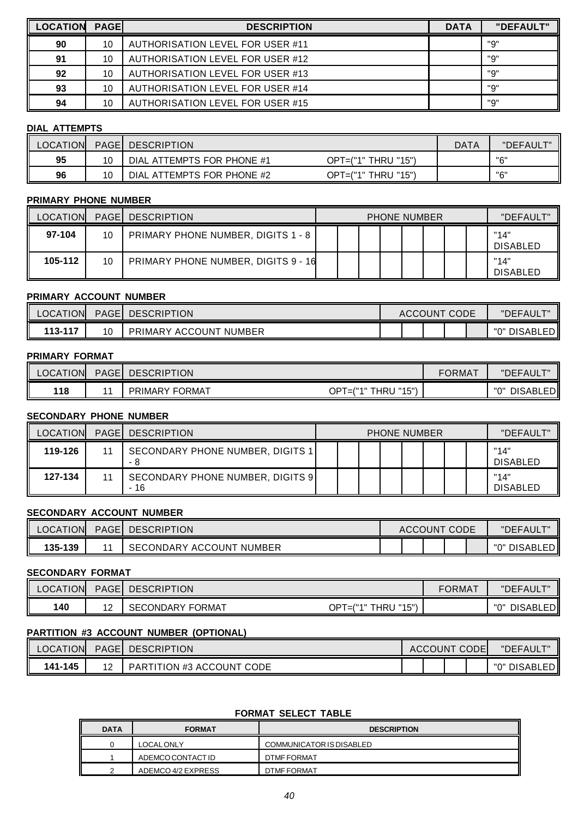| <b>LOCATION</b> | <b>PAGE</b> | <b>DESCRIPTION</b>                      | <b>DATA</b> | "DEFAULT" |
|-----------------|-------------|-----------------------------------------|-------------|-----------|
| 90              | 10          | <b>AUTHORISATION LEVEL FOR USER #11</b> |             | "9"       |
| 91              | 10          | AUTHORISATION LEVEL FOR USER #12        |             | "9"       |
| 92              | 10          | AUTHORISATION LEVEL FOR USER #13        |             | "Q"       |
| 93              | 10          | AUTHORISATION LEVEL FOR USER #14        |             | "9"       |
| 94              | 10          | <b>AUTHORISATION LEVEL FOR USER #15</b> |             | "9"       |

## **DIAL ATTEMPTS**

| LOCATION |    | PAGE DESCRIPTION                |                         | DATA | "DEFAULT" |
|----------|----|---------------------------------|-------------------------|------|-----------|
| 95       | 10 | . ATTEMPTS FOR PHONE #1<br>DIAL | OPT=("1" THRU<br>."15") |      | "ה"       |
| 96       | 10 | DIAL ATTEMPTS FOR PHONE #2      | $OPT=("1"THRU$<br>"15") |      | "ה"       |

## **PRIMARY PHONE NUMBER**

| <b>LOCATION</b> |    | <b>PAGE   DESCRIPTION</b>           | <b>PHONE NUMBER</b> |  |  |  | "DEFAULT" |  |                         |
|-----------------|----|-------------------------------------|---------------------|--|--|--|-----------|--|-------------------------|
| 97-104          | 10 | PRIMARY PHONE NUMBER, DIGITS 1 - 8  |                     |  |  |  |           |  | "14"<br><b>DISABLED</b> |
| 105-112         | 10 | PRIMARY PHONE NUMBER, DIGITS 9 - 16 |                     |  |  |  |           |  | "14'<br><b>DISABLED</b> |

## **PRIMARY ACCOUNT NUMBER**

| <b>LOCATION</b> | <b>PAGEI</b> | <b>DESCRIPTION</b>            | CODE<br>ACCOUNT |  |  | <u>ти</u><br>"DEFAUL. |  |                                 |
|-----------------|--------------|-------------------------------|-----------------|--|--|-----------------------|--|---------------------------------|
| $113 - 117$     | 10           | `NUMBER<br>PRIMARY<br>ACCOUNT |                 |  |  |                       |  | EDI<br>יי∩יי<br><b>DISABLED</b> |

## **PRIMARY FORMAT**

| <b>LOCATION</b> | <b>PAGE</b> | <b>DESCRIPTION</b>         |                                                     | FORMAT | "DEFAULT"              |
|-----------------|-------------|----------------------------|-----------------------------------------------------|--------|------------------------|
| 118             |             | / FORMAT<br><b>PRIMARY</b> | I I 84 F 88<br>OPT<br><b>THRU</b><br>7848<br>≕<br>◡ |        | "በ"<br><b>DISABLED</b> |

## **SECONDARY PHONE NUMBER**

| <b>LOCATION</b> | <b>PAGE   DESCRIPTION</b>                      | <b>PHONE NUMBER</b> |  |  |  | "DEFAULT" |  |                         |
|-----------------|------------------------------------------------|---------------------|--|--|--|-----------|--|-------------------------|
| 119-126         | <b>SECONDARY PHONE NUMBER, DIGITS 1</b><br>- 8 |                     |  |  |  |           |  | "14'<br>DISABLED        |
| 127-134         | SECONDARY PHONE NUMBER, DIGITS 9<br>- 16       |                     |  |  |  |           |  | "14'<br><b>DISABLED</b> |

## **SECONDARY ACCOUNT NUMBER**

| <b>LOCATION</b> | PAGEI | <b>DESCRIPTION</b>             | CODE<br>ACCOUNT |  |  | <u>ти</u><br>"DEFAUL. |  |                                        |
|-----------------|-------|--------------------------------|-----------------|--|--|-----------------------|--|----------------------------------------|
| 135-139         |       | NUMBER<br>ACCOUNT<br>SECONDARY |                 |  |  |                       |  | $ \sim$<br>"∩"<br><b>DISABLED</b><br>川 |

## **SECONDARY FORMAT**

| <b>LOCATION</b> | <b>PAGE</b> | <b>DESCRIPTION</b>       |                                                           | <b>FORMAT</b> | . <del>. .</del><br>"DEFAUL\ |
|-----------------|-------------|--------------------------|-----------------------------------------------------------|---------------|------------------------------|
| 140             | <u>.</u>    | FORMAT<br>CONDARY<br>SE. | "15")<br>$OP^{\intercal}$<br>78 A B<br><b>THRU</b><br>$=$ |               | יי∩"<br><b>DISABLED</b><br>L |

## **PARTITION #3 ACCOUNT NUMBER (OPTIONAL)**

| <b>LOCATION</b> | <b>PAGE DESCRIPTION</b>   | ACCOUNT CODEL |  | "DEFAULT"       |
|-----------------|---------------------------|---------------|--|-----------------|
| 141-145         | PARTITION #3 ACCOUNT CODE |               |  | "0" DISABLED II |

## **FORMAT SELECT TABLE**

| <b>DATA</b> | <b>FORMAT</b><br><b>DESCRIPTION</b> |                          |  |  |  |
|-------------|-------------------------------------|--------------------------|--|--|--|
|             | <b>LOCAL ONLY</b>                   | COMMUNICATOR IS DISABLED |  |  |  |
|             | ADEMCO CONTACT ID                   | DTMF FORMAT              |  |  |  |
|             | ADEMCO 4/2 EXPRESS                  | DTMF FORMAT              |  |  |  |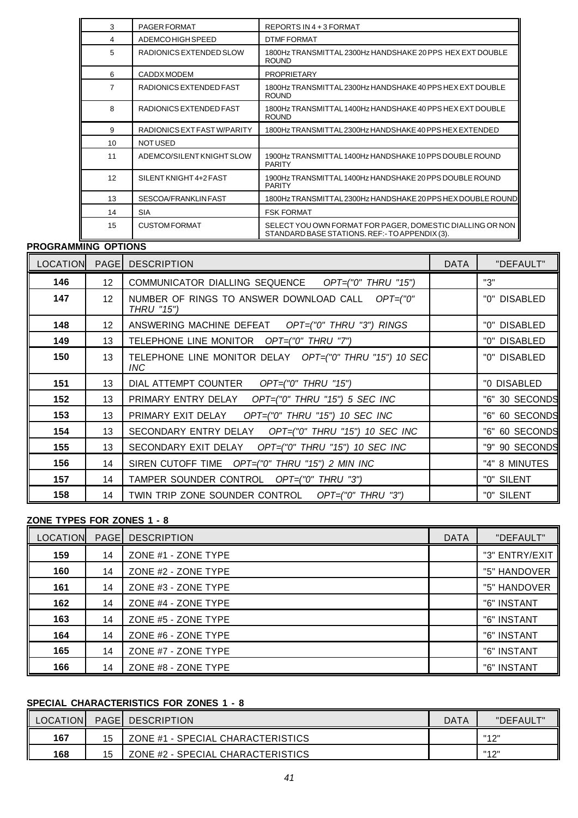| 3              | <b>PAGER FORMAT</b>         | REPORTS IN 4 + 3 FORMAT                                                                                     |
|----------------|-----------------------------|-------------------------------------------------------------------------------------------------------------|
| 4              | <b>ADEMCOHIGH SPEED</b>     | <b>DTMF FORMAT</b>                                                                                          |
| 5              | RADIONICS EXTENDED SLOW     | 1800Hz TRANSMITTAL 2300Hz HANDSHAKE 20 PPS HEX EXT DOUBLE<br><b>ROUND</b>                                   |
| 6              | CADDX MODEM                 | <b>PROPRIETARY</b>                                                                                          |
| $\overline{7}$ | RADIONICS EXTENDED FAST     | 1800Hz TRANSMITTAL 2300Hz HANDSHAKE 40 PPS HEX EXT DOUBLE<br><b>ROUND</b>                                   |
| 8              | RADIONICS EXTENDED FAST     | 1800Hz TRANSMITTAL 1400Hz HANDSHAKE 40 PPS HEX EXT DOUBLE<br><b>ROUND</b>                                   |
| 9              | RADIONICS EXT FAST W/PARITY | 1800Hz TRANSMITTAL 2300Hz HANDSHAKE 40 PPS HEX EXTENDED                                                     |
| 10             | <b>NOTUSED</b>              |                                                                                                             |
| 11             | ADEMCO/SILENT KNIGHT SLOW   | 1900Hz TRANSMITTAL 1400Hz HANDSHAKE 10 PPS DOUBLE ROUND<br><b>PARITY</b>                                    |
| 12             | SILENT KNIGHT 4+2 FAST      | 1900Hz TRANSMITTAL 1400Hz HANDSHAKE 20 PPS DOUBLE ROUND<br><b>PARITY</b>                                    |
| 13             | SESCOA/FRANKLIN FAST        | 1800Hz TRANSMITTAL 2300Hz HANDSHAKE 20 PPS HEX DOUBLE ROUND                                                 |
| 14             | <b>SIA</b>                  | <b>FSK FORMAT</b>                                                                                           |
| 15             | <b>CUSTOM FORMAT</b>        | SELECT YOU OWN FORMAT FOR PAGER, DOMESTIC DIALLING OR NON<br>STANDARD BASE STATIONS. REF:- TO APPENDIX (3). |

## **PROGRAMMING OPTIONS**

| <b>LOCATION</b> | <b>PAGE</b>     | <b>DESCRIPTION</b>                                                  | <b>DATA</b> | "DEFAULT"      |
|-----------------|-----------------|---------------------------------------------------------------------|-------------|----------------|
| 146             | 12 <sup>°</sup> | COMMUNICATOR DIALLING SEQUENCE OPT=("0" THRU "15")                  |             | "3"            |
| 147             | 12 <sup>2</sup> | NUMBER OF RINGS TO ANSWER DOWNLOAD CALL<br>$OPT=("0"$<br>THRU "15") |             | "0" DISABLED   |
| 148             | 12 <sup>°</sup> | ANSWERING MACHINE DEFEAT OPT=("0" THRU "3") RINGS                   |             | "0" DISABLED   |
| 149             | 13              | TELEPHONE LINE MONITOR OPT=("0" THRU "7")                           |             | "0" DISABLED   |
| 150             | 13              | TELEPHONE LINE MONITOR DELAY OPT=("0" THRU "15") 10 SEC<br>INC.     |             | "0" DISABLED   |
| 151             | 13              | OPT=("0" THRU "15")<br>DIAL ATTEMPT COUNTER                         |             | "0 DISABLED    |
| 152             | 13              | PRIMARY ENTRY DELAY<br>OPT=("0" THRU "15") 5 SEC INC                |             | "6" 30 SECONDS |
| 153             | 13              | PRIMARY EXIT DELAY<br>$OPT=("0"$ THRU $"15"$ ) 10 SEC INC           |             | "6" 60 SECONDS |
| 154             | 13              | SECONDARY ENTRY DELAY OPT=("0" THRU "15") 10 SEC INC                |             | "6" 60 SECONDS |
| 155             | 13              | SECONDARY EXIT DELAY OPT=("0" THRU "15") 10 SEC INC                 |             | "9" 90 SECONDS |
| 156             | 14              | SIREN CUTOFF TIME OPT=("0" THRU "15") 2 MIN INC                     |             | "4" 8 MINUTES  |
| 157             | 14              | TAMPER SOUNDER CONTROL OPT=("0" THRU "3")                           |             | "0" SILENT     |
| 158             | 14              | TWIN TRIP ZONE SOUNDER CONTROL OPT=("0" THRU "3")                   |             | "0" SILENT     |

## **ZONE TYPES FOR ZONES 1 - 8**

| LOCATION | PAGE <sup>1</sup> | <b>DESCRIPTION</b>  | <b>DATA</b> | "DEFAULT"      |
|----------|-------------------|---------------------|-------------|----------------|
| 159      | 14                | ZONE #1 - ZONE TYPE |             | "3" ENTRY/EXIT |
| 160      | 14                | ZONE #2 - ZONE TYPE |             | "5" HANDOVER   |
| 161      | 14                | ZONE #3 - ZONE TYPE |             | "5" HANDOVER   |
| 162      | 14                | ZONE #4 - ZONE TYPE |             | "6" INSTANT    |
| 163      | 14                | ZONE #5 - ZONE TYPE |             | "6" INSTANT    |
| 164      | 14                | ZONE #6 - ZONE TYPE |             | "6" INSTANT    |
| 165      | 14                | ZONE #7 - ZONE TYPE |             | "6" INSTANT    |
| 166      | 14                | ZONE #8 - ZONE TYPE |             | "6" INSTANT    |

# **SPECIAL CHARACTERISTICS FOR ZONES 1 - 8**

| LOCATIONI |    | <b>PAGE   DESCRIPTION</b>         | DATA | "DEFAULT" |
|-----------|----|-----------------------------------|------|-----------|
| 167       | 15 | ZONE #1 - SPECIAL CHARACTERISTICS |      | "12"      |
| 168       | 15 | ZONE #2 - SPECIAL CHARACTERISTICS |      | "12"      |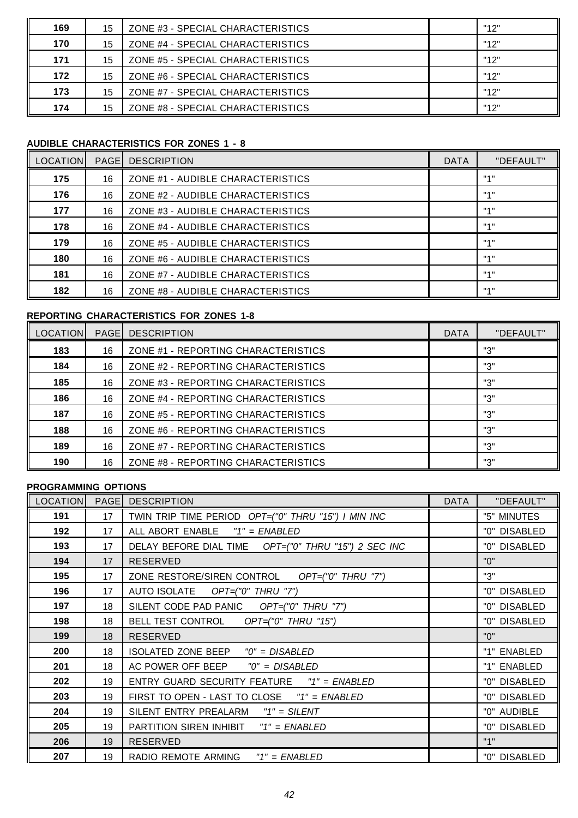| 169 | 15 | ZONE #3 - SPECIAL CHARACTERISTICS | "12" |  |
|-----|----|-----------------------------------|------|--|
| 170 | 15 | ZONE #4 - SPECIAL CHARACTERISTICS | "12" |  |
| 171 | 15 | ZONE #5 - SPECIAL CHARACTERISTICS | "12" |  |
| 172 | 15 | ZONE #6 - SPECIAL CHARACTERISTICS | "12" |  |
| 173 | 15 | ZONE #7 - SPECIAL CHARACTERISTICS | "12" |  |
| 174 | 15 | ZONE #8 - SPECIAL CHARACTERISTICS | "12" |  |

# **AUDIBLE CHARACTERISTICS FOR ZONES 1 - 8**

| <b>LOCATION</b> |    | <b>PAGE DESCRIPTION</b>           | <b>DATA</b> | "DEFAULT" |
|-----------------|----|-----------------------------------|-------------|-----------|
| 175             | 16 | ZONE #1 - AUDIBLE CHARACTERISTICS |             | 1141      |
| 176             | 16 | ZONE #2 - AUDIBLE CHARACTERISTICS |             | 1141      |
| 177             | 16 | ZONE #3 - AUDIBLE CHARACTERISTICS |             | 1141      |
| 178             | 16 | ZONE #4 - AUDIBLE CHARACTERISTICS |             | 1141      |
| 179             | 16 | ZONE #5 - AUDIBLE CHARACTERISTICS |             | 1141      |
| 180             | 16 | ZONE #6 - AUDIBLE CHARACTERISTICS |             | 1141      |
| 181             | 16 | ZONE #7 - AUDIBLE CHARACTERISTICS |             | 1141      |
| 182             | 16 | ZONE #8 - AUDIBLE CHARACTERISTICS |             | 1141      |

# **REPORTING CHARACTERISTICS FOR ZONES 1-8**

| <b>LOCATION</b> |    | <b>PAGEL DESCRIPTION</b>            | <b>DATA</b> | "DEFAULT" |
|-----------------|----|-------------------------------------|-------------|-----------|
| 183             | 16 | ZONE #1 - REPORTING CHARACTERISTICS |             | "3"       |
| 184             | 16 | ZONE #2 - REPORTING CHARACTERISTICS |             | "3"       |
| 185             | 16 | ZONE #3 - REPORTING CHARACTERISTICS |             | "3"       |
| 186             | 16 | ZONE #4 - REPORTING CHARACTERISTICS |             | "3"       |
| 187             | 16 | ZONE #5 - REPORTING CHARACTERISTICS |             | "3"       |
| 188             | 16 | ZONE #6 - REPORTING CHARACTERISTICS |             | "3"       |
| 189             | 16 | ZONE #7 - REPORTING CHARACTERISTICS |             | "3"       |
| 190             | 16 | ZONE #8 - REPORTING CHARACTERISTICS |             | "ג"       |

# **PROGRAMMING OPTIONS**

| <b>LOCATION</b> | PAGE | <b>DESCRIPTION</b>                                   | <b>DATA</b> | "DEFAULT"    |
|-----------------|------|------------------------------------------------------|-------------|--------------|
| 191             | 17   | TWIN TRIP TIME PERIOD OPT=("0" THRU "15") I MIN INC  |             | "5" MINUTES  |
| 192             | 17   | ALL ABORT ENABLE<br>$"1" = ENABLED$                  |             | "0" DISABLED |
| 193             | 17   | DELAY BEFORE DIAL TIME OPT=("0" THRU "15") 2 SEC INC |             | "0" DISABLED |
| 194             | 17   | <b>RESERVED</b>                                      |             | "በ"          |
| 195             | 17   | ZONE RESTORE/SIREN CONTROL OPT=("0" THRU "7")        |             | "3"          |
| 196             | 17   | AUTO ISOLATE OPT=("0" THRU "7")                      |             | "0" DISABLED |
| 197             | 18   | SILENT CODE PAD PANIC OPT=("0" THRU "7")             |             | "0" DISABLED |
| 198             | 18   | BELL TEST CONTROL OPT=("0" THRU "15")                |             | "0" DISABLED |
| 199             | 18   | <b>RESERVED</b>                                      |             | "0"          |
| 200             | 18   | <b>ISOLATED ZONE BEEP</b><br>"0" = DISABLED          |             | "1" ENABLED  |
| 201             | 18   | AC POWER OFF BEEP $"0" = DISABLED$                   |             | "1" ENABLED  |
| 202             | 19   | ENTRY GUARD SECURITY FEATURE "1" = ENABLED           |             | "0" DISABLED |
| 203             | 19   | FIRST TO OPEN - LAST TO CLOSE "1" = ENABLED          |             | "0" DISABLED |
| 204             | 19   | SILENT ENTRY PREALARM "1" = SILENT                   |             | "0" AUDIBLE  |
| 205             | 19   | PARTITION SIREN INHIBIT "1" = ENABLED                |             | "0" DISABLED |
| 206             | 19   | <b>RESERVED</b>                                      |             | "1"          |
| 207             | 19   | RADIO REMOTE ARMING<br>"1" = ENABLED                 |             | "0" DISABLED |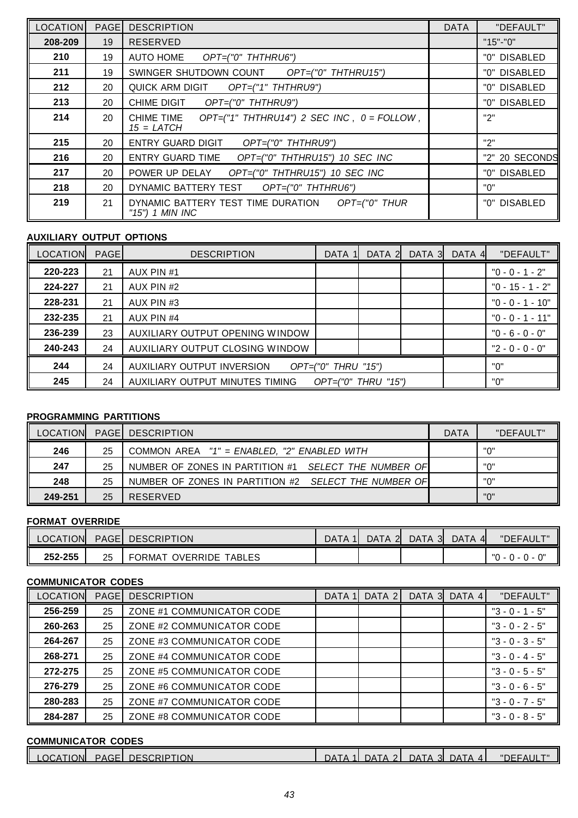| <b>LOCATION</b> | <b>PAGE</b> | <b>DESCRIPTION</b>                                                            | <b>DATA</b> | "DEFAULT"      |
|-----------------|-------------|-------------------------------------------------------------------------------|-------------|----------------|
| 208-209         | 19          | <b>RESERVED</b>                                                               |             | $"15" - "0"$   |
| 210             | 19          | <b>AUTO HOME</b><br>OPT=("0" THTHRU6")                                        |             | "0" DISABLED   |
| 211             | 19          | SWINGER SHUTDOWN COUNT OPT=("0" THTHRU15")                                    |             | "0" DISABLED   |
| 212             | 20          | QUICK ARM DIGIT OPT=("1" THTHRU9")                                            |             | "0" DISABLED   |
| 213             | 20          | CHIME DIGIT<br>OPT=("0" THTHRU9")                                             |             | "0" DISABLED   |
| 214             | 20          | $OPT=(T1T THTHRU14T)$ 2 SEC INC, $0 = FOLLOW$ ,<br>CHIME TIME<br>$15 = LATCH$ |             | "2"            |
| 215             | 20          | <b>ENTRY GUARD DIGIT</b><br>OPT=("0" THTHRU9")                                |             | "2"            |
| 216             | 20          | ENTRY GUARD TIME<br>OPT=("0" THTHRU15") 10 SEC INC                            |             | "2" 20 SECONDS |
| 217             | 20          | POWER UP DELAY<br>OPT=("0" THTHRU15") 10 SEC INC                              |             | "0" DISABLED   |
| 218             | 20          | DYNAMIC BATTERY TEST OPT=("0" THTHRU6")                                       |             | "በ"            |
| 219             | 21          | DYNAMIC BATTERY TEST TIME DURATION OPT=("0" THUR<br>"15") 1 MIN INC           |             | "0" DISABLED   |

## **AUXILIARY OUTPUT OPTIONS**

| <b>LOCATION</b> | <b>PAGE</b> | <b>DESCRIPTION</b>              | <b>DATA</b>             | DATA 2 | DATA 3 | DATA 4 | "DEFAULT"          |
|-----------------|-------------|---------------------------------|-------------------------|--------|--------|--------|--------------------|
| 220-223         | 21          | AUX PIN #1                      |                         |        |        |        | $"0 - 0 - 1 - 2"$  |
| 224-227         | 21          | AUX PIN #2                      |                         |        |        |        | $"0 - 15 - 1 - 2"$ |
| 228-231         | 21          | AUX PIN #3                      |                         |        |        |        | "0 - 0 - 1 - 10"   |
| 232-235         | 21          | AUX PIN #4                      |                         |        |        |        | $"0 - 0 - 1 - 11"$ |
| 236-239         | 23          | AUXILIARY OUTPUT OPENING WINDOW |                         |        |        |        | $"0 - 6 - 0 - 0"$  |
| 240-243         | 24          | AUXILIARY OUTPUT CLOSING WINDOW |                         |        |        |        | $"2 - 0 - 0 - 0"$  |
| 244             | 24          | AUXILIARY OUTPUT INVERSION      | $OPT=("0"$ THRU $"15")$ |        |        |        | "0"                |
| 245             | 24          | AUXILIARY OUTPUT MINUTES TIMING | $OPT=("0"$ THRU $"15")$ |        |        |        | "0"                |

## **PROGRAMMING PARTITIONS**

| <b>LOCATION</b> |    | <b>PAGE DESCRIPTION</b>                              |  | "DEFAULT" |
|-----------------|----|------------------------------------------------------|--|-----------|
| 246             | 25 | COMMON AREA "1" = ENABLED. "2" ENABLED WITH          |  | "በ"       |
| 247             | 25 | NUMBER OF ZONES IN PARTITION #1 SELECT THE NUMBER OF |  | "በ"       |
| 248             | 25 | NUMBER OF ZONES IN PARTITION #2 SELECT THE NUMBER OF |  | "በ"       |
| 249-251         | 25 | RESERVED                                             |  | "በ"       |

## **FORMAT OVERRIDE**

| <b>LOCATION</b> | <b>PAGE</b> | <b>DESCRIPTION</b>                  | DATA | DATA 21 | DATA 3 | <b>DATA</b> | "DEFAULT"                             |
|-----------------|-------------|-------------------------------------|------|---------|--------|-------------|---------------------------------------|
| 252-255         | 25          | <b>TABLES</b><br>OVERRIDE<br>FORMAT |      |         |        |             | ∩"<br>"∩<br><u>u - u - </u><br>$\sim$ |

## **COMMUNICATOR CODES**

| <b>LOCATION</b> | <b>PAGE</b> | <b>DESCRIPTION</b>        | <b>DATA</b> | DATA 2 | DATA 3 DATA 4 | "DEFAULT"         |
|-----------------|-------------|---------------------------|-------------|--------|---------------|-------------------|
| 256-259         | 25          | ZONE #1 COMMUNICATOR CODE |             |        |               | $"3 - 0 - 1 - 5"$ |
| 260-263         | 25          | ZONE #2 COMMUNICATOR CODE |             |        |               | $"3 - 0 - 2 - 5"$ |
| 264-267         | 25          | ZONE #3 COMMUNICATOR CODE |             |        |               | $"3 - 0 - 3 - 5"$ |
| 268-271         | 25          | ZONE #4 COMMUNICATOR CODE |             |        |               | $"3 - 0 - 4 - 5"$ |
| 272-275         | 25          | ZONE #5 COMMUNICATOR CODE |             |        |               | $"3 - 0 - 5 - 5"$ |
| 276-279         | 25          | ZONE #6 COMMUNICATOR CODE |             |        |               | $"3 - 0 - 6 - 5"$ |
| 280-283         | 25          | ZONE #7 COMMUNICATOR CODE |             |        |               | $"3 - 0 - 7 - 5"$ |
| 284-287         | 25          | ZONE #8 COMMUNICATOR CODE |             |        |               | $"3 - 0 - 8 - 5"$ |

# **COMMUNICATOR CODES**

| <b>PAGEL DESCRIPTION</b><br>LOCATION<br>DATA 3<br>1 DATA 2<br>DATA 41<br><b>DATA</b><br>"DEFAULT" |  |
|---------------------------------------------------------------------------------------------------|--|
|---------------------------------------------------------------------------------------------------|--|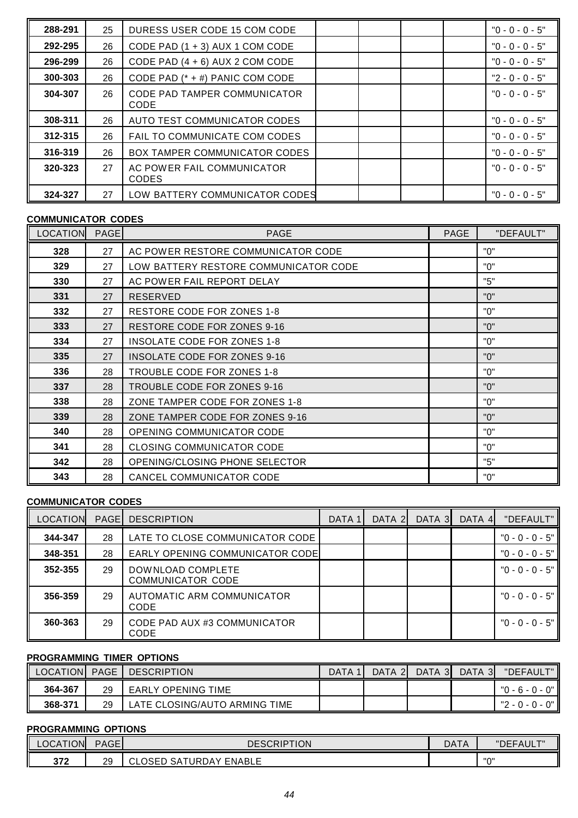| 288-291 | 25 | DURESS USER CODE 15 COM CODE                |  | $"0 - 0 - 0 - 5"$ |
|---------|----|---------------------------------------------|--|-------------------|
| 292-295 | 26 | CODE PAD (1 + 3) AUX 1 COM CODE             |  | $"0 - 0 - 0 - 5"$ |
| 296-299 | 26 | CODE PAD $(4 + 6)$ AUX 2 COM CODE           |  | $"0 - 0 - 0 - 5"$ |
| 300-303 | 26 | CODE PAD (* + #) PANIC COM CODE             |  | $"2 - 0 - 0 - 5"$ |
| 304-307 | 26 | <b>CODE PAD TAMPER COMMUNICATOR</b><br>CODE |  | $"0 - 0 - 0 - 5"$ |
| 308-311 | 26 | AUTO TEST COMMUNICATOR CODES                |  | $"0 - 0 - 0 - 5"$ |
| 312-315 | 26 | FAIL TO COMMUNICATE COM CODES               |  | "0 - 0 - 0 - 5"   |
| 316-319 | 26 | <b>BOX TAMPER COMMUNICATOR CODES</b>        |  | $"0 - 0 - 0 - 5"$ |
| 320-323 | 27 | AC POWER FAIL COMMUNICATOR<br><b>CODES</b>  |  | $"0 - 0 - 0 - 5"$ |
| 324-327 | 27 | LOW BATTERY COMMUNICATOR CODES              |  | $"0 - 0 - 0 - 5"$ |

## **COMMUNICATOR CODES**

| II<br><b>LOCATION</b> | <b>PAGE</b> | <b>PAGE</b>                           | <b>PAGE</b> | "DEFAULT" |
|-----------------------|-------------|---------------------------------------|-------------|-----------|
| 328                   | 27          | AC POWER RESTORE COMMUNICATOR CODE    |             | "በ"       |
| 329                   | 27          | LOW BATTERY RESTORE COMMUNICATOR CODE |             | "በ"       |
| 330                   | 27          | AC POWER FAIL REPORT DELAY            |             | "5"       |
| 331                   | 27          | <b>RESERVED</b>                       |             | "በ"       |
| 332                   | 27          | <b>RESTORE CODE FOR ZONES 1-8</b>     |             | "በ"       |
| 333                   | 27          | RESTORE CODE FOR ZONES 9-16           |             | "በ"       |
| 334                   | 27          | INSOLATE CODE FOR ZONES 1-8           |             | "በ"       |
| 335                   | 27          | INSOLATE CODE FOR ZONES 9-16          |             | "በ"       |
| 336                   | 28          | TROUBLE CODE FOR ZONES 1-8            |             | "በ"       |
| 337                   | 28          | TROUBLE CODE FOR ZONES 9-16           |             | "በ"       |
| 338                   | 28          | ZONE TAMPER CODE FOR ZONES 1-8        |             | "በ"       |
| 339                   | 28          | ZONE TAMPER CODE FOR ZONES 9-16       |             | "በ"       |
| 340                   | 28          | OPENING COMMUNICATOR CODE             |             | "በ"       |
| 341                   | 28          | <b>CLOSING COMMUNICATOR CODE</b>      |             | "በ"       |
| 342                   | 28          | OPENING/CLOSING PHONE SELECTOR        |             | "5"       |
| 343                   | 28          | CANCEL COMMUNICATOR CODE              |             | "0"       |

## **COMMUNICATOR CODES**

| <b>LOCATION</b> | <b>PAGE</b> | <b>DESCRIPTION</b>                            | DATA 1 | DATA 2 | DATA 3 | DATA 4 | "DEFAULT"         |
|-----------------|-------------|-----------------------------------------------|--------|--------|--------|--------|-------------------|
| 344-347         | 28          | LATE TO CLOSE COMMUNICATOR CODE               |        |        |        |        | $"0 - 0 - 0 - 5"$ |
| 348-351         | 28          | <b>EARLY OPENING COMMUNICATOR CODE</b>        |        |        |        |        | $"0 - 0 - 0 - 5"$ |
| 352-355         | 29          | DOWNLOAD COMPLETE<br><b>COMMUNICATOR CODE</b> |        |        |        |        | "0 - 0 - 0 - 5"   |
| 356-359         | 29          | AUTOMATIC ARM COMMUNICATOR<br>CODE            |        |        |        |        | $"0 - 0 - 0 - 5"$ |
| 360-363         | 29          | <b>CODE PAD AUX #3 COMMUNICATOR</b><br>CODE   |        |        |        |        | $"0 - 0 - 0 - 5"$ |

## **PROGRAMMING TIMER OPTIONS**

|         |    | LOCATION PAGE DESCRIPTION     | DATA 11 | DATA 2 | DATA 3 | DATA 3 | "DEFAULT"       |
|---------|----|-------------------------------|---------|--------|--------|--------|-----------------|
| 364-367 | 29 | EARLY OPENING TIME            |         |        |        |        | "0 - 6 - 0 - 0" |
| 368-371 | 29 | LATE CLOSING/AUTO ARMING TIME |         |        |        |        | "2 - 0 - 0 - 0" |

## **PROGRAMMING OPTIONS**

| LOCATION   | <b>PAGE</b> | <b>DESCRIPTION</b>                                                           | <b>DATA</b> | "DEFAULT"<br>·⊢AUL.        |
|------------|-------------|------------------------------------------------------------------------------|-------------|----------------------------|
| 277<br>JIZ | ാവ<br>ت ک   | <b>ENABLE</b><br>$\cap$ $\cap$<br>URL.<br>.AV ل<br>⌒<br>-<br>-SA<br>ULUSED * |             | $\mathsf{H}\cap\mathsf{H}$ |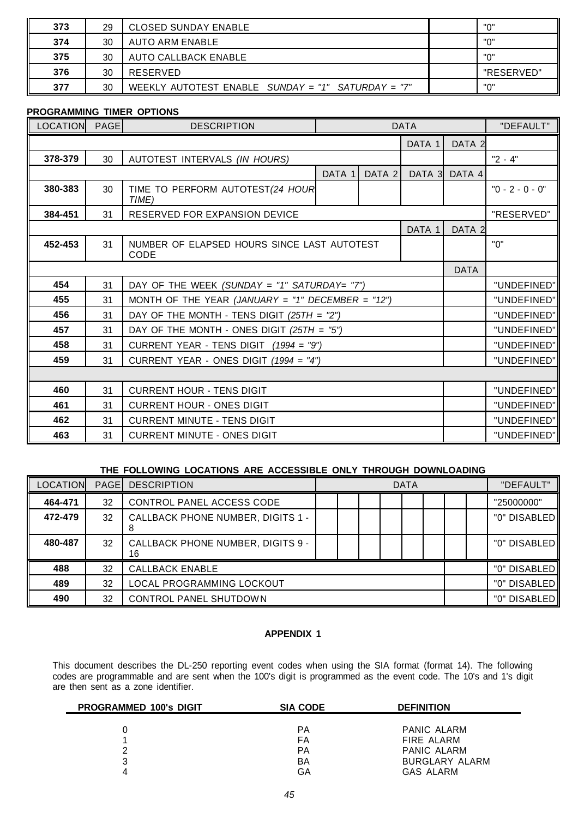| 373 | 29 | <b>CLOSED SUNDAY ENABLE</b>                        | יי חיי     |
|-----|----|----------------------------------------------------|------------|
| 374 | 30 | AUTO ARM ENABLE                                    | יי∩יי      |
| 375 | 30 | <b>AUTO CALLBACK ENABLE</b>                        | "በ"        |
| 376 | 30 | RESERVED                                           | "RESERVED" |
| 377 | 30 | WEEKLY AUTOTEST ENABLE SUNDAY = "1" SATURDAY = "7" | "ח"        |

## **PROGRAMMING TIMER OPTIONS**

| <b>LOCATION</b> | PAGE                                     | <b>DESCRIPTION</b>                                  |        |        | <b>DATA</b> |                   | "DEFAULT"         |
|-----------------|------------------------------------------|-----------------------------------------------------|--------|--------|-------------|-------------------|-------------------|
|                 |                                          |                                                     |        |        | DATA 1      | DATA 2            |                   |
| 378-379         | 30                                       | AUTOTEST INTERVALS (IN HOURS)                       |        |        |             |                   | $"2 - 4"$         |
|                 |                                          |                                                     | DATA 1 | DATA 2 | DATA 3      | DATA 4            |                   |
| 380-383         | 30                                       | TIME TO PERFORM AUTOTEST(24 HOUR<br>TIME)           |        |        |             |                   | $"0 - 2 - 0 - 0"$ |
| 384-451         | 31                                       | <b>RESERVED FOR EXPANSION DEVICE</b>                |        |        |             |                   | "RESERVED"        |
|                 |                                          |                                                     |        |        | DATA 1      | DATA <sub>2</sub> |                   |
| 452-453         | 31                                       | NUMBER OF ELAPSED HOURS SINCE LAST AUTOTEST<br>CODE |        |        |             |                   | "0"               |
|                 |                                          |                                                     |        |        | <b>DATA</b> |                   |                   |
| 454             | 31                                       | DAY OF THE WEEK (SUNDAY = "1" SATURDAY= "7")        |        |        |             |                   | "UNDEFINED"       |
| 455             | 31                                       | MONTH OF THE YEAR (JANUARY = "1" DECEMBER = "12")   |        |        |             |                   | "UNDEFINED"       |
| 456             | 31                                       | DAY OF THE MONTH - TENS DIGIT $(25TH = "2")$        |        |        |             |                   | "UNDEFINED"       |
| 457             | 31                                       | DAY OF THE MONTH - ONES DIGIT $(25TH = "5")$        |        |        |             |                   | "UNDEFINED"       |
| 458             | 31                                       | CURRENT YEAR - TENS DIGIT $(1994 = "9")$            |        |        |             |                   | "UNDEFINED"       |
| 459             | 31                                       | CURRENT YEAR - ONES DIGIT $(1994 = "4")$            |        |        |             |                   | "UNDEFINED"       |
|                 |                                          |                                                     |        |        |             |                   |                   |
| 460             | 31<br><b>CURRENT HOUR - TENS DIGIT</b>   |                                                     |        |        |             | "UNDEFINED"       |                   |
| 461             | 31<br><b>CURRENT HOUR - ONES DIGIT</b>   |                                                     |        |        | "UNDEFINED" |                   |                   |
| 462             | 31<br><b>CURRENT MINUTE - TENS DIGIT</b> |                                                     |        |        |             | "UNDEFINED"       |                   |
| 463             | 31                                       | <b>CURRENT MINUTE - ONES DIGIT</b>                  |        |        |             |                   | "UNDEFINED"       |

## **THE FOLLOWING LOCATIONS ARE ACCESSIBLE ONLY THROUGH DOWNLOADING**

| LOCATION |    | <b>PAGE   DESCRIPTION</b>                      | <b>DATA</b> |              | "DEFAULT" |  |                 |
|----------|----|------------------------------------------------|-------------|--------------|-----------|--|-----------------|
| 464-471  | 32 | CONTROL PANEL ACCESS CODE                      |             |              |           |  | "25000000"      |
| 472-479  | 32 | <b>CALLBACK PHONE NUMBER, DIGITS 1 -</b>       |             |              |           |  | "0" DISABLED    |
| 480-487  | 32 | <b>CALLBACK PHONE NUMBER, DIGITS 9 -</b><br>16 |             |              |           |  | "0" DISABLED II |
| 488      | 32 | <b>CALLBACK ENABLE</b>                         |             |              |           |  | "0" DISABLED    |
| 489      | 32 | LOCAL PROGRAMMING LOCKOUT                      |             | "0" DISABLED |           |  |                 |
| 490      | 32 | <b>CONTROL PANEL SHUTDOWN</b>                  |             |              |           |  | "0" DISABLED    |

## **APPENDIX 1**

This document describes the DL-250 reporting event codes when using the SIA format (format 14). The following codes are programmable and are sent when the 100's digit is programmed as the event code. The 10's and 1's digit are then sent as a zone identifier.

| <b>PROGRAMMED 100's DIGIT</b> | <b>SIA CODE</b> | <b>DEFINITION</b>     |
|-------------------------------|-----------------|-----------------------|
|                               |                 |                       |
|                               | РA              | PANIC ALARM           |
|                               | FA              | FIRE ALARM            |
|                               | РA              | PANIC ALARM           |
| 3                             | BA              | <b>BURGLARY ALARM</b> |
|                               | GА              | GAS ALARM             |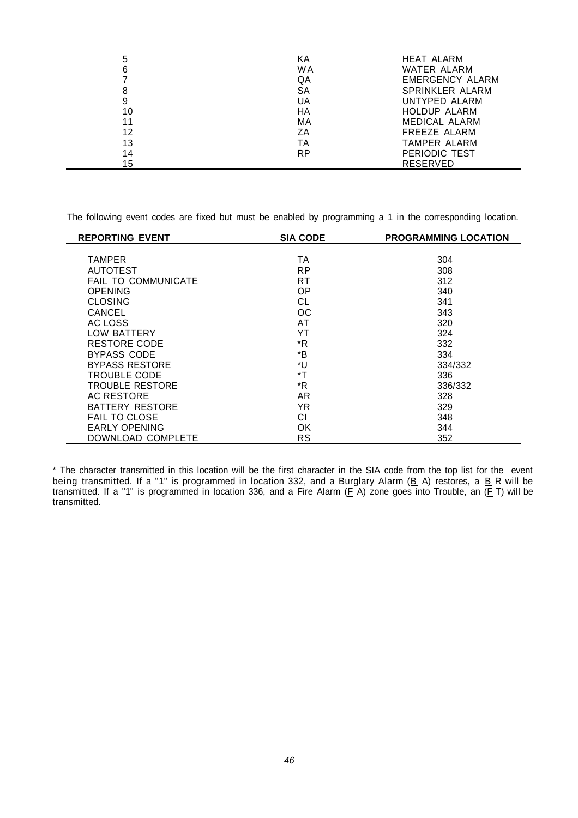| 5  | ΚA  | HEAT ALARM             |
|----|-----|------------------------|
| 6  | W A | WATER ALARM            |
|    | QA  | <b>EMERGENCY ALARM</b> |
| 8  | SA  | <b>SPRINKLER ALARM</b> |
| 9  | UA  | UNTYPED ALARM          |
| 10 | НA  | <b>HOLDUP ALARM</b>    |
| 11 | МA  | MEDICAL ALARM          |
| 12 | ΖA  | FREEZE ALARM           |
| 13 | ТA  | TAMPER ALARM           |
| 14 | RP  | PERIODIC TEST          |
| 15 |     | <b>RESERVED</b>        |

The following event codes are fixed but must be enabled by programming a 1 in the corresponding location.

| <b>REPORTING EVENT</b>     | <b>SIA CODE</b> | <b>PROGRAMMING LOCATION</b> |
|----------------------------|-----------------|-----------------------------|
|                            |                 |                             |
| <b>TAMPER</b>              | TA              | 304                         |
| <b>AUTOTEST</b>            | <b>RP</b>       | 308                         |
| <b>FAIL TO COMMUNICATE</b> | RT              | 312                         |
| <b>OPENING</b>             | 0P              | 340                         |
| <b>CLOSING</b>             | CL              | 341                         |
| CANCEL                     | ОC              | 343                         |
| AC LOSS                    | AT              | 320                         |
| <b>LOW BATTERY</b>         | YT              | 324                         |
| <b>RESTORE CODE</b>        | $*R$            | 332                         |
| BYPASS CODE                | *B              | 334                         |
| <b>BYPASS RESTORE</b>      | *U              | 334/332                     |
| <b>TROUBLE CODE</b>        | *T              | 336                         |
| <b>TROUBLE RESTORE</b>     | *R              | 336/332                     |
| <b>AC RESTORE</b>          | AR              | 328                         |
| <b>BATTERY RESTORE</b>     | YR.             | 329                         |
| <b>FAIL TO CLOSE</b>       | СI              | 348                         |
| <b>EARLY OPENING</b>       | OK              | 344                         |
| DOWNLOAD COMPLETE          | <b>RS</b>       | 352                         |

\* The character transmitted in this location will be the first character in the SIA code from the top list for the event being transmitted. If a "1" is programmed in location 332, and a Burglary Alarm (B A) restores, a B R will be transmitted. If a "1" is programmed in location 336, and a Fire Alarm (E A) zone goes into Trouble, an (E T) will be transmitted.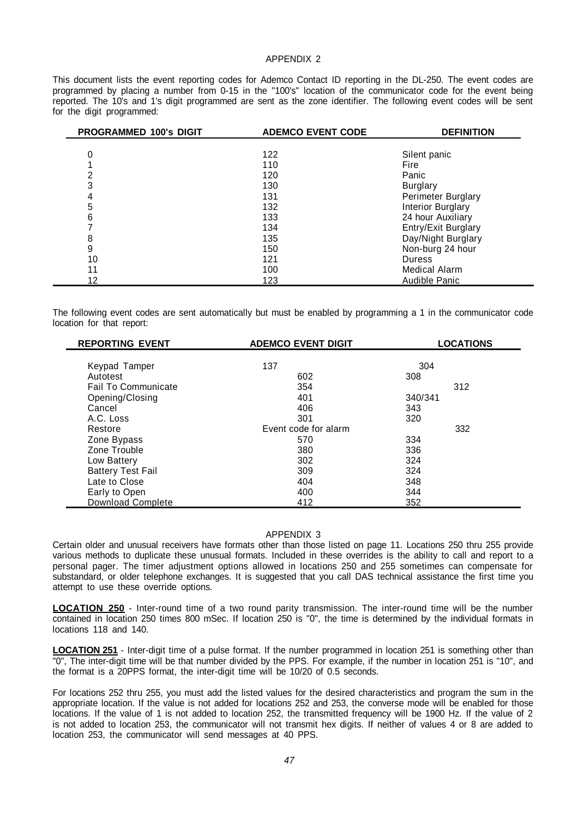## APPENDIX 2

This document lists the event reporting codes for Ademco Contact ID reporting in the DL-250. The event codes are programmed by placing a number from 0-15 in the "100's" location of the communicator code for the event being reported. The 10's and 1's digit programmed are sent as the zone identifier. The following event codes will be sent for the digit programmed:

| PROGRAMMED 100's DIGIT | <b>ADEMCO EVENT CODE</b> | <b>DEFINITION</b>        |
|------------------------|--------------------------|--------------------------|
|                        |                          |                          |
| 0                      | 122                      | Silent panic             |
|                        | 110                      | Fire                     |
| 2                      | 120                      | Panic                    |
| 3                      | 130                      | <b>Burglary</b>          |
| 4                      | 131                      | Perimeter Burglary       |
| 5                      | 132                      | <b>Interior Burglary</b> |
| 6                      | 133                      | 24 hour Auxiliary        |
|                        | 134                      | Entry/Exit Burglary      |
| 8                      | 135                      | Day/Night Burglary       |
| 9                      | 150                      | Non-burg 24 hour         |
| 10                     | 121                      | <b>Duress</b>            |
| 11                     | 100                      | <b>Medical Alarm</b>     |
| 12                     | 123                      | Audible Panic            |

The following event codes are sent automatically but must be enabled by programming a 1 in the communicator code location for that report:

| <b>REPORTING EVENT</b>     | <b>ADEMCO EVENT DIGIT</b> | <b>LOCATIONS</b> |
|----------------------------|---------------------------|------------------|
| Keypad Tamper              | 137                       | 304              |
| Autotest                   | 602                       | 308              |
| <b>Fail To Communicate</b> | 354                       | 312              |
| Opening/Closing            | 401                       | 340/341          |
| Cancel                     | 406                       | 343              |
| A.C. Loss                  | 301                       | 320              |
| Restore                    | Event code for alarm      | 332              |
| Zone Bypass                | 570                       | 334              |
| Zone Trouble               | 380                       | 336              |
| Low Battery                | 302                       | 324              |
| <b>Battery Test Fail</b>   | 309                       | 324              |
| Late to Close              | 404                       | 348              |
| Early to Open              | 400                       | 344              |
| <b>Download Complete</b>   | 412                       | 352              |

#### APPENDIX 3

Certain older and unusual receivers have formats other than those listed on page 11. Locations 250 thru 255 provide various methods to duplicate these unusual formats. Included in these overrides is the ability to call and report to a personal pager. The timer adjustment options allowed in locations 250 and 255 sometimes can compensate for substandard, or older telephone exchanges. It is suggested that you call DAS technical assistance the first time you attempt to use these override options.

**LOCATION 250** - Inter-round time of a two round parity transmission. The inter-round time will be the number contained in location 250 times 800 mSec. If location 250 is "0", the time is determined by the individual formats in locations 118 and 140.

**LOCATION 251** - Inter-digit time of a pulse format. If the number programmed in location 251 is something other than "0", The inter-digit time will be that number divided by the PPS. For example, if the number in location 251 is "10", and the format is a 20PPS format, the inter-digit time will be 10/20 of 0.5 seconds.

For locations 252 thru 255, you must add the listed values for the desired characteristics and program the sum in the appropriate location. If the value is not added for locations 252 and 253, the converse mode will be enabled for those locations. If the value of 1 is not added to location 252, the transmitted frequency will be 1900 Hz. If the value of 2 is not added to location 253, the communicator will not transmit hex digits. If neither of values 4 or 8 are added to location 253, the communicator will send messages at 40 PPS.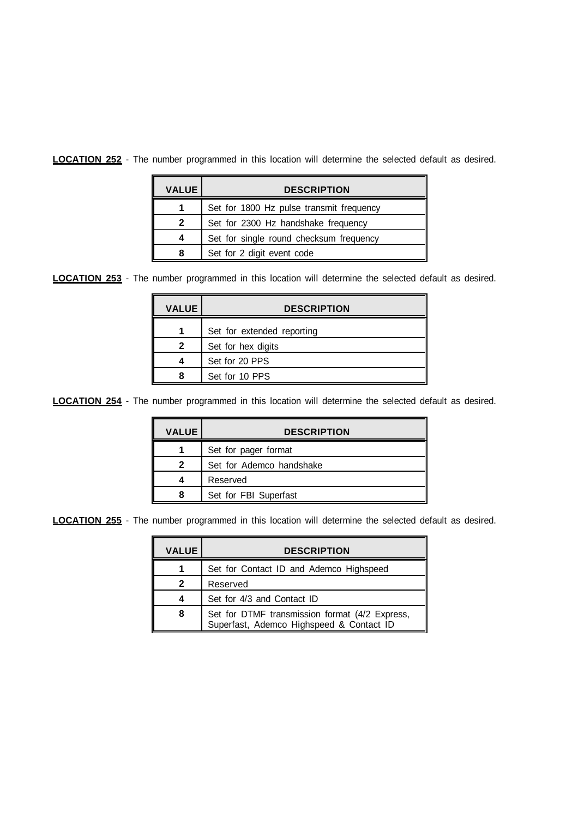**LOCATION 252** - The number programmed in this location will determine the selected default as desired.

| <b>VALUE</b> | <b>DESCRIPTION</b>                       |
|--------------|------------------------------------------|
|              | Set for 1800 Hz pulse transmit frequency |
| 2            | Set for 2300 Hz handshake frequency      |
| 4            | Set for single round checksum frequency  |
|              | Set for 2 digit event code               |

**LOCATION 253** - The number programmed in this location will determine the selected default as desired.

| <b>VALUE</b> | <b>DESCRIPTION</b>         |
|--------------|----------------------------|
|              | Set for extended reporting |
| 2            | Set for hex digits         |
|              | Set for 20 PPS             |
|              | Set for 10 PPS             |

**LOCATION 254** - The number programmed in this location will determine the selected default as desired.

| <b>VALUE</b> | <b>DESCRIPTION</b>       |
|--------------|--------------------------|
|              | Set for pager format     |
| 2            | Set for Ademco handshake |
|              | Reserved                 |
|              | Set for FBI Superfast    |

**LOCATION 255** - The number programmed in this location will determine the selected default as desired.

| <b>VALUE</b> | <b>DESCRIPTION</b>                                                                         |
|--------------|--------------------------------------------------------------------------------------------|
|              | Set for Contact ID and Ademco Highspeed                                                    |
| 2            | Reserved                                                                                   |
|              | Set for 4/3 and Contact ID                                                                 |
| 8            | Set for DTMF transmission format (4/2 Express,<br>Superfast, Ademco Highspeed & Contact ID |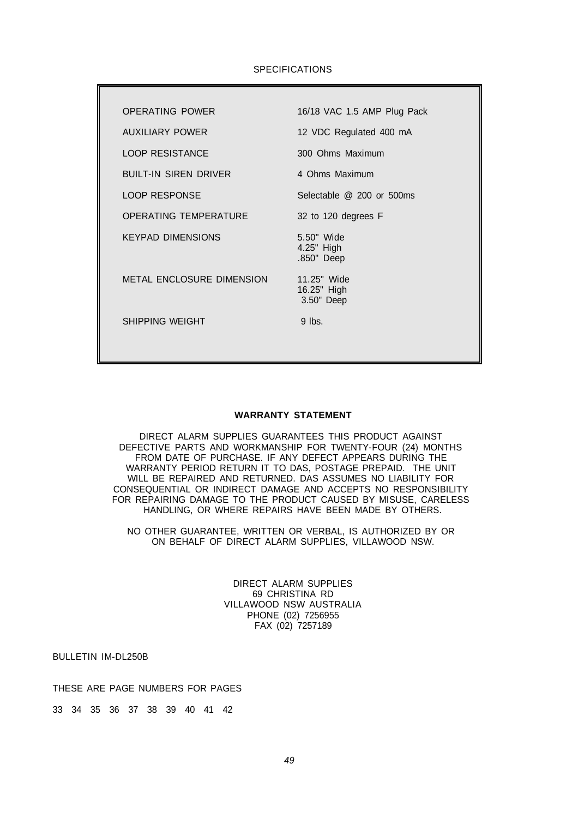## SPECIFICATIONS

| <b>OPERATING POWER</b>       | 16/18 VAC 1.5 AMP Plug Pack              |
|------------------------------|------------------------------------------|
| AUXILIARY POWER              | 12 VDC Regulated 400 mA                  |
| <b>LOOP RESISTANCE</b>       | 300 Ohms Maximum                         |
| <b>BUILT-IN SIREN DRIVER</b> | 4 Ohms Maximum                           |
| <b>LOOP RESPONSE</b>         | Selectable @ 200 or 500ms                |
| OPERATING TEMPERATURE        | 32 to 120 degrees F                      |
| KEYPAD DIMENSIONS            | 5.50" Wide<br>4.25" High<br>.850" Deep   |
| METAL ENCLOSURE DIMENSION    | 11.25" Wide<br>16.25" High<br>3.50" Deep |
| SHIPPING WEIGHT              | $9$ lbs.                                 |
|                              |                                          |

#### **WARRANTY STATEMENT**

DIRECT ALARM SUPPLIES GUARANTEES THIS PRODUCT AGAINST DEFECTIVE PARTS AND WORKMANSHIP FOR TWENTY-FOUR (24) MONTHS FROM DATE OF PURCHASE. IF ANY DEFECT APPEARS DURING THE WARRANTY PERIOD RETURN IT TO DAS, POSTAGE PREPAID. THE UNIT WILL BE REPAIRED AND RETURNED. DAS ASSUMES NO LIABILITY FOR CONSEQUENTIAL OR INDIRECT DAMAGE AND ACCEPTS NO RESPONSIBILITY FOR REPAIRING DAMAGE TO THE PRODUCT CAUSED BY MISUSE, CARELESS HANDLING, OR WHERE REPAIRS HAVE BEEN MADE BY OTHERS.

NO OTHER GUARANTEE, WRITTEN OR VERBAL, IS AUTHORIZED BY OR ON BEHALF OF DIRECT ALARM SUPPLIES, VILLAWOOD NSW.

> DIRECT ALARM SUPPLIES 69 CHRISTINA RD VILLAWOOD NSW AUSTRALIA PHONE (02) 7256955 FAX (02) 7257189

BULLETIN IM-DL250B

THESE ARE PAGE NUMBERS FOR PAGES

33 34 35 36 37 38 39 40 41 42